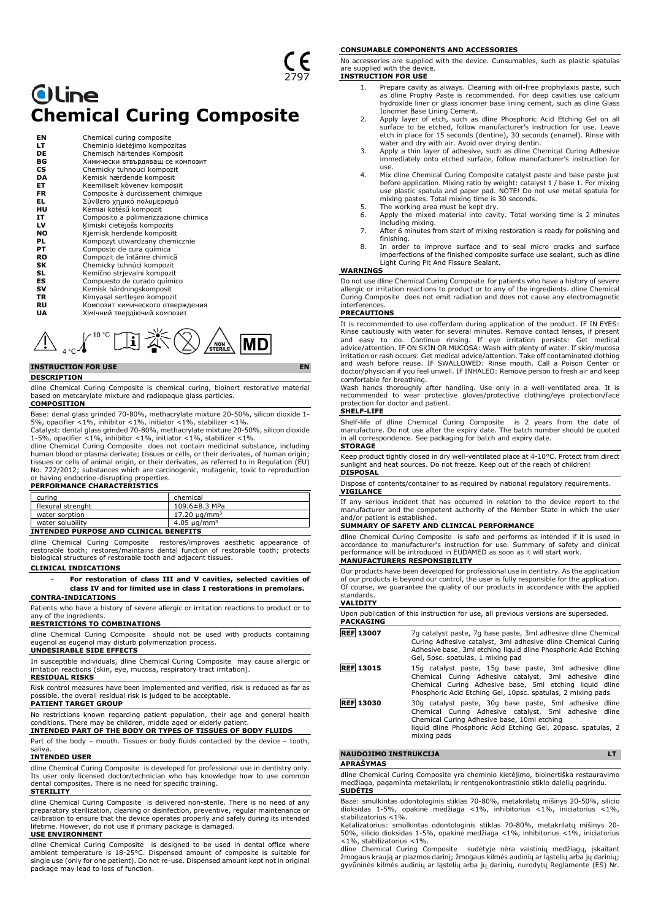# **Oline Chemical Curing Composite**

| ΕN        | Chemical curing composite            |
|-----------|--------------------------------------|
| LΤ        | Cheminio kietėjimo kompozitas        |
| DE        | Chemisch härtendes Komposit          |
| ВG        | Химически втвърдяващ се композит     |
| <b>CS</b> | Chemicky tuhnoucí kompozit           |
| DA        | Kemisk hærdende komposit             |
| EТ        | Keemiliselt kõvenev komposiit        |
| <b>FR</b> | Composite à durcissement chimique    |
| EL        | Σύνθετο χημικό πολυμερισμό           |
| нu        | Kémiai kötésű kompozit               |
| IT        | Composito a polimerizzazione chimica |
| LV        | Ķīmiski cietējošs kompozīts          |
| <b>NO</b> | Kjemisk herdende kompositt           |
| PL        | Kompozyt utwardzany chemicznie       |
| PТ        | Composto de cura química             |
| RO        | Compozit de întărire chimică         |
| SK        | Chemicky tuhnúci kompozit            |
| SL        | Kemično strjevalni kompozit          |
| ES        | Compuesto de curado químico          |
| sv        | Kemisk härdningskomposit             |
| TR        | Kimyasal sertleşen kompozit          |
| RU        | Композит химического отверждения     |
| UA        | Хімічний твердіючий композит         |



# **INSTRUCTION FOR USE EN**

#### **DESCRIPTION**

dline Chemical Curing Composite is chemical curing, bioinert restorative material based on metcarylate mixture and radiopaque glass particles.

**COMPOSITION** Base: denal glass grinded 70-80%, methacrylate mixture 20-50%, silicon dioxide 1- 5%, opacifier <1%, inhibitor <1%, initiator <1%, stabilizer <1%.

Catalyst: dental glass grinded 70-80%, methacrylate mixture 20-50%, silicon dioxide 1-5%, opacifier <1%, inhibitor <1%, initiator <1%, stabilizer <1%.

dline Chemical Curing Composite does not contain medicinal substance, including<br>human blood or plasma derivate; tissues or cells, or their derivates, of human origin;<br>tissues or cells of animal origin, or their derivates, No. 722/2012; substances which are carcinogenic, mutagenic, toxic to reproduction or having endocrine-disrupting properties.

# **PERFORMANCE CHARACTERISTICS**

| curing                                           | chemical |  |  |  |
|--------------------------------------------------|----------|--|--|--|
| flexural strenght<br>109.6±8.3 MPa               |          |  |  |  |
| $17.20 \mu q/mm^3$<br>water sorption             |          |  |  |  |
| 4.05 $\mu$ g/mm <sup>3</sup><br>water solubility |          |  |  |  |
| INTENDED PURPOSE AND CLINICAL BENEFITS           |          |  |  |  |

dline Chemical Curing Composite restores/improves aesthetic appearance of restorable tooth; restores/maintains dental function of restorable tooth; protects biological structures of restorable tooth and adjacent tissues.

# **CLINICAL INDICATIONS**

− **For restoration of class III and V cavities, selected cavities of class IV and for limited use in class I restorations in premolars. CONTRA-INDICATIONS**

Patients who have a history of severe allergic or irritation reactions to product or to any of the ingredients.

## **RESTRICTIONS TO COMBINATIONS**

dline Chemical Curing Composite should not be used with products containing eugenol as eugenol may disturb polymerization process.

# **UNDESIRABLE SIDE EFFECTS**

In susceptible individuals, dline Chemical Curing Composite may cause allergic or irritation reactions (skin, eye, mucosa, respiratory tract irritation).

**RESIDUAL RISKS**

Risk control measures have been implemented and verified, risk is reduced as far as possible, the overall residual risk is judged to be acceptable. **PATIENT TARGET GROUP**

No restrictions known regarding patient population, their age and general health conditions. There may be children, middle aged or elderly patient. **INTENDED PART OF THE BODY OR TYPES OF TISSUES OF BODY FLUIDS**

Part of the body – mouth. Tissues or body fluids contacted by the device – tooth, saliva.

# **INTENDED USER**

dline Chemical Curing Composite is developed for professional use in dentistry only. Its user only licensed doctor/technician who has knowledge how to use common dental composites. There is no need for specific training.

### **STERILITY**

dline Chemical Curing Composite is delivered non-sterile. There is no need of any preparatory sterilization, cleaning or disinfection, preventive, regular maintenance or calibration to ensure that the device operates properly and safely during its intended lifetime. However, do not use if primary package is damaged.

### **USE ENVIRONMENT**

dline Chemical Curing Composite is designed to be used in dental office where ambient temperature is 18-25°C. Dispensed amount of composite is suitable for single use (only for one patient). Do not re-use. Dispensed amount kept not in original package may lead to loss of function.

#### **CONSUMABLE COMPONENTS AND ACCESSORIES**

No accessories are supplied with the device. Cunsumables, such as plastic spatulas are supplied with the device.

- **INSTRUCTION FOR USE**
	- 1. Prepare cavity as always. Cleaning with oil-free prophylaxis paste, such as dline Prophy Paste is recommended. For deep cavities use calcium hydroxide liner or glass ionomer base lining cement, such as dline Glass Ionomer Base Lining Cement.
	- 2. Apply layer of etch, such as dline Phosphoric Acid Etching Gel on all surface to be etched, follow manufacturer's instruction for use. Leave etch in place for 15 seconds (dentine), 30 seconds (enamel). Rinse with
	- water and dry with air. Avoid over drying dentin. 3. Apply a thin layer of adhesive, such as dline Chemical Curing Adhesive immediately onto etched surface, follow manufacturer's instruction for use.
	- 4. Mix dline Chemical Curing Composite catalyst paste and base paste just before application. Mixing ratio by weight: catalyst 1 / base 1. For mixing use plastic spatula and paper pad. NOTE! Do not use metal spatula for mixing pastes. Total mixing time is 30 seconds. 5. The working area must be kept dry.
	-
	- 6. Apply the mixed material into cavity. Total working time is 2 minutes including mixing.
	- 7. After 6 minutes from start of mixing restoration is ready for polishing and finishing.
	- 8. In order to improve surface and to seal micro cracks and surface imperfections of the finished composite surface use sealant, such as dline Light Curing Pit And Fissure Sealant.

# **WARNINGS**

Do not use dline Chemical Curing Composite for patients who have a history of severe allergic or irritation reactions to product or to any of the ingredients. dline Chemical Curing Composite does not emit radiation and does not cause any electromagnetic interferences.

#### **PRECAUTIONS**

It is recommended to use cofferdam during application of the product. IF IN EYES: Rinse cautiously with water for several minutes. Remove contact lenses, if present and easy to do. Continue rinsing. If eye irritation persists: Get medical<br>advice/attention. IFON SKINOR MUCOSA: Wash with plenty of water. If skin/mucosa<br>irritation.or.rash.occurs: Get.medical.advice/attention. Take.off.co and wash before reuse. IF SWALLOWED: Rinse mouth. Call a Poison Center or doctor/physician if you feel unwell. IF INHALED: Remove person to fresh air and keep

comfortable for breathing. Wash hands thoroughly after handling. Use only in a well-ventilated area. It is recommended to wear protective gloves/protective clothing/eye protection/face protection for doctor and patient.

# **SHELF-LIFE**

Shelf-life of dline Chemical Curing Composite is 2 years from the date of manufacture. Do not use after the expiry date. The batch number should be quoted in all correspondence. See packaging for batch and expiry date. **STORAGE**

#### Keep product tightly closed in dry well-ventilated place at 4-10°C. Protect from direct sunlight and heat sources. Do not freeze. Keep out of the reach of children! **DISPOSAL**

Dispose of contents/container to as required by national regulatory requirements. **VIGILANCE**

If any serious incident that has occurred in relation to the device report to the manufacturer and the competent authority of the Member State in which the user and/or patient is established.

#### **SUMMARY OF SAFETY AND CLINICAL PERFORMANCE**

dline Chemical Curing Composite is safe and performs as intended if it is used in accordance to manufacturer's instruction for use. Summary of safety and clinical performance will be introduced in EUDAMED as soon as it will start work. **MANUFACTURERS RESPONSIBILITY**

Our products have been developed for professional use in dentistry. As the application of our products is beyond our control, the user is fully responsible for the application. Of course, we guarantee the quality of our products in accordance with the applied standards. **VALIDITY**

| .                |                                                                                                                                                                                                                                                |
|------------------|------------------------------------------------------------------------------------------------------------------------------------------------------------------------------------------------------------------------------------------------|
| <b>PACKAGING</b> | Upon publication of this instruction for use, all previous versions are superseded.                                                                                                                                                            |
| <b>REF 13007</b> | 7g catalyst paste, 7g base paste, 3ml adhesive dline Chemical<br>Curing Adhesive catalyst, 3ml adhesive dline Chemical Curing<br>Adhesive base, 3ml etching liquid dline Phosphoric Acid Etching<br>Gel, 5psc. spatulas, 1 mixing pad          |
| <b>REF 13015</b> | 15g catalyst paste, 15g base paste, 3ml adhesive dline<br>Chemical Curing Adhesive catalyst, 3ml adhesive dline<br>Chemical Curing Adhesive base, 5ml etching liquid dline<br>Phosphoric Acid Etching Gel, 10psc. spatulas, 2 mixing pads      |
| <b>REF 13030</b> | 30g catalyst paste, 30g base paste, 5ml adhesive dline<br>Chemical Curing Adhesive catalyst, 5ml adhesive dline<br>Chemical Curing Adhesive base, 10ml etching<br>liquid dline Phosphoric Acid Etching Gel, 20pasc. spatulas, 2<br>mixing pads |

#### **NAUDOJIMO INSTRUKCIJA LT**

**APRAŠYMAS**

dline Chemical Curing Composite yra cheminio kietėjimo, bioinertiška restauravimo medžiaga, pagaminta metakrilatų ir rentgenokontrastinio stiklo dalelių pagrindu. **SUDĖTIS**

Bazė: smulkintas odontologinis stiklas 70-80%, metakrilatų mišinys 20-50%, silicio dioksidas 1-5%, opakinė medžiaga <1%, inhibitorius <1%, iniciatorius <1%, stabilizatorius <1%.

Katalizatorius: smulkintas odontologinis stiklas 70-80%, metakrilatų mišinys 20- 50%, silicio dioksidas 1-5%, opakinė medžiaga <1%, inhibitorius <1%, iniciatorius <1%, stabilizatorius <1%.

dline Chemical Curing Composite sudėtyje nėra vaistinių medžiagų, įskaitant<br>žmogaus kraują ar plazmos darinį; žmogaus kilmės audinių ar ląstelių arba jų darinių;<br>gyvūninės kilmės audinių ar ląstelių arba jų darinių, nurod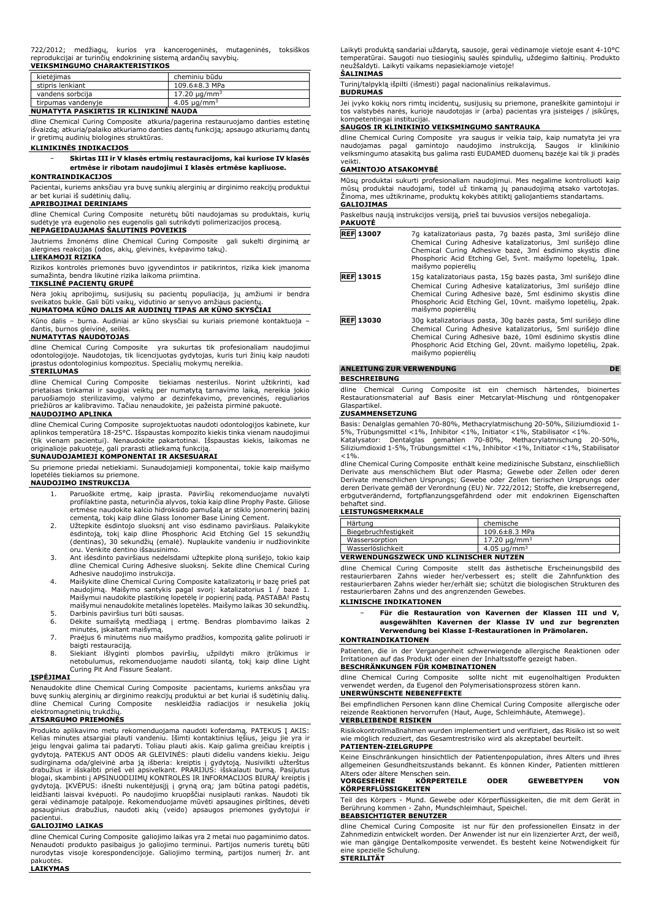| <b>VEIKSMINGUMO CHARAKTERISTIKOS</b>                            |  |  |  |                                                                       |  |  |
|-----------------------------------------------------------------|--|--|--|-----------------------------------------------------------------------|--|--|
| reprodukcijai ar turinčių endokrininę sistemą ardančių savybių. |  |  |  |                                                                       |  |  |
|                                                                 |  |  |  | 722/2012; medžiagų, kurios yra kancerogeninės, mutageninės, toksiškos |  |  |

| kietėjimas                             | cheminiu būdu                 |
|----------------------------------------|-------------------------------|
| stipris lenkiant                       | 109.6±8.3 MPa                 |
| vandens sorbcija                       | 17.20 $\mu$ g/mm <sup>3</sup> |
| tirpumas vandenyje                     | 4.05 $\mu$ g/mm <sup>3</sup>  |
| AUTHENTY A BACKERTIC IN KLYMYNIC MAUDA |                               |

# **NUMATYTA PASKIRTIS IR KLINIKINĖ NAUDA**

dline Chemical Curing Composite atkuria/pagerina restauruojamo danties estetinę išvaizdą; atkuria/palaiko atkuriamo danties dantų funkciją; apsaugo atkuriamų dantų ir gretimų audinių biologines struktūras.

# **KLINIKINĖS INDIKACIJOS**

− **Skirtas III ir V klasės ertmių restauracijoms, kai kuriose IV klasės ertmėse ir ribotam naudojimui I klasės ertmėse kapliuose.**

# **KONTRAINDIKACIJOS**

Pacientai, kuriems anksčiau yra buvę sunkių alerginių ar dirginimo reakcijų produktui ar bet kuriai iš sudėtinių dalių.

#### **APRIBOJIMAI DERINIAMS**

dline Chemical Curing Composite neturėtų būti naudojamas su produktais, kurių sudėtyje yra eugenolio nes eugenolis gali sutrikdyti polimerizacijos procesą. **NEPAGEIDAUJAMAS ŠALUTINIS POVEIKIS**

Jautriems žmonėms dline Chemical Curing Composite gali sukelti dirginimą ar alergines reakcijas (odos, akių, gleivinės, kvėpavimo takų).

# **LIEKAMOJI RIZIKA**

Rizikos kontrolės priemonės buvo įgyvendintos ir patikrintos, rizika kiek įmanoma sumažinta, bendra likutinė rizika laikoma priimtina.

# **TIKSLINĖ PACIENTŲ GRUPĖ**

Nėra jokių apribojimų, susijusių su pacientų populiacija, jų amžiumi ir bendra sveikatos bukle. Gali būti vaikų, vidutinio ar senyvo amžiaus pacientų. **NUMATOMA KŪNO DALIS AR AUDINIŲ TIPAS AR KŪNO SKYSČIAI**

Kūno dalis – burna. Audiniai ar kūno skysčiai su kuriais priemonė kontaktuoja – dantis, burnos gleivinė, seilės.

#### **NUMATYTAS NAUDOTOJAS** dline Chemical Curing Composite yra sukurtas tik profesionaliam naudojimui odontologijoje. Naudotojas, tik licencijuotas gydytojas, kuris turi žinių kaip naudoti

#### įprastus odontologinius kompozitus. Specialių mokymų nereikia. **STERILUMAS**

dline Chemical Curing Composite tiekiamas nesterilus. Norint užtikrinti, kad prietaisas tinkamai ir saugiai veiktų per numatytą tarnavimo laiką, nereikia jokio paruošiamojo sterilizavimo, valymo ar dezinfekavimo, prevencinės, reguliarios priežiūros ar kalibravimo. Tačiau nenaudokite, jei pažeista pirminė pakuotė. **NAUDOJIMO APLINKA**

dline Chemical Curing Composite suprojektuotas naudoti odontologijos kabinete, kur aplinkos temperatūra 18-25°C. Išspaustas kompozito kiekis tinka vienam naudojimui (tik vienam pacientui). Nenaudokite pakartotinai. Išspaustas kiekis, laikomas ne originalioje pakuotėje, gali prarasti atliekamą funkciją. **SUNAUDOJAMIEJI KOMPONENTAI IR AKSESUARAI**

Su priemone priedai netiekiami. Sunaudojamieji komponentai, tokie kaip maišymo lopetėlės tiekiamos su priemone.

# **NAUDOJIMO INSTRUKCIJA**

- 1. Paruoškite ertmę, kaip įprasta. Paviršių rekomenduojame nuvalyti profilaktine pasta, neturinčia alyvos, tokia kaip dline Prophy Paste. Giliose ertmėse naudokite kalcio hidroksido pamušalą ar stiklo jonomerinį bazinį cementą, tokį kaip dline Glass Ionomer Base Lining Cement.
- 2. Užtepkite ėsdintojo sluoksnį ant viso ėsdinamo paviršiaus. Palaikykite ėsdintoją, tokį kaip dline Phosphoric Acid Etching Gel 15 sekundžių (dentinas), 30 sekundžių (emalė). Nuplaukite vandeniu ir nudžiovinkite oru. Venkite dentino išsausinimo.
- 3. Ant išėsdinto paviršiaus nedelsdami užtepkite ploną surišėjo, tokio kaip dline Chemical Curing Adhesive sluoksnį. Sekite dline Chemical Curing Adhesive naudojimo instrukcija.
- 4. Maišykite dline Chemical Curing Composite katalizatorių ir bazę prieš pat naudojimą. Maišymo santykis pagal svorį: katalizatorius 1 / bazė 1. Maišymui naudokite plastikinę lopetėlę ir popierinį padą. PASTABA! Pastų maišymui nenaudokite metalinės lopetėlės. Maišymo laikas 30 sekundžių.
- 5. Darbinis paviršius turi būti sausas. 6. Dėkite sumaišytą medžiagą į ertmę. Bendras plombavimo laikas 2 minutės, įskaitant maišymą.
- 7. Praėjus 6 minutėms nuo maišymo pradžios, kompozitą galite poliruoti ir
- baigti restauraciją. 8. Siekiant išlyginti plombos paviršių, užpildyti mikro įtrūkimus ir netobulumus, rekomenduojame naudoti silantą, tokį kaip dline Light Curing Pit And Fissure Sealant.

# **ĮSPĖJIMAI**

Nenaudokite dline Chemical Curing Composite pacientams, kuriems anksčiau yra buvę sunkių alerginių ar dirginimo reakcijų produktui ar bet kuriai iš sudėtinių dalių. dline Chemical Curing Composite neskleidžia radiacijos ir nesukelia jokių elektromagnetinių trukdžių.

#### **ATSARGUMO PRIEMONĖS**

Produkto aplikavimo metu rekomenduojama naudoti koferdamą. PATEKUS Į AKIS:<br>Kelias minutes atsargiai plauti vandeniu. Išimti kontaktinius lęšius, jeigu jie yra ir<br>jeigu lengvai galima tai padaryti. Toliau plauti akis. Kaip gydytoją. PATEKUS ANT ODOS AR GLEIVINĖS: plauti dideliu vandens kiekiu. Jeigu sudirginama oda/gleivinė arba ją išberia: kreiptis į gydytoją. Nusivilkti užterštus drabužius ir išskalbti prieš vėl apsivelkant. PRARIJUS: išskalauti burną. Pasijutus blogai, skambinti į APSINUODIJIMŲ KONTROLES IR INFORMACIJOS BIURA/ kreiptis į<br>gydytoją. ĮKVĖPUS: išnešti nukentėjusjįį į gryną orą; jam būtina patogi padėtis,<br>leidžianti laisvai kvėpuoti. Po naudojimo kruopščiai gerai vėdinamoje patalpoje. Rekomenduojame mūvėti apsaugines pirštines, dėvėti apsauginius drabužius, naudoti akių (veido) apsaugos priemones gydytojui ir

# pacientui. **GALIOJIMO LAIKAS**

dline Chemical Curing Composite galiojimo laikas yra 2 metai nuo pagaminimo datos. Nenaudoti produkto pasibaigus jo galiojimo terminui. Partijos numeris turėtų būti nurodytas visoje korespondencijoje. Galiojimo terminą, partijos numerį žr. ant pakuotės. **LAIKYMAS**

Laikyti produktą sandariai uždarytą, sausoje, gerai vėdinamoje vietoje esant 4-10°C temperatūrai. Saugoti nuo tiesioginių saulės spindulių, uždegimo šaltinių. Produkto neužšaldyti. Laikyti vaikams nepasiekiamoje vietoje! **ŠALINIMAS**

# Turinį/talpyklą išpilti (išmesti) pagal nacionalinius reikalavimus.

#### **BUDRUMAS**

Jei įvyko kokių nors rimtų incidentų, susijusių su priemone, praneškite gamintojui ir tos valstybės narės, kurioje naudotojas ir (arba) pacientas yra įsisteigęs / įsikūręs, kompetentingai institucijai.

# **SAUGOS IR KLINIKINIO VEIKSMINGUMO SANTRAUKA**

dline Chemical Curing Composite yra saugus ir veikia taip, kaip numatyta jei yra naudojamas pagal gamintojo naudojimo instrukciją. Saugos ir klinikinio veiksmingumo atasakitą bus galima rasti EUDAMED duomenų bazėje kai tik ji pradės veikti.

# **GAMINTOJO ATSAKOMYBĖ**

Mūsų produktai sukurti profesionaliam naudojimui. Mes negalime kontroliuoti kaip mūsų produktai naudojami, todėl už tinkamą jų panaudojimą atsako vartotojas. Žinoma, mes užtikriname, produktų kokybės atitiktį galiojantiems standartams. **GALIOJIMAS**

Paskelbus naują instrukcijos versiją, prieš tai buvusios versijos nebegalioja. **PAKUOTĖ**

| <b>REF 13007</b> | 7g katalizatoriaus pasta, 7g bazės pasta, 3ml surišėjo dline<br>Chemical Curing Adhesive katalizatorius, 3ml surišėjo dline<br>Chemical Curing Adhesive bazė, 3ml ėsdinimo skystis dline<br>Phosphoric Acid Etching Gel, 5vnt. maišymo lopetėlių, 1pak.<br>maišymo popierėlių     |
|------------------|-----------------------------------------------------------------------------------------------------------------------------------------------------------------------------------------------------------------------------------------------------------------------------------|
| <b>REF 13015</b> | 15g katalizatoriaus pasta, 15g bazės pasta, 3ml surišėjo dline<br>Chemical Curing Adhesive katalizatorius, 3ml surišėjo dline<br>Chemical Curing Adhesive baze, 5ml esdinimo skystis dline<br>Phosphoric Acid Etching Gel, 10vnt. maišymo lopetėlių, 2pak.<br>maišymo popierėlių  |
| <b>REF 13030</b> | 30g katalizatoriaus pasta, 30g bazės pasta, 5ml surišėjo dline<br>Chemical Curing Adhesive katalizatorius, 5ml surišėjo dline<br>Chemical Curing Adhesive bazė, 10ml ėsdinimo skystis dline<br>Phosphoric Acid Etching Gel, 20vnt. maišymo lopetėlių, 2pak.<br>maišymo popierėlių |

# **ANLEITUNG ZUR VERWENDUNG DE**

# **BESCHREIBUNG**

dline Chemical Curing Composite ist ein chemisch härtendes, bioinertes Restaurationsmaterial auf Basis einer Metcarylat-Mischung und röntgenopaker Glaspartikel. **ZUSAMMENSETZUNG**

Basis: Denalglas gemahlen 70-80%, Methacrylatmischung 20-50%, Siliziumdioxid 1-

5%, Trübungsmittel <1%, Inhibitor <1%, Initiator <1%, Stabilisator <1%. Katalysator: Dentalglas gemahlen 70-80%, Methacrylatmischung 20-50%, Siliziumdioxid 1-5%, Trübungsmittel <1%, Inhibitor <1%, Initiator <1%, Stabilisator

<1%. dline Chemical Curing Composite enthält keine medizinische Substanz, einschließlich Derivate aus menschlichem Blut oder Plasma; Gewebe oder Zellen oder deren Derivate menschlichen Ursprungs; Gewebe oder Zellen tierischen Ursprungs oder<br>deren Derivate gemäß der Verordnung (EU) Nr. 722/2012; Stoffe, die krebserregend,<br>erbgutverändernd, fortpflanzungsgefährdend oder mit endokri behaftet sind.

#### **LEISTUNGSMERKMALE**

| Härtung<br>chemische                              |  |  |  |  |
|---------------------------------------------------|--|--|--|--|
| 109.6±8.3 MPa<br>Biegebruchfestigkeit             |  |  |  |  |
| 17.20 $\mu$ g/mm <sup>3</sup><br>Wassersorption   |  |  |  |  |
| 4.05 $\mu$ g/mm <sup>3</sup><br>Wasserlöslichkeit |  |  |  |  |
| <b>VERWENDUNGSZWECK UND KLINISCHER NUTZEN</b>     |  |  |  |  |

dline Chemical Curing Composite stellt das ästhetische Erscheinungsbild des restaurierbaren Zahns wieder her/verbessert es; stellt die Zahnfunktion des restaurierbaren Zahns wieder her/erhält sie; schützt die biologischen Strukturen des restaurierbaren Zahns und des angrenzenden Gewebes.

# **KLINISCHE INDIKATIONEN**

− **Für die Restauration von Kavernen der Klassen III und V, ausgewählten Kavernen der Klasse IV und zur begrenzten Verwendung bei Klasse I-Restaurationen in Prämolaren.**

## **KONTRAINDIKATIONEN**

Patienten, die in der Vergangenheit schwerwiegende allergische Reaktionen oder Irritationen auf das Produkt oder einen der Inhaltsstoffe gezeigt haben. **BESCHRÄNKUNGEN FÜR KOMBINATIONEN**

dline Chemical Curing Composite sollte nicht mit eugenolhaltigen Produkten verwendet werden, da Eugenol den Polymerisationsprozess stören kann. **UNERWÜNSCHTE NEBENEFFEKTE**

# Bei empfindlichen Personen kann dline Chemical Curing Composite allergische oder reizende Reaktionen hervorrufen (Haut, Auge, Schleimhäute, Atemwege).

**VERBLEIBENDE RISIKEN**

Risikokontrollmaßnahmen wurden implementiert und verifiziert, das Risiko ist so weit wie möglich reduziert, das Gesamtrestrisiko wird als akzeptabel beurteilt. **PATIENTEN-ZIELGRUPPE**

Keine Einschränkungen hinsichtlich der Patientenpopulation, ihres Alters und ihres allgemeinen Gesundheitszustands bekannt. Es können Kinder, Patienten mittleren Alters oder ältere Menschen sein.

| KÖRPERFLÜSSIGKEITEN | <b>VORGESEHENE</b> | KÖRPERTEILE | <b>ODER</b> | <b>GEWEBETYPEN</b> | <b>VON</b> |
|---------------------|--------------------|-------------|-------------|--------------------|------------|
|                     |                    |             |             |                    |            |

Teil des Körpers - Mund. Gewebe oder Körperflüssigkeiten, die mit dem Gerät in Berührung kommen - Zahn, Mundschleimhaut, Speichel.

# **BEABSICHTIGTER BENUTZER**

dline Chemical Curing Composite ist nur für den professionellen Einsatz in der Zahnmedizin entwickelt worden. Der Anwender ist nur ein lizenzierter Arzt, der weiß, wie man gängige Dentalkomposite verwendet. Es besteht keine Notwendigkeit für eine spezielle Schulung. **STERILITÄT**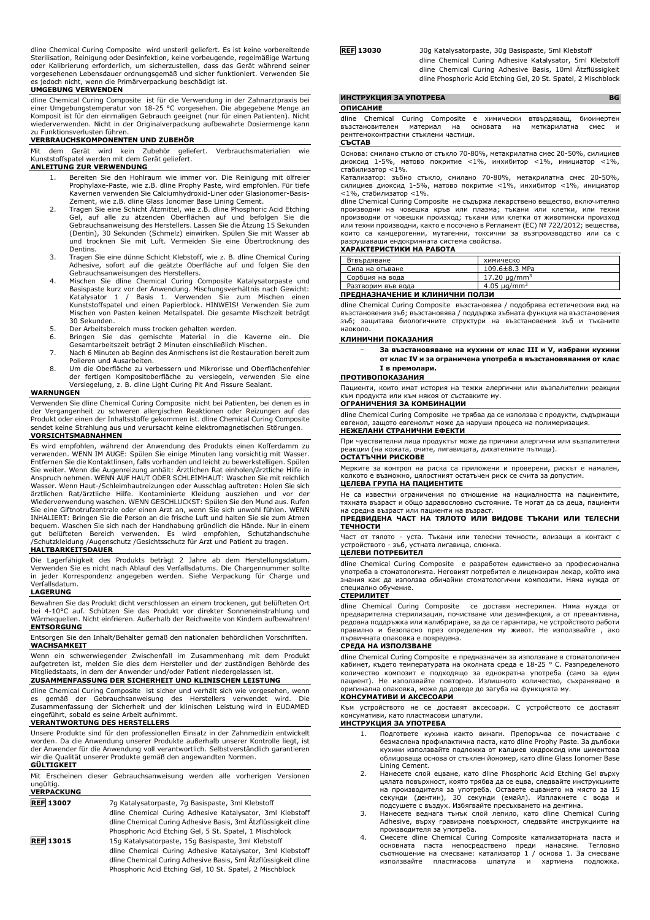dline Chemical Curing Composite wird unsteril geliefert. Es ist keine vorbereitende Sterilisation, Reinigung oder Desinfektion, keine vorbeugende, regelmäßige Wartung oder Kalibrierung erforderlich, um sicherzustellen, dass das Gerät während seiner vorgesehenen Lebensdauer ordnungsgemäß und sicher funktioniert. Verwenden Sie es jedoch nicht, wenn die Primärverpackung beschädigt ist.

#### **UMGEBUNG VERWENDEN**

dline Chemical Curing Composite ist für die Verwendung in der Zahnarztpraxis bei einer Umgebungstemperatur von 18-25 °C vorgesehen. Die abgegebene Menge an Komposit ist für den einmaligen Gebrauch geeignet (nur für einen Patienten). Nicht wiederverwenden. Nicht in der Originalverpackung aufbewahrte Dosiermenge kann

# zu Funktionsverlusten führen. **VERBRAUCHSKOMPONENTEN UND ZUBEHÖR**

Mit dem Gerät wird kein Zubehör geliefert. Verbrauchsmaterialien wie Kunststoffspatel werden mit dem Gerät geliefert.

### **ANLEITUNG ZUR VERWENDUNG**

- 1. Bereiten Sie den Hohlraum wie immer vor. Die Reinigung mit ölfreier Prophylaxe-Paste, wie z.B. dline Prophy Paste, wird empfohlen. Für tiefe Kavernen verwenden Sie Calciumhydroxid-Liner oder Glasionomer-Basis-Zement, wie z.B. dline Glass Ionomer Base Lining Cement.
- 2. Tragen Sie eine Schicht Atzmittel, wie z.B. dline Phosphoric Acid Etching<br>Gel, auf alle zu ätzenden Oberflächen auf und befolgen Sie die<br>Gebrauchsanweisung des Herstellers. Lassen Sie die Ätzung 15 Sekunden<br>(Dentin), 30 und trocknen Sie mit Luft. Vermeiden Sie eine Übertrocknung des Dentins.
- 3. Tragen Sie eine dünne Schicht Klebstoff, wie z. B. dline Chemical Curing
- Adhesive, sofort auf die geätzte Oberfläche auf und folgen Sie den<br>Gebrauchsanweisungen des Herstellers.<br>4. Mischen Sie dline Chenical Curing Composite Katalysatorpaste und<br>Basispaste kurz vor der Anwendung. Mischungsverhä Kunststoffspatel und einen Papierblock. HINWEIS! Verwenden Sie zum Mischen von Pasten keinen Metallspatel. Die gesamte Mischzeit beträgt 30 Sekunden.
- 
- 5. Der Arbeitsbereich muss trocken gehalten werden.<br>6. Bringen Sie das gemischte Material in die Kaverne ein. Die<br>Gesamtarbeitszeit beträgt 2 Minuten einschließlich Mischen.
- 7. Nach 6 Minuten ab Beginn des Anmischens ist die Restauration bereit zum
- Polieren und Ausarbeiten. 8. Um die Oberfläche zu verbessern und Mikrorisse und Oberflächenfehler der fertigen Kompositoberfläche zu versiegeln, verwenden Sie eine Versiegelung, z. B. dline Light Curing Pit And Fissure Sealant.

#### **WARNUNGEN**

Verwenden Sie dline Chemical Curing Composite nicht bei Patienten, bei denen es in der Vergangenheit zu schweren allergischen Reaktionen oder Reizungen auf das Produkt oder einen der Inhaltsstoffe gekommen ist. dline Chemical Curing Composite sendet keine Strahlung aus und verursacht keine elektromagnetischen Störungen.

# **VORSICHTSMAßNAHMEN**

Es wird empfohlen, während der Anwendung des Produkts einen Kofferdamm zu verwenden. WENN IM AUGE: Spülen Sie einige Minuten lang vorsichtig mit Wasser. Entfernen Sie die Kontaktlinsen, falls vorhanden und leicht zu bewerkstelligen. Spülen<br>Sie weiter. Wenn die Augenreizung anhält: Ärztlichen Rat einholen/ärztliche Hilfe in<br>Anspruch nehmen. WENN AUF HAUT ODER SCHLEIMHAUT: W Wasser. Wenn Haut-/Schleimhautreizungen oder Ausschlag auftreten: Holen Sie sich ärztlichen Rat/ärztliche Hilfe. Kontaminierte Kleidung ausziehen und vor der Wiederverwendung waschen. WENN GESCHLUCKST: Spülen Sie den Mund aus. Rufen Sie eine Giftnotrufzentrale oder einen Arzt an, wenn Sie sich unwohl fühlen. WENN INHALIERT: Bringen Sie die Person an die frische Luft und halten Sie sie zum Atmen bequem. Waschen Sie sich nach der Handhabung gründlich die Hände. Nur in einem gut belüfteten Bereich verwenden. Es wird empfohlen, Schutzhandschuhe /Schutzkleidung /Augenschutz /Gesichtsschutz für Arzt und Patient zu tragen.

#### **HALTBARKEITSDAUER**

Die Lagerfähigkeit des Produkts beträgt 2 Jahre ab dem Herstellungsdatum. Verwenden Sie es nicht nach Ablauf des Verfallsdatums. Die Chargennummer sollte in jeder Korrespondenz angegeben werden. Siehe Verpackung für Charge und Verfallsdatum.

#### **LAGERUNG**

Bewahren Sie das Produkt dicht verschlossen an einem trockenen, gut belüfteten Ort bei 4-10°C auf. Schützen Sie das Produkt vor direkter Sonneneinstrahlung und Wärmequellen. Nicht einfrieren. Außerhalb der Reichweite von Kindern aufbewahren! **ENTSORGUNG**

Entsorgen Sie den Inhalt/Behälter gemäß den nationalen behördlichen Vorschriften. **WACHSAMKEIT**

Wenn ein schwerwiegender Zwischenfall im Zusammenhang mit dem Produkt aufgetreten ist, melden Sie dies dem Hersteller und der zuständigen Behörde des Mitgliedstaats, in dem der Anwender und/oder Patient niedergelassen ist.

**ZUSAMMENFASSUNG DER SICHERHEIT UND KLINISCHEN LEISTUNG** dline Chemical Curing Composite ist sicher und verhält sich wie vorgesehen, wenn

es gemäß der Gebrauchsanweisung des Herstellers verwendet wird. Die<br>Zusammenfassung der Sicherheit und der klinischen Leistung wird in EUDAMED<br>eingeführt, sobald es eeine Arbeit aufnimmt.<br>**VERANTWORTUNG DES HERSTELLERS** 

Unsere Produkte sind für den professionellen Einsatz in der Zahnmedizin entwickelt worden. Da die Anwendung unserer Produkte außerhalb unserer Kontrolle liegt, ist der Anwender für die Anwendung voll verantwortlich. Selbstverständlich garantieren wir die Qualität unserer Produkte gemäß den angewandten Normen.

#### **GÜLTIGKEIT**

|                   | Mit Erscheinen dieser Gebrauchsanweisung werden alle vorherigen Versionen |  |  |
|-------------------|---------------------------------------------------------------------------|--|--|
| ungültig.         |                                                                           |  |  |
| <b>VERPACKUNG</b> |                                                                           |  |  |

| <b>REF 13007</b> | 7q Katalysatorpaste, 7q Basispaste, 3ml Klebstoff              |
|------------------|----------------------------------------------------------------|
|                  | dline Chemical Curing Adhesive Katalysator, 3ml Klebstoff      |
|                  | dline Chemical Curing Adhesive Basis, 3ml Ätzflüssigkeit dline |
|                  | Phosphoric Acid Etching Gel, 5 St. Spatel, 1 Mischblock        |
| <b>REF 13015</b> | 15q Katalysatorpaste, 15g Basispaste, 3ml Klebstoff            |
|                  | dline Chemical Curing Adhesive Katalysator, 3ml Klebstoff      |
|                  | dline Chemical Curing Adhesive Basis, 5ml Ätzflüssigkeit dline |
|                  | Phosphoric Acid Etching Gel, 10 St. Spatel, 2 Mischblock       |

**REF 13030** 30g Katalysatorpaste, 30g Basispaste, 5ml Klebstoff dline Chemical Curing Adhesive Katalysator, 5ml Klebstoff dline Chemical Curing Adhesive Basis, 10ml Ätzflüssigkeit dline Phosphoric Acid Etching Gel, 20 St. Spatel, 2 Mischblock

|               | ИНСТРУКЦИЯ ЗА УПОТРЕБА                  |  |  |  |  | <b>BG</b>                                                          |  |  |
|---------------|-----------------------------------------|--|--|--|--|--------------------------------------------------------------------|--|--|
|               | <b>ОПИСАНИЕ</b>                         |  |  |  |  |                                                                    |  |  |
|               |                                         |  |  |  |  | dline Chemical Curing Composite е химически втвърдяващ, биоинертен |  |  |
|               | възстановителен материал на основата на |  |  |  |  | меткарилатна смес и                                                |  |  |
|               | рентгеноконтрастни стъклени частици.    |  |  |  |  |                                                                    |  |  |
| <b>СЪСТАВ</b> |                                         |  |  |  |  |                                                                    |  |  |

Основа: смилано стъкло от стъкло 70-80%, метакрилатна смес 20-50%, силициев диоксид 1-5%, матово покритие <1%, инхибитор <1%, инициатор <1%,

стабилизатор <1%.<br>Катализатор: зъбно Катализатор: зъбно стъкло, смилано 70-80%, метакрилатна смес 20-50%, силициев диоксид 1-5%, матово покритие <1%, инхибитор <1%, инициатор <1%, стабилизатор <1%.

dline Chemical Curing Composite не съдържа лекарствено вещество, включително производни на човешка кръв или плазма; тъкани или клетки, или техни производни от човешки произход; тъкани или клетки от животински произход или техни производни, както е посочено в Регламент (ЕС) № 722/2012; вещества,<br>които са канцерогенни, мутагенни, токсични за възпроизводство или са с<br>разрушаващи ендокринната система свойства. **ХАРАКТЕРИСТИКИ НА РАБОТА**

| Втвърдяване                                        | химическо                     |  |  |  |
|----------------------------------------------------|-------------------------------|--|--|--|
| Сила на огъване                                    | $109.6 \pm 8.3$ MPa           |  |  |  |
| Сорбция на вода                                    | 17.20 $\mu$ g/mm <sup>3</sup> |  |  |  |
| 4.05 $\mu$ g/mm <sup>3</sup><br>Разтворим във вода |                               |  |  |  |
|                                                    |                               |  |  |  |

#### **ПРЕДНАЗНАЧЕНИЕ И КЛИНИЧНИ ПОЛЗИ**

dline Chemical Curing Composite възстановява / подобрява естетическия вид на възстановения зъб; възстановява / поддържа зъбната функция на възстановения зъб; защитава биологичните структури на възстановения зъб и тъканите наоколо.

#### **КЛИНИЧНИ ПОКАЗАНИЯ**

− **За възстановяване на кухини от клас III и V, избрани кухини от клас IV и за ограничена употреба в възстановявания от клас I в премолари.**

#### **ПРОТИВОПОКАЗАНИЯ**

Пациенти, които имат история на тежки алергични или възпалителни реакции към продукта или към някоя от съставките му.

#### **ОГРАНИЧЕНИЯ ЗА КОМБИНАЦИИ**

dline Chemical Curing Composite не трябва да се използва с продукти, съдържащи евгенол, защото евгенолът може да наруши процеса на полимеризация.

# **НЕЖЕЛАНИ СТРАНИЧНИ ЕФЕКТИ**

При чувствителни лица продуктът може да причини алергични или възпалителни реакции (на кожата, очите, лигавицата, дихателните пътища).

# **ОСТАТЪЧНИ РИСКОВЕ**

Мерките за контрол на риска са приложени и проверени, рискът е намален, колкото е възможно, цялостният остатъчен риск се счита за допустим. **ЦЕЛЕВА ГРУПА НА ПАЦИЕНТИТЕ**

### Не са известни ограничения по отношение на нациалността на пациентите, тяхната възраст и общо здравословно състояние. Те могат да са деца, пациенти

на средна възраст или пациенти на възраст. **ПРЕДВИДЕНА ЧАСТ НА ТЯЛОТО ИЛИ ВИДОВЕ ТЪКАНИ ИЛИ ТЕЛЕСНИ ТЕЧНОСТИ**

Част от тялото - уста. Тъкани или телесни течности, влизащи в контакт с устройството - зъб, устната лигавица, слюнка.

# **ЦЕЛЕВИ ПОТРЕБИТЕЛ**

dline Chemical Curing Composite е разработен единствено за професионална употреба в стоматологията. Неговият потребител е лицензиран лекар, който има знания как да използва обичайни стоматологични композити. Няма нужда от специално обучение.

# **СТЕРИЛИТЕТ**

dline Chemical Curing Composite се доставя нестерилен. Няма нужда от предварителна стерилизация, почистване или дезинфекция, а от превантивна, редовна поддръжка или калибриране, за да се гарантира, че устройството работи правилно и безопасно през определения му живот. Не използвайте , ако първичната опаковка е повредена.

### **СРЕДА НА ИЗПОЛЗВАНЕ**

dline Chemical Curing Composite е предназначен за използване в стоматологичен кабинет, където температурата на околната среда е 18-25 ° C. Разпределеното количество композит е подходящо за еднократна употреба (само за един пациент). Не използвайте повторно. Излишното количество, съхранявано в оригинална опаковка, може да доведе до загуба на функцията му.

# **КОНСУМАТИВИ И АКСЕСОАРИ**

Към устройството не се доставят аксесоари. С устройството се доставят консумативи, като пластмасови шпатули.

# **ИНСТРУКЦИЯ ЗА УПОТРЕБА**

- 1. Подгответе кухина както винаги. Препоръчва се почистване с безмаслена профилактична паста, като dline Prophy Paste. За дълбоки кухини използвайте подложка от калциев хидроксид или циментова облицоваща основа от стъклен йономер, като dline Glass Ionomer Base Lining Cement.
- 2. Нанесете слой ецване, като dline Phosphoric Acid Etching Gel върху цялата повърхност, която трябва да се ецва, следвайте инструкциите на производителя за употреба. Оставете ецването на място за 15 секунди (дентин), 30 секунди (емайл). Изплакнете с вода и
- подсушете с въздух. Избягвайте пресъхването на дентина. 3. Нанесете веднага тънък слой лепило, като dline Chemical Curing Adhesive, върху гравирана повърхност, следвайте инструкциите на
- производителя за употреба. 4. Смесете dline Chemical Curing Composite катализаторната паста и основната паста непосредствено преди нанасяне. Тегловно съотношение на смесване: катализатор 1 / основа 1. За смесване използвайте пластмасова шпатула и хартиена подложка.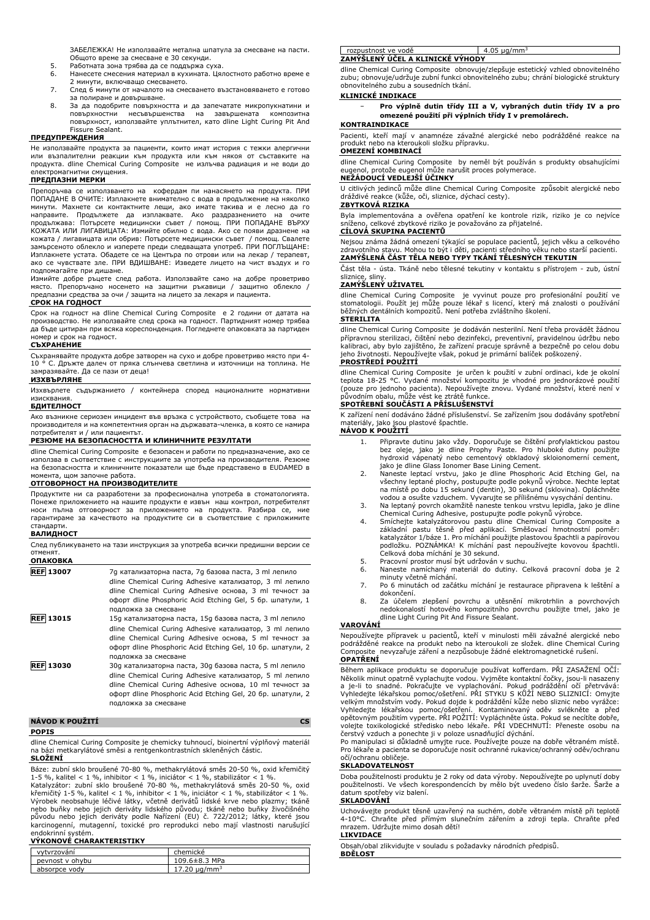ЗАБЕЛЕЖКА! Не използвайте метална шпатула за смесване на пасти. Общото време за смесване е 30 секунди.

- 5. Работната зона трябва да се поддържа суха.
- 6. Нанесете смесения материал в кухината. Цялостното работно време е 2 минути, включващо смесването.
- 7. След 6 минути от началото на смесването възстановяването е готово за полиране и довършване.
- 8. За да подобрите повърхността и да запечатате микропукнатини и повърхностни несъвършенства на завършената композитна повърхност, използвайте уплътнител, като dline Light Curing Pit And Fissure Sealant.

# **ПРЕДУПРЕЖДЕНИЯ**

Не използвайте продукта за пациенти, които имат история с тежки алергични или възпалителни реакции към продукта или към някоя от съставките на продукта. dline Chemical Curing Composite не излъчва радиация и не води до електромагнитни смущения.

# **ПРЕДПАЗНИ МЕРКИ**

Препоръчва се използването на кофердам пи нанасянето на продукта. ПРИ ПОПАДАНЕ В ОЧИТЕ: Изплакнете внимателно с вода в продължение на няколко минути. Махнете си контактните лещи, ако имате такива и е лесно да го направите. Продължете да изплаквате. Ако раздразнението продължава: Потърсете медицински съвет / помощ. ПРИ ПОПАДАНЕ ВЪРХУ КОЖАТА ИЛИ ЛИГАВИЦАТА: Измийте обилно с вода. Ако се появи дразнене на кожата / лигавицата или обрив: Потърсете медицински съвет / помощ. Свалете замърсеното облекло и изперете преди следващата употреб. ПРИ ПОГЛЪЩАНЕ: Изплакнете устата. Обадете се на Центъра по отрови или на лекар / терапевт, ако се чувствате зле. ПРИ ВДИШВАНЕ: Изведете лицето на чист въздух и го подпомагайте при дишане.

Измийте добре ръцете след работа. Използвайте само на добре проветриво място. Препоръчано носенето на защитни ръкавици / защитно облекло / предпазни средства за очи / защита на лицето за лекаря и пациента.

# **СРОК НА ГОДНОСТ**

Срок на годност на dline Chemical Curing Composite е 2 години от датата на производство. Не използвайте след срока на годност. Партидният номер трябва да бъде цитиран при всяка кореспонденция. Погледнете опаковката за партиден и срок на годност.

### **СЪХРАНЕНИЕ**

Съхранявайте продукта добре затворен на сухо и добре проветриво място при 4- 10 ° C. Дръжте далеч от пряка слънчева светлина и източници на топлина. Не замразявайте. Да се пази от деца!

# **ИЗХВЪРЛЯНЕ**

Изхвърлете съдържанието / контейнера според националните нормативни изисквания.

# **БДИТЕЛНОСТ**

Ако възникне сериозен инцидент във връзка с устройството, съобщете това на производителя и на компетентния орган на държавата-членка, в която се намира потребителят и / или пациентът.

#### **РЕЗЮМЕ НА БЕЗОПАСНОСТТА И КЛИНИЧНИТЕ РЕЗУЛТАТИ**

dline Chemical Curing Composite е безопасен и работи по предназначение, ако се използва в съответствие с инструкциите за употреба на производителя. Резюме на безопасността и клиничните показатели ще бъде представено в EUDAMED в момента, щом започне работа.

# **ОТГОВОРНОСТ НА ПРОИЗВОДИТЕЛИТЕ**

Продуктите ни са разработени за професионална употреба в стоматологията. Понеже приложението на нашите продукти е извън наш контрол, потребителят носи пълна отговорност за приложението на продукта. Разбира се, ние гарантираме за качеството на продуктите си в съответствие с приложимите стандарти.

### **ВАЛИДНОСТ**

След публикуването на тази инструкция за употреба всички предишни версии се отменят. **ОПАКОВКА**

| UIIANUDNA              |                                                                                                                                                                                                                                                                    |
|------------------------|--------------------------------------------------------------------------------------------------------------------------------------------------------------------------------------------------------------------------------------------------------------------|
| <b>REF 13007</b>       | 7g катализаторна паста, 7g базова паста, 3 ml лепило<br>dline Chemical Curing Adhesive катализатор, 3 ml лепило<br>dline Chemical Curing Adhesive основа, 3 ml течност за<br>офорт dline Phosphoric Acid Etching Gel, 5 бр. шпатули, 1<br>подложка за смесване     |
| <b>REF 13015</b>       | 15g катализаторна паста, 15g базова паста, 3 ml лепило<br>dline Chemical Curing Adhesive катализатор, 3 ml лепило<br>dline Chemical Curing Adhesive основа, 5 ml течност за<br>офорт dline Phosphoric Acid Etching Gel, 10 бр. шпатули, 2<br>подложка за смесване  |
| <b>REF 13030</b>       | 30g катализаторна паста, 30g базова паста, 5 ml лепило<br>dline Chemical Curing Adhesive катализатор, 5 ml лепило<br>dline Chemical Curing Adhesive основа, 10 ml течност за<br>офорт dline Phosphoric Acid Etching Gel, 20 бр. шпатули, 2<br>подложка за смесване |
| <b>NÁVOD K POUŽITÍ</b> | сs                                                                                                                                                                                                                                                                 |

# **POPIS**

dline Chemical Curing Composite je chemicky tuhnoucí, bioinertní výplňový materiál na bázi metkarylátové směsi a rentgenkontrastních skleněných částic. **SLOŽENÍ**

Báze: zubní sklo broušené 70-80 %, methakrylátová směs 20-50 %, oxid křemičitý 1-5 %, kalitel < 1 %, inhibitor < 1 %, iniciátor < 1 %, stabilizátor < 1 %.<br>Katalyzátor : zubní sklo broušené 70-80 %, methakrylátová směs 20-50 %, oxid<br>křemičitý 1-5 %, kalitel < 1 %, inhibitor < 1 %, iniciátor < 1 %, sta

# endokrinní systém. **VÝKONOVÉ CHARAKTERISTIKY**

| vytvrzování     | chemické                      |
|-----------------|-------------------------------|
| peynost y ohybu | $109.6 \pm 8.3$ MPa           |
| absorpce vody   | 17.20 $\mu$ g/mm <sup>3</sup> |

rozpustnost ve vodě 4.05 μg/mm<sup>3</sup> **ZAMÝŠLENÝ ÚČEL A KLINICKÉ VÝHODY**

dline Chemical Curing Composite obnovuje/zlepšuje estetický vzhled obnovitelného zubu; obnovuje/udržuje zubní funkci obnovitelného zubu; chrání biologické struktury obnovitelného zubu a sousedních tkání.

# **KLINICKÉ INDIKACE**

− **Pro výplně dutin třídy III a V, vybraných dutin třídy IV a pro omezené použití při výplních třídy I v premolárech.**

### **KONTRAINDIKACE**

Pacienti, kteří mají v anamnéze závažné alergické nebo podrážděné reakce na produkt nebo na kteroukoli složku přípravku.

# **OMEZENÍ KOMBINACÍ**

dline Chemical Curing Composite by neměl být používán s produkty obsahujícími protože eugenol může narušit proces polymerace. **NEŽÁDOUCÍ VEDLEJŠÍ ÚČINKY**

U citlivých jedinců může dline Chemical Curing Composite způsobit alergické nebo dráždivé reakce (kůže, oči, sliznice, dýchací cesty).

# **ZBYTKOVÁ RIZIKA**

Byla implementována a ověřena opatření ke kontrole rizik, riziko je co nejvíce sníženo, celkové zbytkové riziko je považováno za přijatelné.

# **CÍLOVÁ SKUPINA PACIENTŮ**

Nejsou známa žádná omezení týkající se populace pacientů, jejich věku a celkového zdravotního stavu. Mohou to být i děti, pacienti středního věku nebo starší pacienti. **ZAMÝŠLENÁ ČÁST TĚLA NEBO TYPY TKÁNÍ TĚLESNÝCH TEKUTIN**

Část těla - ústa. Tkáně nebo tělesné tekutiny v kontaktu s přístrojem - zub, ústní sliznice, sliny.

# **ZAMÝŠLENÝ UŽIVATEL**

dline Chemical Curing Composite je vyvinut pouze pro profesionální použití ve stomatologii. Použít jej může pouze lékař s licencí, který má znalosti o používání běžných dentálních kompozitů. Není potřeba zvláštního školení.

### **STERILITA**

dline Chemical Curing Composite je dodáván nesterilní. Není třeba provádět žádnou přípravnou sterilizaci, čištění nebo dezinfekci, preventivní, pravidelnou údržbu nebo kalibraci, aby bylo zajištěno, že zařízení pracuje správně a bezpečně po celou dobu jeho životnosti. Nepoužívejte však, pokud je primární balíček poškozený. **PROSTŘEDÍ POUŽITÍ**

dline Chemical Curing Composite je určen k použití v zubní ordinaci, kde je okolní<br>teplota 18-25 °C. Vydané množství kompozitu je vhodné pro jednorázové použití<br>(pouze pro jednoho pacienta). Nepoužívejte znovu. Vydané mno

# **SPOTŘEBNÍ SOUČÁSTI A PŘÍSLUŠENSTVÍ**

K zařízení není dodáváno žádné příslušenství. Se zařízením jsou dodávány spotřební materiály, jako jsou plastové špachtle. **NÁVOD K POUŽITÍ**

# 1. Připravte dutinu jako vždy. Doporučuje se čištění profylaktickou pastou bez oleje, jako je dline Prophy Paste. Pro hluboké dutiny použijte hydroxid vápenatý nebo cementový obkladový skloionomerní cement, jako je dline Glass Ionomer Base Lining Cement.

- 2. Naneste leptací vrstvu, jako je dline Phosphoric Acid Etching Gel, na všechny leptané plochy, postupujte podle pokynů výrobce. Nechte leptat na místě po dobu 15 sekund (dentin), 30 sekund (sklovina). Opláchněte vodou a osušte vzduchem. Vyvarujte se přílišnému vysychání dentinu.
- 3. Na leptaný povrch okamžitě naneste tenkou vrstvu lepidla, jako je dline
- Chemical Curing Adhesive, postupujte podle pokynŭ výrobce.<br>4. Smíchejte katalyzátorovou pastu dline Chemical Curing Composite a<br>4. základní pastu těsně před aplikací. Směšovací hmotnostní poměr:<br>katalyzátor 1/báze 1. Pro m podložku. POZNAMKA! K michání past nepoužívejte kovovou špachtli.<br>Celková doba míchání je 30 sekund.<br>5. Pracovní prostor musí být udržován v suchu.
- 
- 6. Naneste namíchaný materiál do dutiny. Celková pracovní doba je 2 minuty včetně míchání. 7. Po 6 minutách od začátku míchání je restaurace připravena k leštění a
- dokončení.
- 8. Za účelem zlepšení povrchu a utěsnění mikrotrhlin a povrchových nedokonalostí hotového kompozitního povrchu použijte tmel, jako je dline Light Curing Pit And Fissure Sealant.

# **VAROVÁNÍ**

Nepoužívejte přípravek u pacientů, kteří v minulosti měli závažné alergické nebo podrážděné reakce na produkt nebo na kteroukoli ze složek. dline Chemical Curing Composite nevyzařuje záření a nezpůsobuje žádné elektromagnetické rušení.

# **OPATŘENÍ**

Během aplikace produktu se doporučuje používat kofferdam. PŘI ZASAŽENÍ OČÍ: Několik minut opatrně vyplachujte vodou. Vyjměte kontaktní čočky, jsou-li nasazeny a je-li to snadné. Pokračujte ve vyplachování. Pokud podráždění očí přetrvává: Vyhledejte lékařskou pomoc/ošetření. PŘI STYKU S KŮŽÍ NEBO SLIZNICÍ: Omyjte velkým množstvím vody. Pokud dojde k podráždění kůže nebo sliznic nebo vyrážce: Vyhledejte lékařskou pomoc/ošetření. Kontaminovaný oděv svlékněte a před<br>opětovným použitím vyperte. PŘI POŽITÍ: Vypláchněte ústa. Pokud se necítíte dobře,<br>volejte toxikologické středisko nebo lékaře. PŘI VDECHNUTÍ: Přenes

Pro lékaře a pacienta se doporučuje nosit ochranné rukavice/ochranný oděv/ochranu očí/ochranu obličeje.

# **SKLADOVATELNOST**

Doba použitelnosti produktu je 2 roky od data výroby. Nepoužívejte po uplynutí doby použitelnosti. Ve všech korespondencích by mělo být uvedeno číslo šarže. Šarže a datum spotřeby viz balení.

# **SKLADOVÁNÍ**

Uchovávejte produkt těsně uzavřený na suchém, dobře větraném místě při teplotě 4-10°C. Chraňte před přímým slunečním zářením a zdroji tepla. Chraňte před mrazem. Udržujte mimo dosah dětí!

**LIKVIDACE**

Obsah/obal zlikvidujte v souladu s požadavky národních předpisů.

**BDĚLOST**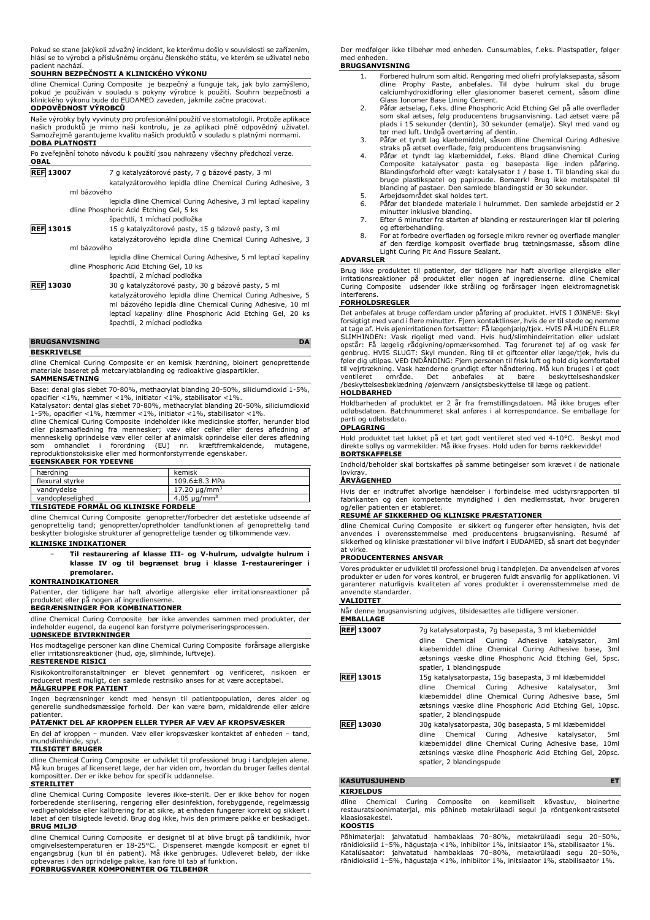Pokud se stane jakýkoli závažný incident, ke kterému došlo v souvislosti se zařízením, hlásí se to výrobci a příslušnému orgánu členského státu, ve kterém se uživatel nebo pacient nachází.

#### **SOUHRN BEZPEČNOSTI A KLINICKÉHO VÝKONU**

dline Chemical Curing Composite je bezpečný a funguje tak, jak bylo zamýšleno, pokud je používán v souladu s pokyny výrobce k použití. Souhrn bezpečnosti a klinického výkonu bude do EUDAMED zaveden, jakmile začne pracovat. **ODPOVĚDNOST VÝROBCŮ**

# Naše výrobky byly vyvinuty pro profesionální použití ve stomatologii. Protože aplikace<br>našich produktů je mimo naši kontrolu, je za aplikaci plně odpovědný uživatel.<br>Samozřejmě garantujeme kvalitu naších produkt **DOBA PLATNOSTI**

Po zveřejnění tohoto návodu k použití jsou nahrazeny všechny předchozí verze. **OBAL REF 13007** 7 g katalyzátorové pasty, 7 g bázové pasty, 3 ml katalyzátorového lepidla dline Chemical Curing Adhesive, 3 ml bázového lepidla dline Chemical Curing Adhesive, 3 ml leptací kapaliny dline Phosphoric Acid Etching Gel, 5 ks špachtlí, 1 míchací podložka **REF 13015** 15 g katalyzátorové pasty, 15 g bázové pasty, 3 ml katalyzátorového lepidla dline Chemical Curing Adhesive, 3 ml bázového

> lepidla dline Chemical Curing Adhesive, 5 ml leptací kapaliny dline Phosphoric Acid Etching Gel, 10 ks

špachtlí, 2 míchací podložka **REF 13030** 30 g katalyzátorové pasty, 30 g bázové pasty, 5 ml katalyzátorového lepidla dline Chemical Curing Adhesive, 5 ml bázového lepidla dline Chemical Curing Adhesive, 10 ml leptací kapaliny dline Phosphoric Acid Etching Gel, 20 ks špachtlí, 2 míchací podložka

# **BRUGSANVISNING DA**

**BESKRIVELSE**

dline Chemical Curing Composite er en kemisk hærdning, bioinert genoprettende materiale baseret på metcarylatblanding og radioaktive glaspartikler.

# **SAMMENSÆTNING**

Base: denal glas slebet 70-80%, methacrylat blanding 20-50%, siliciumdioxid 1-5%, opacifier <1%, hæmmer <1%, initiator <1%, stabilisator <1%. Katalysator: dental glas slebet 70-80%, methacrylat blanding 20-50%, siliciumdioxid

1-5%, opacifier <1%, hæmmer <1%, initiator <1%, stabilisator <1%.<br>dline Chemical Curing Composite indeholder ikke medicinske stoffer, herunder blod<br>eller plasmaafledning fra mennesker; væv eller celler eller deres

menneskelig oprindelse væv eller celler af animalsk oprindelse eller deres afledning<br>som omhandlet i forordning (EU) nr. kræftfremkaldende, mutagene,<br>reproduktionstoksiske eller med hormonforstyrrende egen **EGENSKABER FOR YDEEVNE**

# hærdning kemisk<br>flexural styrke 109.64  $109.6\pm 8.3$  MPa vandrydelse 17.20 μg/mm<sup>3</sup> vandopløselighed 4.05 μg/mm<sup>3</sup>

# **TILSIGTEDE FORMÅL OG KLINISKE FORDELE**

dline Chemical Curing Composite genopretter/forbedrer det æstetiske udseende af genoprettelig tand; genopretter/opretholder tandfunktionen af genoprettelig tand beskytter biologiske strukturer af genoprettelige tænder og tilkommende væv. **KLINISKE INDIKATIONER**

# − **Til restaurering af klasse III- og V-hulrum, udvalgte hulrum i klasse IV og til begrænset brug i klasse I-restaureringer i premolarer.**

# **KONTRAINDIKATIONER**

Patienter, der tidligere har haft alvorlige allergiske eller irritationsreaktioner på produktet eller på nogen af ingrediensern

#### **BEGRÆNSNINGER FOR KOMBINATIONER**

dline Chemical Curing Composite bør ikke anvendes sammen med produkter, der indeholder eugenol, da eugenol kan forstyrre polymeriseringsprocessen. **UØNSKEDE BIVIRKNINGER**

Hos modtagelige personer kan dline Chemical Curing Composite forårsage allergiske eller irritationsreaktioner (hud, øje, slimhinde, luftveje).

# **RESTERENDE RISICI**

Risikokontrolforanstaltninger er blevet gennemført og verificeret, risikoen er reduceret mest muligt, den samlede restrisiko anses for at være acceptabel.

# **MÅLGRUPPE FOR PATIENT**

Ingen begrænsninger kendt med hensyn til patientpopulation, deres alder og generelle sundhedsmæssige forhold. Der kan være børn, midaldrende eller ældre patienter

# **PÅTÆNKT DEL AF KROPPEN ELLER TYPER AF VÆV AF KROPSVÆSKER**

En del af kroppen – munden. Væv eller kropsvæsker kontaktet af enheden – tand, mundslimhinde, spyt.

# **TILSIGTET BRUGER**

dline Chemical Curing Composite er udviklet til professionel brug i tandplejen alene. Må kun bruges af licenseret læge, der har viden om, hvordan du bruger fælles dental kompositter. Der er ikke behov for specifik uddannelse.

#### **STERILITET**

dline Chemical Curing Composite leveres ikke-sterilt. Der er ikke behov for nogen forberedende sterilisering, rengøring eller desinfektion, forebyggende, regelmæssig vedligeholdelse eller kalibrering for at sikre, at enheden fungerer korrekt og sikkert i løbet af den tilsigtede levetid. Brug dog ikke, hvis den primære pakke er beskadiget. **BRUG MILJØ**

dline Chemical Curing Composite er designet til at blive brugt på tandklinik, hvor<br>omgivelsestemperaturen er 18-25°C. Dispenseret mængde komposit er egnet til<br>engangsbrug (kun til én patient). Må ikke genbruges. Udleveret **FORBRUGSVARER KOMPONENTER OG TILBEHØR**

Der medfølger ikke tilbehør med enheden. Cunsumables, f.eks. Plastspatler, følger med enheden. **BRUGSANVISNING**

# 1. Forbered hulrum som altid. Rengøring med oliefri profylaksepasta, såsom dline Prophy Paste, anbefales. Til dybe hulrum skal du bruge calciumhydroxidforing eller glasionomer baseret cement, såsom dline

- Glass Ionomer Base Lining Cement. 2. Påfør ætselag, f.eks. dline Phosphoric Acid Etching Gel på alle overflader som skal ætses, følg producentens brugsanvisning. Lad ætset være på plads i 15 sekunder (dentin), 30 sekunder (emalje). Skyl med vand og tør med luft. Undgå overtørring af dentin. 3. Påfør et tyndt lag klæbemiddel, såsom dline Chemical Curing Adhesive
- 
- straks på ætset overflade, følg producentens brugsanvisning<br>4. Påfør et tyndt lag klæbemiddel, f.eks. Bland dline Chemical Curing<br>Composite katalysator pasta og basepasta lige inden påføring.<br>Blandingsforhold efter vægt: k bruge plastikspatel og papirpude. Bemærk! Brug ikke metalspatel til blanding af pastaer. Den samlede blandingstid er 30 sekunder. 5. Arbejdsområdet skal holdes tørt.
- 
- 6. Påfør det blandede materiale i hulrummet. Den samlede arbejdstid er 2 minutter inklusive blanding. 7. Efter 6 minutter fra starten af blanding er restaureringen klar til polering
- og efterbehandling.
- 8. For at forbedre overfladen og forsegle mikro revner og overflade mangler af den færdige komposit overflade brug tætningsmasse, såsom dline Light Curing Pit And Fissure Sealant.

# **ADVARSLER**

Brug ikke produktet til patienter, der tidligere har haft alvorlige allergiske eller irritationsreaktioner på produktet eller nogen af ingredienserne. dline Chemical Curing Composite udsender ikke stråling og forårsager ingen elektromagnetisk interferens.

# **FORHOLDSREGLER**

Det anbefales at bruge cofferdam under påføring af produktet. HVIS I ØJNENE: Skyl forsigtigt med vand i flere minutter. Fjern kontaktlinser, hvis de er til stede og nemme at tage af. Hvis øjenirritationen fortsætter: Få lægehjælp/tjek. HVIS PA HUDEN ELLER<br>SLIMHINDEN: Vask rigeligt med vand. Hvis hud/slimhindeirritation eller udslæt<br>opstår: Få lægelig rådgivning/opmærksomhed. Tag forurenet t føler dig utilpas. VED INDÅNDING: Fjern personen til frisk luft og hold dig komfortabel til vejrtrækning. Vask hænderne grundigt efter håndtering. Må kun bruges i et godt ventileret område. Det anbefales at bære beskyttelseshandsker /beskyttelsesbeklædning /øjenværn /ansigtsbeskyttelse til læge og patient.

#### **HOLDBARHED**

Holdbarheden af produktet er 2 år fra fremstillingsdatoen. Må ikke bruges efter udløbsdatoen. Batchnummeret skal anføres i al korrespondance. Se emballage for parti og udløbsdato.

#### **OPLAGRING**

Hold produktet tæt lukket på et tørt godt ventileret sted ved 4-10°C. Beskyt mod direkte sollys og varmekilder. Må ikke fryses. Hold uden for børns rækkevidde! **BORTSKAFFELSE**

Indhold/beholder skal bortskaffes på samme betingelser som krævet i de nationale lovkrav.

# **ÅRVÅGENHED**

Hvis der er indtruffet alvorlige hændelser i forbindelse med udstyrsrapporten til fabrikanten og den kompetente myndighed i den medlemsstat, hvor brugeren og/eller patienten er etableret.

# **RESUMÉ AF SIKKERHED OG KLINISKE PRÆSTATIONER**

dline Chemical Curing Composite er sikkert og fungerer efter hensigten, hvis det anvendes i overensstemmelse med producentens brugsanvisning. Resumé af sikkerhed og kliniske præstationer vil blive indført i EUDAMED, så snart det begynder at virke.

# **PRODUCENTERNES ANSVAR**

Vores produkter er udviklet til professionel brug i tandplejen. Da anvendelsen af vores produkter er uden for vores kontrol, er brugeren fuldt ansvarlig for applikationen. Vi garanterer naturligvis kvaliteten af vores produkter i overensstemmelse med de anvendte standarder.

#### **VALIDITET**

Når denne brugsanvisning udgives, tilsidesættes alle tidligere versioner.

| <b>EMBALLAGE</b>                                                        |                                                                                                                                               |
|-------------------------------------------------------------------------|-----------------------------------------------------------------------------------------------------------------------------------------------|
| <b>REF 13007</b><br>7q katalysatorpasta, 7q basepasta, 3 ml klæbemiddel |                                                                                                                                               |
|                                                                         | katalysator.<br>Chemical Curing Adhesive<br>dline<br>3ml                                                                                      |
|                                                                         | klæbemiddel dline Chemical Curing Adhesive base, 3ml                                                                                          |
|                                                                         | ætsnings væske dline Phosphoric Acid Etching Gel, 5psc.                                                                                       |
|                                                                         | spatler, 1 blandingspude                                                                                                                      |
| <b>REF 13015</b>                                                        | 15g katalysatorpasta, 15g basepasta, 3 ml klæbemiddel                                                                                         |
|                                                                         | dline Chemical Curing Adhesive katalysator,<br>3ml                                                                                            |
|                                                                         | klæbemiddel dline Chemical Curing Adhesive base, 5ml                                                                                          |
|                                                                         | ætsnings væske dline Phosphoric Acid Etching Gel, 10psc.                                                                                      |
|                                                                         | spatler, 2 blandingspude                                                                                                                      |
| <b>REF 13030</b>                                                        | 30g katalysatorpasta, 30g basepasta, 5 ml klæbemiddel                                                                                         |
|                                                                         | Chemical Curing Adhesive katalysator,<br>dline<br>5 <sub>ml</sub>                                                                             |
|                                                                         | klæbemiddel dline Chemical Curing Adhesive base, 10ml<br>ætsnings væske dline Phosphoric Acid Etching Gel, 20psc.<br>spatler, 2 blandingspude |
|                                                                         |                                                                                                                                               |

# **KASUTUSJUHEND ET**

#### **KIRJELDUS**

dline Chemical Curing Composite on keemiliselt kõvastuv, bioinertne restauratsioonimaterjal, mis põhineb metakrülaadi segul ja röntgenkontrastsetel klaasiosakestel.

#### **KOOSTIS**

Põhimaterjal: jahvatatud hambaklaas 70–80%, metakrülaadi segu 20–50%,<br>ränidioksiid 1–5%,hägustaja <1%, inhibiitor 1%, initsiaator 1%, stabilisaator 1%.<br>Katalüsaator: jahvatatud hambaklaas 70–80%, metakrülaadi segu 20–50%, ränidioksiid 1–5%, hägustaja <1%, inhibiitor 1%, initsiaator 1%, stabilisaator 1%.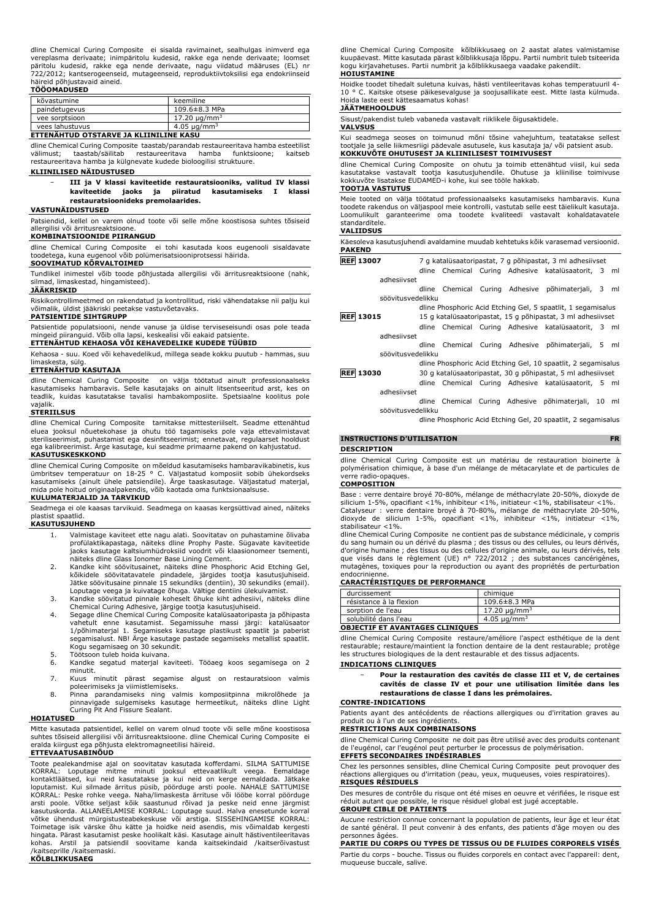dline Chemical Curing Composite ei sisalda ravimainet, sealhulgas inimverd ega vereplasma derivaate; inimpäritolu kudesid, rakke ega nende derivaate; loomset päritolu kudesid, rakke ega nende derivaate, nagu viidatud määruses (EL) nr 722/2012; kantserogeenseid, mutageenseid, reproduktiivtoksilisi ega endokriinseid häireid põhjustavaid aineid.

# **TÖÖOMADUSED**

| kõvastumine                            | keemiline                     |
|----------------------------------------|-------------------------------|
| paindetugevus                          | 109.6±8.3 MPa                 |
| vee sorptsioon                         | 17.20 $\mu$ g/mm <sup>3</sup> |
| vees lahustuvus                        | 4.05 $\mu$ g/mm <sup>3</sup>  |
| ETTENÄHTUD OTSTARVE JA KLIINILINE KASU |                               |

dline Chemical Curing Composite taastab/parandab restaureeritava hamba esteetilist välimust; taastab/säilitab restaureeritava hamba funktsioone; kaitseb restaureeritava hamba ja külgnevate kudede bioloogilisi struktuure.

# **KLIINILISED NÄIDUSTUSED**

− **III ja V klassi kaviteetide restauratsiooniks, valitud IV klassi kaviteetide jaoks ja piiratud kasutamiseks I klassi restauratsioonideks premolaarides.**

# **VASTUNÄIDUSTUSED**

Patsiendid, kellel on varem olnud toote või selle mõne koostisosa suhtes tõsiseid allergilisi või ärritusreaktsioone.

# **KOMBINATSIOONIDE PIIRANGUD**

dline Chemical Curing Composite ei tohi kasutada koos eugenooli sisaldavate toodetega, kuna eugenool võib polümerisatsiooniprotsessi häirida.

# **SOOVIMATUD KÕRVALTOIMED**

Tundlikel inimestel võib toode põhjustada allergilisi või ärritusreaktsioone (nahk, silmad, limaskestad, hingamisteed).

#### **JÄÄKRISKID**

Riskikontrollimeetmed on rakendatud ja kontrollitud, riski vähendatakse nii palju kui võimalik, üldist jääkriski peetakse vastuvõetavaks.

#### **PATSIENTIDE SIHTGRUPP**

Patsientide populatsiooni, nende vanuse ja üldise terviseseisundi osas pole teada mingeid piiranguid. Võib olla lapsi, keskealisi või eakaid patsiente.

# **ETTENÄHTUD KEHAOSA VÕI KEHAVEDELIKE KUDEDE TÜÜBID**

Kehaosa - suu. Koed või kehavedelikud, millega seade kokku puutub - hammas, suu limaskesta, sülg.

## **ETTENÄHTUD KASUTAJA**

dline Chemical Curing Composite on välja töötatud ainult professionaalseks kasutamiseks hambaravis. Selle kasutajaks on ainult litsentseeritud arst, kes on teadlik, kuidas kasutatakse tavalisi hambakomposiite. Spetsiaalne koolitus pole vajalik.

# **STERIILSUS**

dline Chemical Curing Composite tarnitakse mittesteriilselt. Seadme ettenähtud<br>eluea jooksul nõuetekohase ja ohutu töö tagamiseks pole vaja ettevalmistavat<br>steriliseerimist, puhastamist ega desinfitseerimist; ennetavat, r ega kalibreerimist. Ärge kasutage, kui seadme primaarne pakend on kahjustatud. **KASUTUSKESKKOND** 

dline Chemical Curing Composite on mõeldud kasutamiseks hambaravikabinetis, kus<br>ümbritsev temperatuur on 18-25 °C. Väljastatud komposiit sobib ühekordseks<br>kasutamiseks (ainult ühele patsiendile). Ärge taaskasu mida pole hoitud originaalpakendis, võib kaotada oma funktsionaalsuse. **KULUMATERJALID JA TARVIKUD**

Seadmega ei ole kaasas tarvikuid. Seadmega on kaasas kergsüttivad ained, näiteks plastist spaatlid.

# **KASUTUSJUHEND**

- 1. Valmistage kaviteet ette nagu alati. Soovitatav on puhastamine õlivaba profülaktikapastaga, näiteks dline Prophy Paste. Sügavate kaviteetide jaoks kasutage kaltsiumhüdroksiid voodrit või klaasionomeer tsementi, näiteks dline Glass Ionomer Base Lining Cement.
- 2. Kandke kiht söövitusainet, näiteks dline Phosphoric Acid Etching Gel, kõikidele söövitatavatele pindadele, järgides tootja kasutusjuhiseid. Jätke söövitusaine pinnale 15 sekundiks (dentiin), 30 sekundiks (email).
- Loputage veega ja kuivatage õhuga. Vältige dentiini ülekuivamist. 3. Kandke söövitatud pinnale koheselt õhuke kiht adhesiivi, näiteks dline Chemical Curing Adhesive, järgige tootja kasutusjuhiseid.
- 4. Segage dline Chemical Curing Composite katalüsaatoripasta ja põhipasta vahetult enne kasutamist. Segamissuhe massi järgi: katalüsaator 1/põhimaterjal 1. Segamiseks kasutage plastikust spaatlit ja paberist segamisalust. NB! Ärge kasutage pastade segamiseks metallist spaatlit. Kogu segamisaeg on 30 sekundit.
- 5. Töötsoon tuleb hoida kuivana.<br>6. Kandke segatud materjal ka
- 6. Kandke segatud materjal kaviteeti. Tööaeg koos segamisega on 2 minutit.
- 7. Kuus minutit pärast segamise algust on restauratsioon valmis poleerimiseks ja viimistlemiseks.
- 8. Pinna parandamiseks ning valmis komposiitpinna mikrolõhede ja pinnavigade sulgemiseks kasutage hermeetikut, näiteks dline Light Curing Pit And Fissure Sealant.

#### **HOIATUSED**

Mitte kasutada patsientidel, kellel on varem olnud toote või selle mõne koostisosa suhtes tõsiseid allergilisi või ärritusreaktsioone. dline Chemical Curing Composite ei eralda kiirgust ega põhjusta elektromagneetilisi häireid.

# **ETTEVAATUSABINÕUD**

Toote pealekandmise ajal on soovitatav kasutada kofferdami. SILMA SATTUMISE KORRAL: Loputage mitme minuti jooksul ettevaatlikult veega. Eemaldage kontaktläätsed, kui neid kasutatakse ja kui neid on kerge eemaldada. Jätkake loputamist. Kui silmade ärritus püsib, pöörduge arsti poole. NAHALE SATTUMISE KORRAL: Peske rohke veega. Naha/limaskesta ärrituse või lööbe korral pöörduge arsti poole. Võtke seljast kõik saastunud rõivad ja peske neid enne järgmist<br>kasutuskorda. ALLANEELAMISE KORRAL: Loputage suud. Halva enesetunde korral<br>võtke ühendust mürgistusteabekeskuse või arstiga. SISSEHINGAMISE KORRA Toimetage isik värske õhu kätte ja hoidke neid asendis, mis võimaldab kergesti hingata. Pärast kasutamist peske hoolikalt käsi. Kasutage ainult hästiventileeritavas kohas. Arstil ja patsiendil soovitame kanda kaitsekindaid /kaitserõivastust /kaitseprille /kaitsemaski. **KÕLBLIKKUSAEG**

dline Chemical Curing Composite kõlblikkusaeg on 2 aastat alates valmistamise kuupäevast. Mitte kasutada pärast kõlblikkusaja lõppu. Partii numbrit tuleb tsiteerida kogu kirjavahetuses. Partii numbrit ja kõlblikkusaega vaadake pakendilt. **HOIUSTAMINE**

Hoidke toodet tihedalt suletuna kuivas, hästi ventileeritavas kohas temperatuuril 4- 10 ° C. Kaitske otsese päikesevalguse ja soojusallikate eest. Mitte lasta külmuda. Hoida laste eest kättesaamatus kohas!

# **JÄÄTMEHOOLDUS**

Sisust/pakendist tuleb vabaneda vastavalt riiklikele õigusaktidele.

**VALVSUS**

Kui seadmega seoses on toimunud mõni tõsine vahejuhtum, teatatakse sellest tootjale ja selle liikmesriigi pädevale asutusele, kus kasutaja ja/ või patsient asub. **KOKKUVÕTE OHUTUSEST JA KLIINILISEST TOIMIVUSEST**

dline Chemical Curing Composite on ohutu ja toimib ettenähtud viisil, kui seda kasutatakse vastavalt tootja kasutusjuhendile. Ohutuse ja kliinilise toimivuse kokkuvõte lisatakse EUDAMED-i kohe, kui see tööle hakkab.

#### **TOOTJA VASTUTUS**

Meie tooted on välja töötatud professionaalseks kasutamiseks hambaravis. Kuna toodete rakendus on väljaspool meie kontrolli, vastutab selle eest täielikult kasutaja. Loomulikult garanteerime oma toodete kvaliteedi vastavalt kohaldatavatele standarditele.

#### **VALIIDSUS**

Käesoleva kasutusjuhendi avaldamine muudab kehtetuks kõik varasemad versioonid. **PAKEND**

- **REF 13007** 7 g katalüsaatoripastat, 7 g põhipastat, 3 ml adhesiivset
	- dline Chemical Curing Adhesive katalüsaatorit, 3 ml adhesiivset
	- dline Chemical Curing Adhesive põhimaterjali, 3 ml söövitusvedelikku

# dline Phosphoric Acid Etching Gel, 5 spaatlit, 1 segamisalus **REF 13015** 15 g katalüsaatoripastat, 15 g põhipastat, 3 ml adhesiivset

- dline Chemical Curing Adhesive katalüsaatorit, 3 ml adhesiivset
	- dline Chemical Curing Adhesive põhimaterjali, 5 ml söövitusvedelikku
- dline Phosphoric Acid Etching Gel, 10 spaatlit, 2 segamisalus **REF 13030** 30 g katalüsaatoripastat, 30 g põhipastat, 5 ml adhesiivset dline Chemical Curing Adhesive katalüsaatorit, 5 ml
	- adhesiivset dline Chemical Curing Adhesive põhimaterjali, 10 ml
		- söövitusvedelikku dline Phosphoric Acid Etching Gel, 20 spaatlit, 2 segamisalus
			-

# **INSTRUCTIONS D'UTILISATION FR DESCRIPTION**

dline Chemical Curing Composite est un matériau de restauration bioinerte à polymérisation chimique, à base d'un mélange de métacarylate et de particules de verre radio-opaques.

# **COMPOSITION**

Base : verre dentaire broyé 70-80%, mélange de méthacrylate 20-50%, dioxyde de silicium 1-5%, opacifiant <1%, inhibiteur <1%, initiateur <1%, stabilisateur <1%. Catalyseur : verre dentaire broyé à 70-80%, mélange de méthacrylate 20-50%, dioxyde de silicium 1-5%, opacifiant <1%, inhibiteur <1%, initiateur <1%, stabilisateur <1%.

dline Chemical Curing Composite ne contient pas de substance médicinale, y compris du sang humain ou un dérivé du plasma ; des tissus ou des cellules, ou leurs dérivés, d'origine humaine ; des tissus ou des cellules d'origine animale, ou leurs dérivés, tels<br>que visés dans le règlement (UE) n° 722/2012 ; des substances cancérigènes,<br>mutagènes, toxiques pour la reproduction o endocrinienne.

# **CARACTÉRISTIQUES DE PERFORMANCE**

| durcissement                           | chimique                     |
|----------------------------------------|------------------------------|
| résistance à la flexion                | $109.6 \pm 8.3$ MPa          |
| sorption de l'eau                      | 17.20 ug/mm <sup>3</sup>     |
| solubilité dans l'eau                  | 4.05 $\mu$ g/mm <sup>3</sup> |
| <b>OBJECTIF ET AVANTAGES CLINIOUES</b> |                              |

dline Chemical Curing Composite restaure/améliore l'aspect esthétique de la dent restaurable; restaure/maintient la fonction dentaire de la dent restaurable; protège les structures biologiques de la dent restaurable et des tissus adjacents.

#### **INDICATIONS CLINIQUES**

− **Pour la restauration des cavités de classe III et V, de certaines cavités de classe IV et pour une utilisation limitée dans les restaurations de classe I dans les prémolaires.**

#### **CONTRE-INDICATIONS**

Patients ayant des antécédents de réactions allergiques ou d'irritation graves au produit ou à l'un de ses ingrédients.

# **RESTRICTIONS AUX COMBINAISONS**

dline Chemical Curing Composite ne doit pas être utilisé avec des produits contenant de l'eugénol, car l'eugénol peut perturber le processus de polymérisation. **EFFETS SECONDAIRES INDÉSIRABLES**

Chez les personnes sensibles, dline Chemical Curing Composite peut provoquer des réactions allergiques ou d'irritation (peau, yeux, muqueuses, voies respiratoires). **RISQUES RÉSIDUELS**

Des mesures de contrôle du risque ont été mises en oeuvre et vérifiées, le risque est réduit autant que possible, le risque résiduel global est jugé acceptable. **GROUPE CIBLE DE PATIENTS**

Aucune restriction connue concernant la population de patients, leur âge et leur état de santé général. Il peut convenir à des enfants, des patients d'âge moyen ou des personnes âgées.

**PARTIE DU CORPS OU TYPES DE TISSUS OU DE FLUIDES CORPORELS VISÉS**

Partie du corps - bouche. Tissus ou fluides corporels en contact avec l'appareil: dent, muqueuse buccale, salive.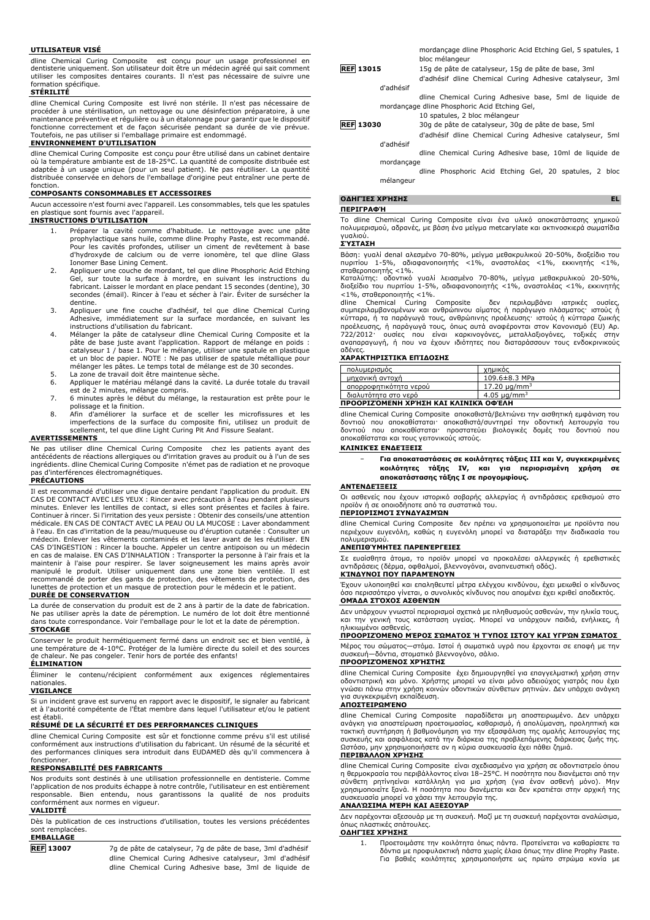#### **UTILISATEUR VISÉ**

dline Chemical Curing Composite est conçu pour un usage professionnel en dentisterie uniquement. Son utilisateur doit être un médecin agréé qui sait comment utiliser les composites dentaires courants. Il n'est pas nécessaire de suivre une formation spécifique.

# **STÉRILITÉ**

dline Chemical Curing Composite est livré non stérile. Il n'est pas nécessaire de procéder à une stérilisation, un nettoyage ou une désinfection préparatoire, à une maintenance préventive et régulière ou à un étalonnage pour garantir que le dispositif fonctionne correctement et de façon sécurisée pendant sa durée de vie prévue. Toutefois, ne pas utiliser si l'emballage primaire est endommagé.

### **ENVIRONNEMENT D'UTILISATION**

dline Chemical Curing Composite est conçu pour être utilisé dans un cabinet dentaire où la température ambiante est de 18-25°C. La quantité de composite distribuée est adaptée à un usage unique (pour un seul patient). Ne pas réutiliser. La quantité distribuée conservée en dehors de l'emballage d'origine peut entraîner une perte de fonction.

#### **COMPOSANTS CONSOMMABLES ET ACCESSOIRES**

Aucun accessoire n'est fourni avec l'appareil. Les consommables, tels que les spatules en plastique sont fournis avec l'appareil.

# **INSTRUCTIONS D'UTILISATION**

- 1. Préparer la cavité comme d'habitude. Le nettoyage avec une pâte prophylactique sans huile, comme dline Prophy Paste, est recommandé.<br>Pour les cavités profondes, utiliser un ciment de revêtement à base<br>d'hydroxyde de calcium ou de verre ionomère, tel que dline Glass Ionomer Base Lining Cement.
- 2. Appliquer une couche de mordant, tel que dline Phosphoric Acid Etching Gel, sur toute la surface à mordre, en suivant les instructions du fabricant. Laisser le mordant en place pendant 15 secondes (dentine), 30 secondes (émail). Rincer à l'eau et sécher à l'air. Éviter de sursécher la dentine.
- 3. Appliquer une fine couche d'adhésif, tel que dline Chemical Curing Adhesive, immédiatement sur la surface mordancée, en suivant les instructions d'utilisation du fabricant.
- 4. Mélanger la pâte de catalyseur dline Chemical Curing Composite et la pâte de base juste avant l'application. Rapport de mélange en poids :<br>catalyseur 1 / base 1. Pour le mélange, utiliser une spatule en plastique<br>et un bloc de papier. NOTE : Ne pas utiliser de spatule métallique pour<br>mélang
- 5. La zone de travail doit être maintenue sèche.<br>6. Appliquer le matériau mélangé dans la cavité
- Appliquer le matériau mélangé dans la cavité. La durée totale du travail est de 2 minutes, mélange compris.
- 7. 6 minutes après le début du mélange, la restauration est prête pour le polissage et la finition.
- 8. Afin d'améliorer la surface et de sceller les microfissures et les<br>imperfections de la surface du composite fini, utilisez un produit de<br>scellement, tel que dline Light Curing Pit And Fissure Sealant.

#### **AVERTISSEMENTS**

Ne pas utiliser dline Chemical Curing Composite chez les patients ayant des antécédents de réactions allergiques ou d'irritation graves au produit ou à l'un de ses ingrédients. dline Chemical Curing Composite n'émet pas de radiation et ne provoque pas d'interférences électromagnétiques.

#### **PRÉCAUTIONS**

Il est recommandé d'utiliser une digue dentaire pendant l'application du produit. EN CAS DE CONTACT AVEC LES YEUX : Rincer avec précaution à l'eau pendant plusieurs minutes. Enlever les lentilles de contact, si elles sont présentes et faciles à faire. Continuer à rincer. Si l'irritation des yeux persiste : Obtenir des conseils/une attention médicale. EN CAS DE CONTACT AVEC LA PEAU OU LA MUCOSE : Laver abondamment à l'eau. En cas d'irritation de la peau/muqueuse ou d'éruption cutanée : Consulter un médecin. Enlever les vêtements contaminés et les laver avant de les réutiliser. EN CAS D'INGESTION : Rincer la bouche. Appeler un centre antipoison ou un médecin en cas de malaise. EN CAS D'INHALATION : Transporter la personne à l'air frais et la<br>maintenir à l'aise pour respirer. Se laver soigneusement les mains après avoir<br>manipulé le produit. Utiliser uniquement da recommandé de porter des gants de protection, des vêtements de protection, des lunettes de protection et un masque de protection pour le médecin et le patient. **DURÉE DE CONSERVATION**

La durée de conservation du produit est de 2 ans à partir de la date de fabrication. Ne pas utiliser après la date de péremption. Le numéro de lot doit être mentionné dans toute correspondance. Voir l'emballage pour le lot et la date de péremption. **STOCKAGE**

Conserver le produit hermétiquement fermé dans un endroit sec et bien ventilé, à une température de 4-10°C. Protéger de la lumière directe du soleil et des sources de chaleur. Ne pas congeler. Tenir hors de portée des enfants!

# **ÉLIMINATION**

Éliminer le contenu/récipient conformément aux exigences réglementaires nationales. **VIGILANCE**

Si un incident grave est survenu en rapport avec le dispositif, le signaler au fabricant et à l'autorité compétente de l'État membre dans lequel l'utilisateur et/ou le patient est établi.

#### **RÉSUMÉ DE LA SÉCURITÉ ET DES PERFORMANCES CLINIQUES**

dline Chemical Curing Composite est sûr et fonctionne comme prévu s'il est utilisé conformément aux instructions d'utilisation du fabricant. Un résumé de la sécurité et des performances cliniques sera introduit dans EUDAMED dès qu'il commencera à fonctionner.

# **RESPONSABILITÉ DES FABRICANTS**

Nos produits sont destinés à une utilisation professionnelle en dentisterie. Comme l'application de nos produits échappe à notre contrôle, l'utilisateur en est entièrement responsable. Bien entendu, nous garantissons la qualité de nos produits conformément aux normes en vigueur.

#### **VALIDITÉ**

Dès la publication de ces instructions d'utilisation, toutes les versions précédentes sont remplacées. **EMBALLAGE**

**REF 13007** 7g de pâte de catalyseur, 7g de pâte de base, 3ml d'adhésif dline Chemical Curing Adhesive catalyseur, 3ml d'adhésif dline Chemical Curing Adhesive base, 3ml de liquide de

|                  | mordancage dline Phosphoric Acid Etching Gel, 5 spatules, 1<br>bloc mélangeur |
|------------------|-------------------------------------------------------------------------------|
| <b>REF 13015</b> | 15g de pâte de catalyseur, 15g de pâte de base, 3ml                           |
|                  | d'adhésif dline Chemical Curing Adhesive catalyseur, 3ml                      |
| d'adhésif        |                                                                               |
|                  | dline Chemical Curing Adhesive base, 5ml de liquide de                        |
|                  | mordançage dline Phosphoric Acid Etching Gel,                                 |
|                  | 10 spatules, 2 bloc mélangeur                                                 |
| <b>REF 13030</b> | 30q de pâte de catalyseur, 30q de pâte de base, 5ml                           |
|                  | d'adhésif dline Chemical Curing Adhesive catalyseur, 5ml                      |
| d'adhésif        |                                                                               |

dline Chemical Curing Adhesive base, 10ml de liquide de mordançage

dline Phosphoric Acid Etching Gel, 20 spatules, 2 bloc mélangeur

# **ΟΔΗΓΊΕΣ ΧΡΉΣΗΣ EL**

**ΠΕΡΙΓΡΑΦΉ**

Το dline Chemical Curing Composite είναι ένα υλικό αποκατάστασης χημικού πολυμερισμού, αδρανές, με βάση ένα μείγμα metcarylate και ακτινοσκιερά σωματίδια γυαλιού.

# **ΣΎΣΤΑΣΗ**

Βάση: γυαλί denal αλεσμένο 70-80%, μείγμα μεθακρυλικού 20-50%, διοξείδιο του πυριτίου 1-5%, αδιαφανοποιητής <1%, αναστολέας <1%, εκκινητής <1%, σταθεροποιητής <1%.

Καταλύτης: οδοντικό γυαλί λειασμένο 70-80%, μείγμα μεθακρυλικού 20-50%, διοξείδιο του πυριτίου 1-5%, αδιαφανοποιητής <1%, αναστολέας <1%, εκκινητής

<1%, σταθεροποιητής <1%.<br>dline Chemical Curing Composite δεν περιλαμβάνει ιατρικές ουσίες,<br>συμπεριλαμβανομένων και ανθρώπινου αίματος ή παράγωγο πλάσματος· ιστούς ή<br>κύτταρα, ή τα παράγωγά τους, ανθρώπινης προέλευσης· ιστο αδένες.

# **ΧΑΡΑΚΤΗΡΙΣΤΙΚΆ ΕΠΊΔΟΣΗΣ**

| πολυμερισμός                         | χημικός                       |
|--------------------------------------|-------------------------------|
| μηχανική αντοχή                      | $109.6 \pm 8.3$ MPa           |
| απορροφητικότητα νερού               | 17.20 $\mu$ g/mm <sup>3</sup> |
| διαλυτότητα στο νερό                 | 4.05 $\mu$ g/mm <sup>3</sup>  |
| ΠΡΟΟΡΙΖΌΜΕΝΗ ΧΡΉΣΗ ΚΑΙ ΚΛΙΝΙΚΆ ΟΦΈΛΗ |                               |

dline Chemical Curing Composite αποκαθιστά/βελτιώνει την αισθητική εμφάνιση του δοντιού που αποκαθίσταται· αποκαθιστά/συντηρεί την οδοντική λειτουργία του δοντιού που αποκαθίσταται· προστατεύει βιολογικές δομές του δοντιού που αποκαθίσταται και τους γειτονικούς ιστούς.

# **ΚΛΙΝΙΚΈΣ ΕΝΔΕΊΞΕΙΣ**

− **Για αποκαταστάσεις σε κοιλότητες τάξεις III και V, συγκεκριμένες κοιλότητες τάξης IV, και για περιορισμένη χρήση σε αποκατάστασης τάξης I σε προγομφίους.**

#### **ΑΝΤΕΝΔΕΊΞΕΙΣ**

Οι ασθενείς που έχουν ιστορικό σοβαρής αλλεργίας ή αντιδράσεις ερεθισμού στο προϊόν ή σε οποιοδήποτε από τα συστατικά του.

# **ΠΕΡΙΟΡΙΣΜΟΊ ΣΥΝΔΥΑΣΜΏΝ**

dline Chemical Curing Composite δεν πρέπει να χρησιμοποιείται με προϊόντα που περιέχουν ευγενόλη, καθώς η ευγενόλη μπορεί να διαταράξει την διαδικασία του πολυμερισμού.

#### **ΑΝΕΠΙΘΎΜΗΤΕΣ ΠΑΡΕΝΈΡΓΕΙΕΣ**

Σε ευαίσθητα άτομα, το προϊόν μπορεί να προκαλέσει αλλεργικές ή ερεθιστικές αντιδράσεις (δέρμα, οφθαλμοί, βλεννογόνοι, αναπνευστική οδός). **ΚΊΝΔΥΝΟΙ ΠΟΥ ΠΑΡΑΜΈΝΟΥΝ**

Έχουν υλοποιηθεί και επαληθευτεί μέτρα ελέγχου κινδύνου, έχει μειωθεί ο κίνδυνος όσο περισσότερο γίνεται, ο συνολικός κίνδυνος που απομένει έχει κριθεί αποδεκτός. **ΟΜΆΔΑ ΣΤΌΧΟΣ ΑΣΘΕΝΏΝ**

Δεν υπάρχουν γνωστοί περιορισμοί σχετικά με πληθυσμούς ασθενών, την ηλικία τους, και την γενική τους κατάσταση υγείας. Μπορεί να υπάρχουν παιδιά, ενήλικες, ή ηλικιωμένοι ασθενείς.

#### **ΠΡΟΟΡΙΖΌΜΕΝΟ ΜΈΡΟΣ ΣΏΜΑΤΟΣ Ή ΤΎΠΟΣ ΙΣΤΟΎ ΚΑΙ ΥΓΡΏΝ ΣΏΜΑΤΟΣ**

Μέρος του σώματος—στόμα. Ιστοί ή σωματικά υγρά που έρχονται σε επαφή με την συσκευή—δόντια, στοματικό βλεννογόνο, σάλιο. **ΠΡΟΟΡΙΖΌΜΕΝΟΣ ΧΡΉΣΤΗΣ**

dline Chemical Curing Composite έχει δημιουργηθεί για επαγγελματική χρήση στην οδοντιατρική και μόνο. Χρήστης μπορεί να είναι μόνο αδειούχος γιατρός που έχει γνώσει πάνω στην χρήση κοινών οδοντικών σύνθετων ρητινών. Δεν υπάρχει ανάγκη για συγκεκριμένη εκπαίδευση.

#### **ΑΠΟΣΤΕΙΡΩΜΈΝΟ**

dline Chemical Curing Composite παραδίδεται μη αποστειρωμένο. Δεν υπάρχει ανάγκη για αποστείρωση προετοιμασίας, καθαρισμό, ή απολύμανση, προληπτική και τακτική συντήρηση ή βαθμονόμηση για την εξασφάλιση της ομαλής λειτουργίας της συσκευής και ασφάλειας κατά την διάρκεια της προβλεπόμενης διάρκειας ζωής της. Ωστόσο, μην χρησιμοποιήσετε αν η κύρια συσκευασία έχει πάθει ζημιά. **ΠΕΡΙΒΆΛΛΟΝ ΧΡΉΣΗΣ**

# dline Chemical Curing Composite είναι σχεδιασμένο για χρήση σε οδοντιατρείο όπου η θερμοκρασία του περιβάλλοντος είναι 18–25°C. Η ποσότητα που διανέμεται από την σύνθετη ρητίνηείναι κατάλληλη για μια χρήση (για έναν ασθενή μόνο). Μην χρησιμοποιείτε ξανά. Η ποσότητα που διανέμεται και δεν κρατιέται στην αρχική της συσκευασία μπορεί να χάσει την λειτουργία της.

# **ΑΝΑΛΏΣΙΜΑ ΜΈΡΗ ΚΑΙ ΑΞΕΣΟΥΆΡ**

Δεν παρέχονται αξεσουάρ με τη συσκευή. Μαζί με τη συσκευή παρέχονται αναλώσιμα, όπως πλαστικές σπάτουλες. **ΟΔΗΓΊΕΣ ΧΡΉΣΗΣ**

1. Προετοιμάστε την κοιλότητα όπως πάντα. Προτείνεται να καθαρίσετε τα δόντια με προφυλακτική πάστα χωρίς έλαια όπως την dline Prophy Paste. Για βαθιές κοιλότητες χρησιμοποιήστε ως πρώτο στρώμα κονία με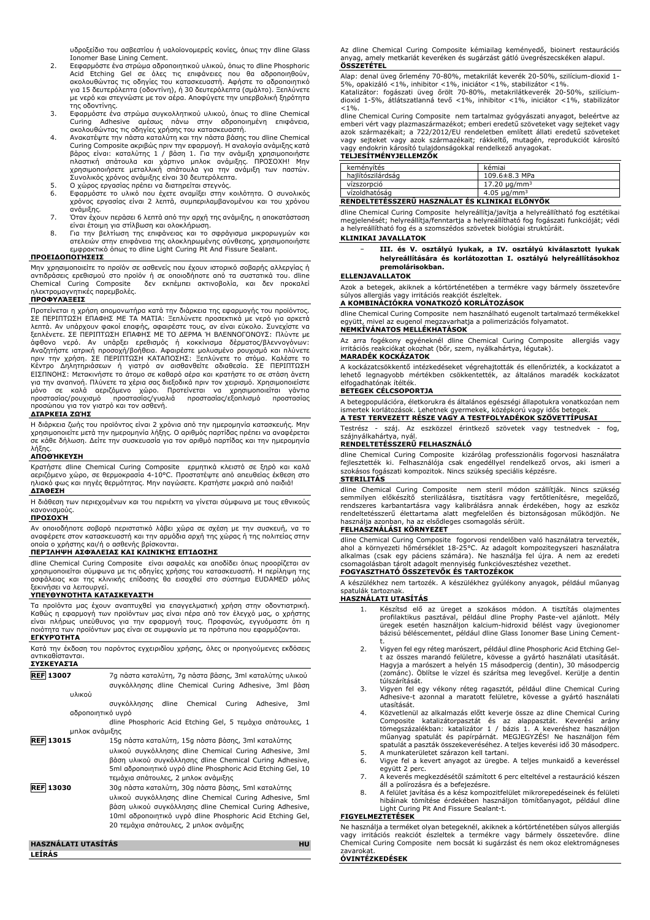υδροξείδιο του ασβεστίου ή υαλοϊονομερείς κονίες, όπως την dline Glass Ionomer Base Lining Cement.

- 2. Eεφαρμόστε ένα στρώμα αδροποιητικού υλικού, όπως το dline Phosphoric Acid Etching Gel σε όλες τις επιφάνειες που θα αδροποιηθούν, ακολουθώντας τις οδηγίες του κατασκευαστή. Αφήστε το αδροποιητικό για 15 δευτερόλεπτα (οδοντίνη), ή 30 δευτερόλεπτα (σμάλτο). Ξεπλύνετε με νερό και στεγνώστε με τον αέρα. Αποφύγετε την υπερβολική ξηρότητα της οδοντίνης.
- 3. Εφαρμόστε ένα στρώμα συγκολλητικού υλικού, όπως το dline Chemical Curing Adhesive αμέσως πάνω στην αδροποιημένη επιφάνεια, ακολουθώντας τις οδηγίες χρήσης του κατασκευαστή.
- 4. Ανακατέψτε την πάστα καταλύτη και την πάστα βάσης του dline Chemical Curing Composite ακριβώς πριν την εφαρμογή. Η αναλογία ανάμιξης κατά<br>βάρος είναι: καταλύτης 1 / βάση 1. Για την ανάμιξη χρησιμοποιήστε<br>πλαστική σπάτουλα και χάρτινο μπλοκ ανάμιξης. ΠΡΟΣΟΧΗ! Μην<br>χρησιμ Συνολικός χρόνος ανάμιξης είναι 30 δευτερόλεπτα.
- 
- 5. Ο χώρος εργασίας πρέπει να διατηρείται στεγνός. 6. Εφαρμόστε το υλικό που έχετε αναμίξει στην κοιλότητα. Ο συνολικός χρόνος εργασίας είναι 2 λεπτά, συμπεριλαμβανομένου και του χρόνου ανάμιξης.
- 7. Όταν έχουν περάσει 6 λεπτά από την αρχή της ανάμιξης, η αποκατάσταση
- είναι έτοιμη για στίλβωση και ολοκλήρωση.<br>8. Για την βελτίωση της επιφάνειας και το σφράγισμα μικρορωγμών και<br>ατελειών στην επιφάνεια της oλοκληρωμένης σύνθεσης, χρησιμοποιήστε<br>εμφρακτικό όπως το dline Light C

# **ΠΡΟΕΙΔΟΠΟΙΉΣΕΙΣ**

Μην χρησιμοποιείτε το προϊόν σε ασθενείς που έχουν ιστορικό σοβαρής αλλεργίας ή αντιδράσεις ερεθισμού στο προϊόν ή σε οποιοδήποτε από τα συστατικά του. dline Chemical Curing Composite δεν εκπέμπει ακτινοβολία, και δεν προκαλεί ηλεκτρομαγνητικές παρεμβολές.

### **ΠΡΟΦΥΛΆΞΕΙΣ**

Προτείνεται η χρήση απομονωτήρα κατά την διάρκεια της εφαρμογής του προϊόντος. ΣΕ ΠΕΡΙΠΤΩΣΗ ΕΠΑΦΗΣ ΜΕ ΤΑ ΜΑΤΙΑ: Ξεπλύνετε προσεκτικά με νερό για αρκετά λεπτά. Αν υπάρχουν φακοί επαφής, αφαιρέστε τους, αν είναι εύκολο. Συνεχίστε να ξεπλένετε. ΣΕ ΠΕΡΙΠΤΩΣΗ ΕΠΑΦΗΣ ΜΕ ΤΟ ΔΕΡΜΑ Ή ΒΛΕΝΝΟΓΟΝΟΥΣ: Πλύντε με άφθονο νερό. Αν υπάρξει ερεθισμός ή κοκκίνισμα δέρματος/βλεννογόνων:<br>Αναζητήστε ιατρική προσοχή/βοήθεια. Αφαιρέστε μολυσμένο ρουχισμό και πλύνετε<br>πριν την χρήση. ΣΕ ΠΕΡΙΠΤΩΣΗ ΚΑΤΑΠΟΣΗΣ: Ξεπλύνετε το στόμα. Καλέστε το<br>Κέντ προστασίας/ρουχισμό προστασίας/γυαλιά προστασίας/εξοπλισμό προστασίας<br>προσώπου για τον γιατρό και τον ασθενή.<br>**ΔΙΆΡΚΕΙΑ ΖΩΉΣ** 

Η διάρκεια ζωής του προϊόντος είναι 2 χρόνια από την ημερομηνία κατασκευής. Μην χρησιμοποιείτε μετά την ημερομηνία λήξης. Ο αριθμός παρτίδας πρέπει να αναφέρεται σε κάθε δήλωση. Δείτε την συσκευασία για τον αριθμό παρτίδας και την ημερομηνία λήξης.

# **ΑΠΟΘΉΚΕΥΣΗ**

Κρατήστε dline Chemical Curing Composite ερμητικά κλειστό σε ξηρό και καλά αεριζόμενο χώρο, σε θερμοκρασία 4-10°C. Προστατέψτε από απευθείας έκθεση στο ηλιακό φως και πηγές θερμότητας. Μην παγώσετε. Κρατήστε μακριά από παιδιά!

# **ΔΙΆΘΕΣΗ**

Η διάθεση των περιεχομένων και του περιέκτη να γίνεται σύμφωνα με τους εθνικούς κανονισμούς.

# **ΠΡΟΣΟΧΉ**

Αν οποιοδήποτε σοβαρό περιστατικό λάβει χώρα σε σχέση με την συσκευή, να το αναφέρετε στον κατασκευαστή και την αρμόδια αρχή της χώρας ή της πολιτείας στην οποία ο χρήστης και/ή ο ασθενής βρίσκονται.

# **ΠΕΡΊΛΗΨΗ ΑΣΦΆΛΕΙΑΣ ΚΑΙ ΚΛΙΝΙΚΉΣ ΕΠΊΔΟΣΗΣ**

dline Chemical Curing Composite είναι ασφαλές και αποδίδει όπως προορίζεται αν χρησιμοποιείται σύμφωνα με τις οδηγίες χρήσης του κατασκευαστή. Η περίληψη της ασφάλειας και της κλινικής επίδοσης θα εισαχθεί στο σύστημα EUDAMED μόλις

# ξεκινήσει να λειτουργεί. **ΥΠΕΥΘΥΝΌΤΗΤΑ ΚΑΤΑΣΚΕΥΑΣΤΉ**

Τα προϊόντα μας έχουν αναπτυχθεί για επαγγελματική χρήση στην οδοντιατρική. Καθώς η εφαρμογή των προϊόντων μας είναι πέρα από τον έλεγχό μας, ο χρήστης είναι πλήρως υπεύθυνος για την εφαρμογή τους. Προφανώς, εγγυόμαστε ότι η ποιότητα των προϊόντων μας είναι σε συμφωνία με τα πρότυπα που εφαρμόζονται. **ΕΓΚΥΡΌΤΗΤΑ**

Κατά την έκδοση του παρόντος εγχειριδίου χρήσης, όλες οι προηγούμενες εκδόσεις αντικαθίστανται. **ΣΥΣΚΕΥΑΣΊΑ**

| 7g πάστα καταλύτη, 7g πάστα βάσης, 3ml καταλύτης υλικού<br>συγκόλλησης dline Chemical Curing Adhesive, 3ml βάση                                                                                                                                                                                                                                                                                                                                          |  |
|----------------------------------------------------------------------------------------------------------------------------------------------------------------------------------------------------------------------------------------------------------------------------------------------------------------------------------------------------------------------------------------------------------------------------------------------------------|--|
|                                                                                                                                                                                                                                                                                                                                                                                                                                                          |  |
| Chemical<br>συγκόλλησης dline<br>Curing<br>Adhesive,<br>3ml                                                                                                                                                                                                                                                                                                                                                                                              |  |
| αδροποιητικό υγρό                                                                                                                                                                                                                                                                                                                                                                                                                                        |  |
| dline Phosphoric Acid Etching Gel, 5 τεμάχια σπάτουλες, 1                                                                                                                                                                                                                                                                                                                                                                                                |  |
| μπλοκ ανάμιξης                                                                                                                                                                                                                                                                                                                                                                                                                                           |  |
| 15g πάστα καταλύτη, 15g πάστα βάσης, 3ml καταλύτης<br>υλικού συγκόλλησης dline Chemical Curing Adhesive, 3ml<br>βάση υλικού συγκόλλησης dline Chemical Curing Adhesive,<br>5ml αδροποιητικό υγρό dline Phosphoric Acid Etching Gel, 10<br>τεμάχια σπάτουλες, 2 μπλοκ ανάμιξης<br>30g πάστα καταλύτη, 30g πάστα βάσης, 5ml καταλύτης<br>υλικού συγκόλλησης dline Chemical Curing Adhesive, 5ml<br>βάση υλικού συγκόλλησης dline Chemical Curing Adhesive, |  |
| 10ml αδροποιητικό υγρό dline Phosphoric Acid Etching Gel,<br>20 τεμάχια σπάτουλες, 2 μπλοκ ανάμιξης<br><b>UACZNÁLATT UTACÍTÁC</b><br><b>LIII</b>                                                                                                                                                                                                                                                                                                         |  |
|                                                                                                                                                                                                                                                                                                                                                                                                                                                          |  |

| HASZNÁLATI UTASÍTÁS |  |
|---------------------|--|
| LEÍRÁS              |  |

Az dline Chemical Curing Composite kémiailag keményedő, bioinert restaurációs anyag, amely metkariát keveréken és sugárzást gátló üvegrészecskéken alapul. **ÖSSZETÉTEL**

Alap: denal üveg őrlemény 70-80%, metakrilát keverék 20-50%, szilícium-dioxid 1- 5%, opakizáló <1%, inhibitor <1%, iniciátor <1%, stabilizátor <1%. Katalizátor: fogászati üveg őrölt 70-80%, metakrilátkeverék 20-50%, szilícium-

dioxid 1-5%, átlátszatlanná tevő <1%, inhibitor <1%, iniciátor <1%, stabilizátor  $< 10/6$ 

dline Chemical Curing Composite nem tartalmaz gyógyászati anyagot, beleértve az emberi vért vagy plazmaszármazékot; emberi eredetű szöveteket vagy sejteket vagy<br>azok származékait; a 722/2012/EU rendeletben említett állati eredetű szöveteket<br>vagy sejteket vagy azok származékait; rákkeltő, m

# **TELJESÍTMÉNYJELLEMZŐK**

| keménvítés                                     | kémiai                       |
|------------------------------------------------|------------------------------|
| hailítószilárdság                              | 109.6±8.3 MPa                |
| vízszorpció                                    | $17.20 \mu$ a/mm $^3$        |
| vízoldhatóság                                  | 4.05 $\mu$ g/mm <sup>3</sup> |
| RENDELTETÉSSZERŰ HASZNÁLAT ÉS KLINIKAI ELŐNYÖK |                              |

dline Chemical Curing Composite helyreállítja/javítja a helyreállítható fog esztétikai megjelenését; helyreállítja/fenntartja a helyreállítható fog fogászati funkcióját; védi a helyreállítható fog és a szomszédos szövetek biológiai struktúráit.

# **KLINIKAI JAVALLATOK**

− **III. és V. osztályú lyukak, a IV. osztályú kiválasztott lyukak helyreállítására és korlátozottan I. osztályú helyreállításokhoz premolárisokban.**

# **ELLENJAVALLATOK**

Azok a betegek, akiknek a kórtörténetében a termékre vagy bármely összetevőre súlyos allergiás vagy irritációs reakciót észleltek.

# **A KOMBINÁCIÓKRA VONATKOZÓ KORLÁTOZÁSOK**

dline Chemical Curing Composite nem használható eugenolt tartalmazó termékekkel együtt, mivel az eugenol megzavarhatja a polimerizációs folyamatot. **NEMKÍVÁNATOS MELLÉKHATÁSOK**

Az arra fogékony egyéneknél dline Chemical Curing Composite allergiás vagy irritációs reakciókat okozhat (bőr, szem, nyálkahártya, légutak). **MARADÉK KOCKÁZATOK**

A kockázatcsökkentő intézkedéseket végrehajtották és ellenőrizték, a kockázatot a lehető legnagyobb mértékben csökkentették, az általános maradék kockázatot elfogadhatónak ítélték.

### **BETEGEK CÉLCSOPORTJA**

A betegpopulációra, életkorukra és általános egészségi állapotukra vonatkozóan nem ismertek korlátozások. Lehetnek gyermekek, középkorú vagy idős betegek.

# **A TEST TERVEZETT RÉSZE VAGY A TESTFOLYADÉKOK SZÖVETTÍPUSAI**

Testrész - száj. Az eszközzel érintkező szövetek vagy testnedvek - fog, szájnyálkahártya, nyál.

# **RENDELTETÉSSZERŰ FELHASZNÁLÓ**

dline Chemical Curing Composite kizárólag professzionális fogorvosi használatra fejlesztették ki. Felhasználója csak engedéllyel rendelkező orvos, aki ismeri a szokásos fogászati kompozitok. Nincs szükség speciális képzésre. **STERILITÁS**

dline Chemical Curing Composite – nem steril módon szállítják. Nincs szükség<br>semmilyen előkészítő sterilizálásra, tisztításra vagy fertőtlenítésre, megelőző,<br>rendszeres karbantartásra vagy kalibrálásra annak érdekében, hog

# **FELHASZNÁLÁSI KÖRNYEZET**

dline Chemical Curing Composite fogorvosi rendelőben való használatra tervezték, ahol a környezeti hőmérséklet 18-25°C. Az adagolt kompozitegyszeri használatra alkalmas (csak egy páciens számára). Ne használja fel újra. A nem az eredeti csomagolásban tárolt adagolt mennyiség funkcióvesztéshez vezethet. **FOGYASZTHATÓ ÖSSZETEVŐK ÉS TARTOZÉKOK**

A készülékhez nem tartozék. A készülékhez gyúlékony anyagok, például műanyag spatulák tartoznak.

# **HASZNÁLATI UTASÍTÁS**

- 1. Készítsd elő az üreget a szokásos módon. A tisztítás olajmentes profilaktikus pasztával, például dline Prophy Paste-vel ajánlott. Mély üregek esetén használjon kalcium-hidroxid bélést vagy üvegionomer bázisú béléscementet, például dline Glass Ionomer Base Lining Cement-
- t. 2. Vigyen fel egy réteg marószert, például dline Phosphoric Acid Etching Gelt az összes marandó felületre, kövesse a gyártó használati utasítását. Hagyja a marószert a helyén 15 másodpercig (dentin), 30 másodpercig (zománc). Öblítse le vízzel és szárítsa meg levegővel. Kerülje a dentin túlszárítását.
- 3. Vigyen fel egy vékony réteg ragasztót, például dline Chemical Curing Adhesive-t azonnal a maratott felületre, kövesse a gyártó használati utasítását.
- 4. Közvetlenül az alkalmazás előtt keverje össze az dline Chemical Curing Composite katalizátorpasztát és az alappasztát. Keverési arány<br>tömegszázalékban: katalizátor 1 / bázis 1. A keveréshez használjon<br>műanyag spatulát és papírpárnát. MEGJEGYZÉS! Ne használjon fém<br>spatuláta paszták-összekeveré
- 5. A munkaterületet szárazon kell tartani.<br>6. Vigye fel a kevert anyagot az üregbe.
- Vigye fel a kevert anyagot az üregbe. A teljes munkaidő a keveréssel együtt 2 perc. 7. A keverés megkezdésétől számított 6 perc elteltével a restauráció készen
- áll a polírozásra és a befejezésre.
- 8. A felület javítása és a kész kompozitfelület mikrorepedéseinek és felületi hibáinak tömítése érdekében használjon tömítőanyagot, például dline Light Curing Pit And Fissure Sealant-t.

#### **FIGYELMEZTETÉSEK**

Ne használja a terméket olyan betegeknél, akiknek a kórtörténetében súlyos allergiás vagy irritációs reakciót észleltek a termékre vagy bármely összetevőre. dline Chemical Curing Composite nem bocsát ki sugárzást és nem okoz elektromágneses zavarokat.

**ÓVINTÉZKEDÉSEK**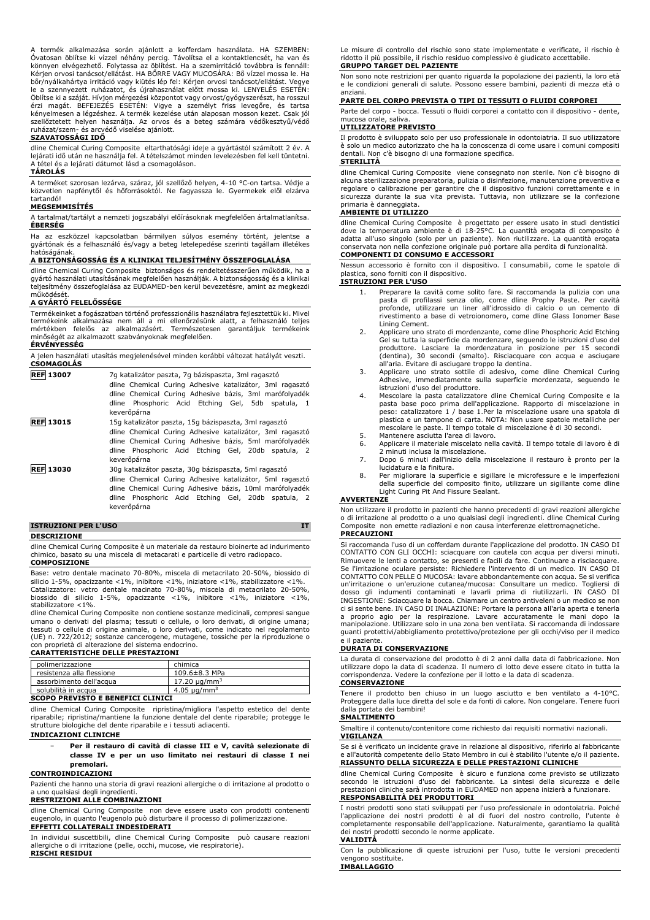A termék alkalmazása során ajánlott a kofferdam használata. HA SZEMBEN: Óvatosan öblítse ki vízzel néhány percig. Távolítsa el a kontaktlencsét, ha van és könnyen elvégezhető. Folytassa az öblítést. Ha a szemirritáció továbbra is fennáll: Kérjen orvosi tanácsot/ellátást. HA BŐRRE VAGY MUCOSÁRA: Bő vízzel mossa le. Ha bőr/nyálkahártya irritáció vagy kiütés lép fel: Kérjen orvosi tanácsot/ellátást. Vegye<br>le a szennyezett ruházatot, és újrahasználat előtt mossa ki. LENYELÉS ESETÉN:<br>Öblítse ki a száját. Hívjon mérgezési központot vagy orvo szellőztetett helyen használja. Az orvos és a beteg számára védőkesztyű/védő ruházat/szem- és arcvédő viselése ajánlott.

# **SZAVATOSSÁGI IDŐ**

dline Chemical Curing Composite eltarthatósági ideje a gyártástól számított 2 év. A lejárati idő után ne használja fel. A tételszámot minden levelezésben fel kell tüntetni. A tétel és a lejárati dátumot lásd a csomagoláson.

# **TÁROLÁS**

A terméket szorosan lezárva, száraz, jól szellőző helyen, 4-10 °C-on tartsa. Védje a közvetlen napfénytől és hőforrásoktól. Ne fagyassza le. Gyermekek elől elzárva tartandó!

# **MEGSEMMISÍTÉS**

A tartalmat/tartályt a nemzeti jogszabályi előírásoknak megfelelően ártalmatlanítsa. **ÉBERSÉG**

Ha az eszközzel kapcsolatban bármilyen súlyos esemény történt, jelentse a gyártónak és a felhasználó és/vagy a beteg letelepedése szerinti tagállam illetékes hatóságának.

#### **A BIZTONSÁGOSSÁG ÉS A KLINIKAI TELJESÍTMÉNY ÖSSZEFOGLALÁSA**

dline Chemical Curing Composite biztonságos és rendeltetésszerűen működik, ha a gyártó használati utasításának megfelelően használják. A biztonságosság és a klinikai teljesítmény összefoglalása az EUDAMED-ben kerül bevezetésre, amint az megkezdi működésé

# **A GYÁRTÓ FELELŐSSÉGE**

Termékeinket a fogászatban történő professzionális használatra fejlesztettük ki. Mivel termékeink alkalmazása nem áll a mi ellenőrzésünk alatt, a felhasználó teljes mértékben felelős az alkalmazásért. Természetesen garantáljuk termékeink alkalmazott szabványoknak megfelelően. **ÉRVÉNYESSÉG**

A jelen használati utasítás megjelenésével minden korábbi változat hatályát veszti. **CSOMAGOLÁS**

| <b>REF 13007</b> | 7q katalizátor paszta, 7q bázispaszta, 3ml ragasztó<br>dline Chemical Curing Adhesive katalizátor, 3ml ragasztó<br>dline Chemical Curing Adhesive bázis, 3ml marófolyadék<br>dline Phosphoric Acid Etching Gel, 5db spatula, 1<br>keverőpárna |
|------------------|-----------------------------------------------------------------------------------------------------------------------------------------------------------------------------------------------------------------------------------------------|
| <b>REF 13015</b> | 15g katalizátor paszta, 15g bázispaszta, 3ml ragasztó<br>dline Chemical Curing Adhesive katalizátor, 3ml ragasztó                                                                                                                             |
|                  | dline Chemical Curing Adhesive bázis, 5ml marófolyadék<br>dline Phosphoric Acid Etching Gel, 20db spatula, 2<br>keverőpárna                                                                                                                   |
| <b>REF 13030</b> | 30g katalizátor paszta, 30g bázispaszta, 5ml ragasztó                                                                                                                                                                                         |
|                  | dline Chemical Curing Adhesive katalizátor, 5ml ragasztó<br>dline Chemical Curing Adhesive bázis, 10ml marófolyadék<br>dline Phosphoric Acid Etching Gel, 20db spatula, 2<br>keverőpárna                                                      |

# **ISTRUZIONI PER L'USO IT**

#### **DESCRIZIONE**

dline Chemical Curing Composite è un materiale da restauro bioinerte ad indurimento chimico, basato su una miscela di metacarati e particelle di vetro radiopaco. **COMPOSIZIONE**

Base: vetro dentale macinato 70-80%, miscela di metacrilato 20-50%, biossido di silicio 1-5%, opacizzante <1%, inibitore <1%, iniziatore <1%, stabilizzatore <1%.<br>Catalizzatore: vetro dentale macinato 70-80%, miscela di metacrilato 20-50%,<br>biossido di silicio 1-5%, opacizzante <1%, inibitore <1%, inizi stabilizzatore <1%.

dline Chemical Curing Composite non contiene sostanze medicinali, compresi sangue umano o derivati del plasma; tessuti o cellule, o loro derivati, di origine umana; tessuti o cellule di origine animale, o loro derivati, come indicato nel regolamento (UE) n. 722/2012; sostanze cancerogene, mutagene, tossiche per la riproduzione o con proprietà di alterazione del sistema endocrino. **CARATTERISTICHE DELLE PRESTAZIONI**

| chimica                       |
|-------------------------------|
| 109.6±8.3 MPa                 |
| 17.20 $\mu$ g/mm <sup>3</sup> |
| 4.05 $\mu$ a/mm <sup>3</sup>  |
|                               |

#### **SCOPO PREVISTO E BENEFICI CLINICI**

dline Chemical Curing Composite ripristina/migliora l'aspetto estetico del dente riparabile; ripristina/mantiene la funzione dentale del dente riparabile; protegge le strutture biologiche del dente riparabile e i tessuti adiacenti.

#### **INDICAZIONI CLINICHE**

### − **Per il restauro di cavità di classe III e V, cavità selezionate di classe IV e per un uso limitato nei restauri di classe I nei premolari.**

# **CONTROINDICAZIONI**

Pazienti che hanno una storia di gravi reazioni allergiche o di irritazione al prodotto o a uno qualsiasi degli ingredienti.

# **RESTRIZIONI ALLE COMBINAZIONI**

dline Chemical Curing Composite non deve essere usato con prodotti contenenti eugenolo, in quanto l'eugenolo può disturbare il processo di polimerizzazione. **EFFETTI COLLATERALI INDESIDERATI**

In individui suscettibili, dline Chemical Curing Composite può causare reazioni allergiche o di irritazione (pelle, occhi, mucose, vie respiratorie). **RISCHI RESIDUI**

Le misure di controllo del rischio sono state implementate e verificate, il rischio è ridotto il più possibile, il rischio residuo complessivo è giudicato accettabile. **GRUPPO TARGET DEL PAZIENTE**

Non sono note restrizioni per quanto riguarda la popolazione dei pazienti, la loro età e le condizioni generali di salute. Possono essere bambini, pazienti di mezza età o anziani.

# **PARTE DEL CORPO PREVISTA O TIPI DI TESSUTI O FLUIDI CORPOREI**

Parte del corpo - bocca. Tessuti o fluidi corporei a contatto con il dispositivo - dente, mucosa orale,

# **UTILIZZATORE PREVISTO**

Il prodotto è sviluppato solo per uso professionale in odontoiatria. Il suo utilizzatore è solo un medico autorizzato che ha la conoscenza di come usare i comuni compositi dentali. Non c'è bisogno di una formazione specifica.

# **STERILITÀ**

dline Chemical Curing Composite viene consegnato non sterile. Non c'è bisogno di alcuna sterilizzazione preparatoria, pulizia o disinfezione, manutenzione preventiva e regolare o calibrazione per garantire che il dispositivo funzioni correttamente e in sicurezza durante la sua vita prevista. Tuttavia, non utilizzare se la confezione primaria è danneggiata.

# **AMBIENTE DI UTILIZZO**

dline Chemical Curing Composite è progettato per essere usato in studi dentistici dove la temperatura ambiente è di 18-25°C. La quantità erogata di composito è adatta all'uso singolo (solo per un paziente). Non riutilizzare. La quantità erogata conservata non nella confezione originale può portare alla perdita di funzionalità. **COMPONENTI DI CONSUMO E ACCESSORI**

Nessun accessorio è fornito con il dispositivo. I consumabili, come le spatole di plastica, sono forniti con il dispositivo.

# **ISTRUZIONI PER L'USO**

- 1. Preparare la cavità come solito fare. Si raccomanda la pulizia con una pasta di profilassi senza olio, come dline Prophy Paste. Per cavità profonde, utilizzare un liner all'idrossido di calcio o un cemento di rivestimento a base di vetroionomero, come dline Glass Ionomer Base
- Lining Cement. 2. Applicare uno strato di mordenzante, come dline Phosphoric Acid Etching Gel su tutta la superficie da mordenzare, seguendo le istruzioni d'uso del produttore. Lasciare la mordenzatura in posizione per 15 secondi (dentina), 30 secondi (smalto). Risciacquare con acqua e asciugare
- all'aria. Evitare di asciugare troppo la dentina. 3. Applicare uno strato sottile di adesivo, come dline Chemical Curing Adhesive, immediatamente sulla superficie mordenzata, seguendo le istruzioni d'uso del produttore.
- 4. Mescolare la pasta catalizzatore dline Chemical Curing Composite e la pasta base poco prima dell'applicazione. Rapporto di miscelazione in<br>peso: catalizzatore 1 / base 1.Per la miscelazione usare una spatola di<br>plastica e un tampone di carta. NOTA: Non usare spatole metalliche per mescolare le paste. Il tempo totale di miscelazione è di 30 secondi.
- 5. Mantenere asciutta l'area di lavoro.<br>6. Applicare il materiale miscelato nell
- 6. Applicare il materiale miscelato nella cavità. Il tempo totale di lavoro è di 2 minuti inclusa la miscelazione.
- 7. Dopo 6 minuti dall'inizio della miscelazione il restauro è pronto per la
- lucidatura e la finitura. 8. Per migliorare la superficie e sigillare le microfessure e le imperfezioni della superficie del composito finito, utilizzare un sigillante come dline Light Curing Pit And Fissure Sealant.

# **AVVERTENZE**

Non utilizzare il prodotto in pazienti che hanno precedenti di gravi reazioni allergiche o di irritazione al prodotto o a uno qualsiasi degli ingredienti. dline Chemical Curing Composite non emette radiazioni e non causa interferenze elettromagnetiche.

# **PRECAUZIONI**

Si raccomanda l'uso di un cofferdam durante l'applicazione del prodotto. IN CASO DI<br>CONTATTO CON GLI OCCHI: sciacquare con cautela con acqua per diversi minuti.<br>Rimuovere le lenti a contatto, se presenti e facili da fare. CONTATTO CON PELLE O MUCOSA: lavare abbondantemente con acqua. Se si verifica un'irritazione o un'eruzione cutanea/mucosa: Consultare un medico. Togliersi di dosso gli indumenti contaminati e lavarli prima di riutilizzarli. IN CASO DI INGESTIONE: Sciacquare la bocca. Chiamare un centro antiveleni o un medico se non ci si sente bene. IN CASO DI INALAZIONE: Portare la persona all'aria aperta e tenerla a proprio agio per la respirazione. Lavare accuratamente le mani dopo la manipolazione. Utilizzare solo in una zona ben ventilata. Si raccomanda di indossare guanti protettivi/abbigliamento protettivo/protezione per gli occhi/viso per il medico e il paziente.

### **DURATA DI CONSERVAZIONE**

La durata di conservazione del prodotto è di 2 anni dalla data di fabbricazione. Non utilizzare dopo la data di scadenza. Il numero di lotto deve essere citato in tutta la corrispondenza. Vedere la confezione per il lotto e la data di scadenza.

# **CONSERVAZIONE**

Tenere il prodotto ben chiuso in un luogo asciutto e ben ventilato a 4-10°C. Proteggere dalla luce diretta del sole e da fonti di calore. Non congelare. Tenere fuori dalla portata dei bambini!

# **SMALTIMENTO**

Smaltire il contenuto/contenitore come richiesto dai requisiti normativi nazionali. **VIGILANZA**

Se si è verificato un incidente grave in relazione al dispositivo, riferirlo al fabbricante e all'autorità competente dello Stato Membro in cui è stabilito l'utente e/o il paziente. **RIASSUNTO DELLA SICUREZZA E DELLE PRESTAZIONI CLINICHE**

dline Chemical Curing Composite è sicuro e funziona come previsto se utilizzato secondo le istruzioni d'uso del fabbricante. La sintesi della sicurezza e delle prestazioni cliniche sarà introdotta in EUDAMED non appena inizierà a funzionare. **RESPONSABILITÀ DEI PRODUTTORI**

I nostri prodotti sono stati sviluppati per l'uso professionale in odontoiatria. Poiché l'applicazione dei nostri prodotti è al di fuori del nostro controllo, l'utente è completamente responsabile dell'applicazione. Naturalmente, garantiamo la qualità dei nostri prodotti secondo le norme applicate.

#### **VALIDITÀ**

Con la pubblicazione di queste istruzioni per l'uso, tutte le versioni precedenti vengono sostituite.

**IMBALLAGGIO**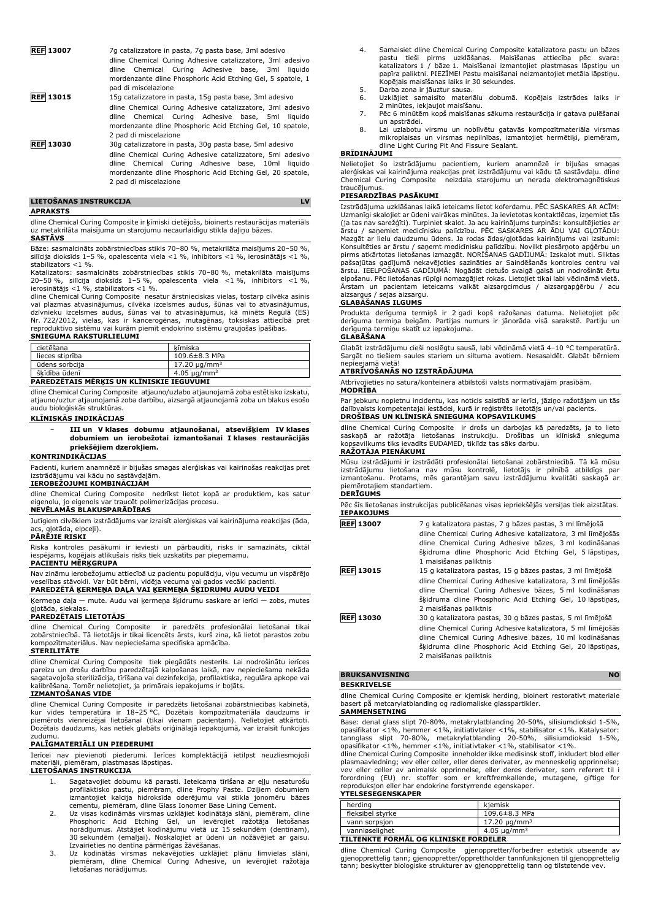| <b>REF</b> 13007                                            | 7q catalizzatore in pasta, 7q pasta base, 3ml adesivo<br>dline Chemical Curing Adhesive catalizzatore, 3ml adesivo |  |  |
|-------------------------------------------------------------|--------------------------------------------------------------------------------------------------------------------|--|--|
|                                                             |                                                                                                                    |  |  |
|                                                             | dline Chemical Curing Adhesive base, 3ml liquido                                                                   |  |  |
| mordenzante dline Phosphoric Acid Etching Gel, 5 spatole, 1 |                                                                                                                    |  |  |
|                                                             | pad di miscelazione                                                                                                |  |  |
| <b>REF</b> 13015                                            | 15g catalizzatore in pasta, 15g pasta base, 3ml adesivo                                                            |  |  |

- dline Chemical Curing Adhesive catalizzatore, 3ml adesivo dline Chemical Curing Adhesive base, 5ml liquido mordenzante dline Phosphoric Acid Etching Gel, 10 spatole, 2 pad di miscelazione **REF 13030** 30g catalizzatore in pasta, 30g pasta base, 5ml adesivo
- dline Chemical Curing Adhesive catalizzatore, 5ml adesivo dline Chemical Curing Adhesive base, 10ml liquido mordenzante dline Phosphoric Acid Etching Gel, 20 spatole, 2 pad di miscelazione

| LIETOSANAS INSTRUKCIJA |  |
|------------------------|--|
|------------------------|--|

### **APRAKSTS**

dline Chemical Curing Composite ir ķīmiski cietējošs, bioinerts restaurācijas materiāls uz metakrilāta maisījuma un starojumu necaurlaidīgu stikla daļiņu bāzes. **SASTĀVS**

Bāze: sasmalcināts zobārstniecības stikls 70–80 %, metakrilāta maisījums 20–50 %, silīcija dioksīds 1–5 %, opalescenta viela <1 %, inhibitors <1 %, ierosinātājs <1 %, stabilizators <1 %.

Katalizators: sasmalcināts zobārstniecības stikls 70–80 %, metakrilāta maisījums 20–50 %, silīcija dioksīds 1–5 %, opalescenta viela <1 %, inhibitors <1 %, ierosinātājs <1 %, stabilizators <1 %.

dline Chemical Curing Composite nesatur ārstnieciskas vielas, tostarp cilvēka asinis<br>vai plazmas atvasinājumus, cilvēka izcelsmes audus, šūnas vai to atvasinājumus,<br>dzīvnieku izcelsmes audus, šūnas vai to atvasinājumus, kā **SNIEGUMA RAKSTURLIELUMI**

# cietēšana ķīmiska lieces stiprība 109.6±8.3 MPa<br>
ūdens sorbcija 17.20 µg/mm<sup>3</sup>  $17.20$  μg/mm<sup>3</sup> šķīdība ūdenī 14.05 μg/mm<sup>3</sup>

# **PAREDZĒTAIS MĒRĶIS UN KLĪNISKIE IEGUVUMI**

dline Chemical Curing Composite atjauno/uzlabo atjaunojamā zoba estētisko izskatu, atjauno/uztur atjaunojamā zoba darbību, aizsargā atjaunojamā zoba un blakus esošo audu bioloģiskās struktūras.

#### **KLĪNISKĀS INDIKĀCIJAS**

− **III un V klases dobumu atjaunošanai, atsevišķiem IV klases dobumiem un ierobežotai izmantošanai I klases restaurācijās priekšējiem dzerokļiem.**

# **KONTRINDIKĀCIJAS**

Pacienti, kuriem anamnēzē ir bijušas smagas alerģiskas vai kairinošas reakcijas pret izstrādājumu vai kādu no sastāvdaļām.

# **IEROBEŽOJUMI KOMBINĀCIJĀM**

dline Chemical Curing Composite nedrīkst lietot kopā ar produktiem, kas satur eigenolu, jo eigenols var traucēt polimerizācijas procesu.

# **NEVĒLAMĀS BLAKUSPARĀDĪBAS**

Jutīgiem cilvēkiem izstrādājums var izraisīt alerģiskas vai kairinājuma reakcijas (āda, gļotāda, elpceļi).

# **PĀRĒJIE RISKI**

Riska kontroles pasākumi ir ieviesti un pārbaudīti, risks ir samazināts, ciktāl iespējams, kopējais atlikušais risks tiek uzskatīts par pieņemamu.

#### **PACIENTU MĒRĶGRUPA**

Nav zināmu ierobežojumu attiecībā uz pacientu populāciju, viņu vecumu un vispārējo veselības stāvokli. Var būt bērni, vidēja vecuma vai gados vecāki pacienti. **PAREDZĒTĀ ĶERMEŅA DAĻA VAI ĶERMEŅA ŠĶIDRUMU AUDU VEIDI**

Ķermeņa daļa — mute. Audu vai ķermeņa šķidrumu saskare ar ierīci — zobs, mutes

# gļotāda, siekalas. **PAREDZĒTAIS LIETOTĀJS**

dline Chemical Curing Composite ir paredzēts profesionālai lietošanai tikai zobārstniecībā. Tā lietotājs ir tikai licencēts ārsts, kurš zina, kā lietot parastos zobu kompozītmateriālus. Nav nepieciešama specifiska apmācība.

#### **STERILITĀTE**

dline Chemical Curing Composite tiek piegādāts nesterils. Lai nodrošinātu ierīces pareizu un drošu darbību paredzētajā kalpošanas laikā, nav nepieciešama nekāda sagatavojoša sterilizācija, tīrīšana vai dezinfekcija, profilaktiska, regulāra apkope vai kalibrēšana. Tomēr nelietojiet, ja primārais iepakojums ir bojāts.

### **IZMANTOŠANAS VIDE**

dline Chemical Curing Composite ir paredzēts lietošanai zobārstniecības kabinetā,<br>kur vides temperatūra ir 18–25 °C. Dozētais kompozītmateriāla daudzums ir<br>piemērots vienreizējai lietošanai (tikai vienam paci Dozētais daudzums, kas netiek glabāts oriģinālajā iepakojumā, var izraisīt funkcijas zudumu.

# **PALĪGMATERIĀLI UN PIEDERUMI**

Ierīcei nav pievienoti piederumi. Ierīces komplektācijā ietilpst neuzliesmojoši materiāli, piemēram, plastmasas lāpstiņas.

#### **LIETOŠANAS INSTRUKCIJA**

- 1. Sagatavojiet dobumu kā parasti. Ieteicama tīrīšana ar eļļu nesaturošu
- profilaktisko pastu, piemēram, dline Prophy Paste. Dziļiem dobumiem<br>izmantojiet kalcija hidroksīda oderējumu vai stikla jonomēru bāzes<br>cementu, piemēram, dline Glass Ionomer Base Lining Cement.<br>2. Uz visas kodināmās virsma Izvairieties no dentīna pārmērīgas žāvēšanas.
- 3. Uz kodinātās virsmas nekavējoties uzklājiet plānu līmvielas slāni, piemēram, dline Chemical Curing Adhesive, un ievērojiet ražotāja lietošanas norādījumus.
- 4. Samaisiet dline Chemical Curing Composite katalizatora pastu un bāzes pastu tieši pirms uzklāšanas. Maisīšanas attiecība pēc svara: katalizators 1 / bāze 1. Maisīšanai izmantojiet plastmasas lāpstiņu un papīra paliktni. PIEZĪME! Pastu maisīšanai neizmantojiet metāla lāpstiņu. Kopējais maisīšanas laiks ir 30 sekundes.
- 5. Darba zona ir jāuztur sausa.<br>6. IJzklājiet samaisīto materi
- 6. Uzklājiet samaisīto materiālu dobumā. Kopējais izstrādes laiks ir 2 minūtes, iekļaujot maisīšanu.
- 7. Pēc 6 minūtēm kopš maisīšanas sākuma restaurācija ir gatava pulēšanai
- un apstrādei. 8. Lai uzlabotu virsmu un noblīvētu gatavās kompozītmateriāla virsmas mikroplaisas un virsmas nepilnības, izmantojiet hermētiķi, piemēram, dline Light Curing Pit And Fissure Sealant.

## **BRĪDINĀJUMI**

Nelietojiet šo izstrādājumu pacientiem, kuriem anamnēzē ir bijušas smagas alerģiskas vai kairinājuma reakcijas pret izstrādājumu vai kādu tā sastāvdaļu. dline Chemical Curing Composite neizdala starojumu un nerada elektromagnētiskus traucējumus.

# **PIESARDZĪBAS PASĀKUMI**

Izstrādājuma uzklāšanas laikā ieteicams lietot koferdamu. PĒC SASKARES AR ACĪM: Uzmanīgi skalojiet ar ūdeni vairākas minūtes. Ja ievietotas kontaktlēcas, izņemiet tās (ja tas nav sarežģīti). Turpiniet skalot. Ja acu kairinājums turpinās: konsultējieties ar ārstu / saņemiet medicīnisku palīdzību. PĒC SASKARES AR ĀDU VAI GĻOTĀDU: Mazgāt ar lielu daudzumu ūdens. Ja rodas ādas/gļotādas kairinājums vai izsitumi:<br>Konsultēties ar ārstu / saņemt medicīnisku palīdzību. Novilkt piesārņoto apģērbu un<br>pirms atkārtotas lietošanas izmazgāt. NORĪŠANAS GADĪJUMĀ: pašsajūtas gadījumā nekavējoties sazināties ar Saindēšanās kontroles centru vai ārstu. IEELPOŠANAS GADĪJUMĀ: Nogādāt cietušo svaigā gaisā un nodrošināt ērtu elpošanu. Pēc lietošanas rūpīgi nomazgājiet rokas. Lietojiet tikai labi vēdināmā vietā. Ārstam un pacientam ieteicams valkāt aizsargcimdus / aizsargapģērbu / acu aizsargus / sejas aizsargu.

#### **GLABĀŠANAS ILGUMS**

Produkta derīguma termiņš ir 2 gadi kopš ražošanas datuma. Nelietojiet pēc derīguma termiņa beigām. Partijas numurs ir jānorāda visā sarakstē. Partiju un derīguma termiņu skatīt uz iepakojuma. **GLABĀŠANA**

Glabāt izstrādājumu cieši noslēgtu sausā, labi vēdināmā vietā 4–10 °C temperatūrā. Sargāt no tiešiem saules stariem un siltuma avotiem. Nesasaldēt. Glabāt bērniem nepieejamā vietā!

# **ATBRĪVOŠANĀS NO IZSTRĀDĀJUMA**

Atbrīvojieties no satura/konteinera atbilstoši valsts normatīvajām prasībām. **MODRĪBA**

Par jebkuru nopietnu incidentu, kas noticis saistībā ar ierīci, jāziņo ražotājam un tās dalībvalsts kompetentajai iestādei, kurā ir reģistrēts lietotājs un/vai pacients. **DROŠĪBAS UN KLĪNISKĀ SNIEGUMA KOPSAVILKUMS**

dline Chemical Curing Composite ir drošs un darbojas kā paredzēts, ja to lieto saskaņā ar ražotāja lietošanas instrukciju. Drošības un klīniskā snieguma kopsavilkums tiks ievadīts EUDAMED, tiklīdz tas sāks darbu. **RAŽOTĀJA PIENĀKUMI**

Mūsu izstrādājumi ir izstrādāti profesionālai lietošanai zobārstniecībā. Tā kā mūsu izstrādājumu lietošana nav mūsu kontrolē, lietotājs ir pilnībā atbildīgs par izmantošanu. Protams, mēs garantējam savu izstrādājumu kvalitāti saskaņā ar piemērotajiem standartiem.

# **DERĪGUMS**

Pēc šīs lietošanas instrukcijas publicēšanas visas iepriekšējās versijas tiek aizstātas. **IEPAKOJUMS**

| <b>REF 13007</b> | 7 g katalizatora pastas, 7 g bāzes pastas, 3 ml līmējošā    |  |
|------------------|-------------------------------------------------------------|--|
|                  | dline Chemical Curing Adhesive katalizatora, 3 ml limējošās |  |
|                  | dline Chemical Curing Adhesive bāzes, 3 ml kodināšanas      |  |
|                  | šķidruma dline Phosphoric Acid Etching Gel, 5 lāpstinas,    |  |
|                  | 1 maisīšanas paliktnis                                      |  |
| <b>REF 13015</b> | 15 g katalizatora pastas, 15 g bāzes pastas, 3 ml līmējošā  |  |
|                  | dline Chemical Curing Adhesive katalizatora, 3 ml līmējošās |  |
|                  | dline Chemical Curing Adhesive bazes, 5 ml kodinašanas      |  |
|                  | šķidruma dline Phosphoric Acid Etching Gel, 10 lāpstinas,   |  |
|                  | 2 maisīšanas paliktnis                                      |  |
| <b>REF 13030</b> | 30 g katalizatora pastas, 30 g bāzes pastas, 5 ml līmējošā  |  |
|                  | dline Chemical Curing Adhesive katalizatora, 5 ml līmējošās |  |
|                  | dline Chemical Curing Adhesive bāzes, 10 ml kodināšanas     |  |
|                  | šķidruma dline Phosphoric Acid Etching Gel, 20 lāpstinas,   |  |

# **BRUKSANVISNING NO BESKRIVELSE**

2 maisīšanas paliktnis

dline Chemical Curing Composite er kjemisk herding, bioinert restorativt materiale basert på metcarylatblanding og radiomaliske glasspartikler. **SAMMENSETNING**

Base: denal glass slipt 70-80%, metakrylatblanding 20-50%, silisiumdioksid 1-5%, opasifikator <1%, hemmer <1%, initiativtaker <1%, stabilisator <1%. Katalysator:<br>tannglass slipt 70-80%, metakrylatblanding 20-50%, silisiumdioksid 1-5%,<br>opasifikator <1%, hemmer <1%, initiativtaker <1%, stabil

plasmaavledning; vev eller celler, eller deres derivater, av menneskelig opprinnelse; vev eller celler av animalsk opprinnelse, eller deres derivater, som referert til i forordning (EU) nr. stoffer som er kreftfremkallende, mutagene, giftige for reproduksjon eller har endokrine forstyrrende egenskaper. **YTELSESEGENSKAPER**

| herding                               | kiemisk                      |  |
|---------------------------------------|------------------------------|--|
| fleksibel styrke                      | 109.6±8.3 MPa                |  |
| vann sorpsion                         | 17.20 ug/mm <sup>3</sup>     |  |
| vannløselighet                        | 4.05 $\mu$ g/mm <sup>3</sup> |  |
| TILTENKTE FORMÅL OG KLINISKE FORDELER |                              |  |

dline Chemical Curing Composite gjenoppretter/forbedrer estetisk utseende av gjenopprettelig tann; gjenoppretter/opprettholder tannfunksjonen til gjenopprettelig tann; beskytter biologiske strukturer av gjenopprettelig tann og tilstøtende vev.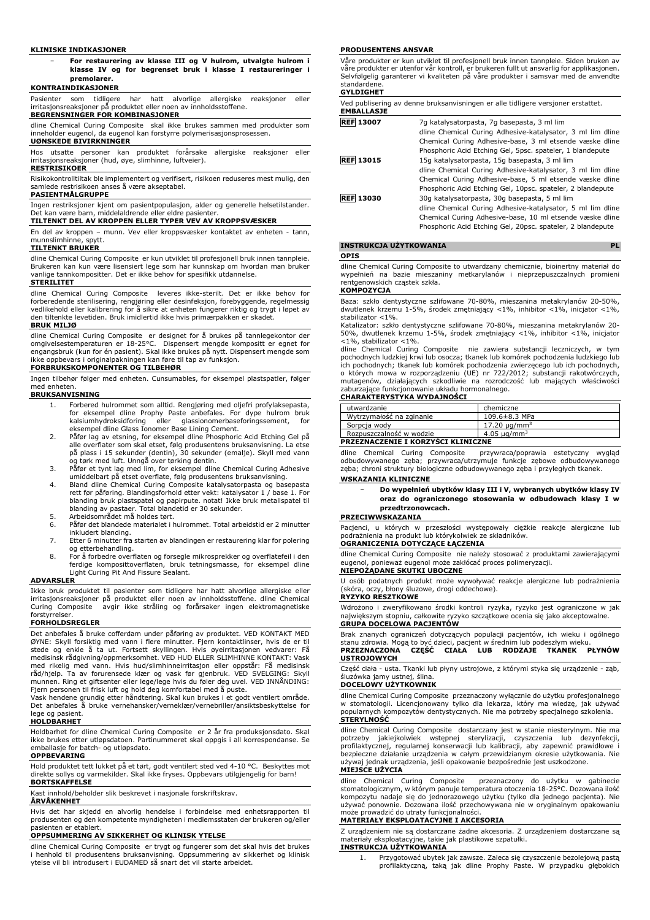#### **KLINISKE INDIKASJONER**

− **For restaurering av klasse III og V hulrom, utvalgte hulrom i klasse IV og for begrenset bruk i klasse I restaureringer i premolarer.**

#### **KONTRAINDIKASJONER**

Pasienter som tidligere har hatt alvorlige allergiske reaksjoner eller irritasjonsreaksjoner på produktet eller noen av innholdsstoffene.

### **BEGRENSNINGER FOR KOMBINASJONER**

dline Chemical Curing Composite skal ikke brukes sammen med produkter som inneholder eugenol, da eugenol kan forstyrre polymerisasjonsprosessen. **UØNSKEDE BIVIRKNINGER**

Hos utsatte personer kan produktet forårsake allergiske reaksjoner eller irritasjonsreaksjoner (hud, øye, slimhinne, luftveier).

# **RESTRISIKOER**

Risikokontrolltiltak ble implementert og verifisert, risikoen reduseres mest mulig, den samlede restrisikoen anses å være akseptabel.

#### **PASIENTMÅLGRUPPE**

Ingen restriksjoner kjent om pasientpopulasjon, alder og generelle helsetilstander. Det kan være barn, middelaldrende eller eldre pasienter.

# **TILTENKT DEL AV KROPPEN ELLER TYPER VEV AV KROPPSVÆSKER**

En del av kroppen – munn. Vev eller kroppsvæsker kontaktet av enheten - tann, munnslimhinne, spytt.

### **TILTENKT BRUKER**

dline Chemical Curing Composite er kun utviklet til profesjonell bruk innen tannpleie. Brukeren kan kun være lisensiert lege som har kunnskap om hvordan man bruker vanlige tannkompositter. Det er ikke behov for spesifikk utdannelse.

#### **STERILITET**

dline Chemical Curing Composite leveres ikke-sterilt. Det er ikke behov for forberedende sterilisering, rengjøring eller desinfeksjon, forebyggende, regelmessig vedlikehold eller kalibrering for å sikre at enheten fungerer riktig og trygt i løpet av den tiltenkte levetiden. Bruk imidlertid ikke hvis primærpakken er skadet.

#### **BRUK MILJØ**

dline Chemical Curing Composite er designet for å brukes på tannlegekontor der<br>omgivelsestemperaturen er 18-25°C. Dispensert mengde kompositt er egnet for<br>engangsbruk (kun for én pasient). Skal ikke brukes på nytt. Dispe

# **FORBRUKSKOMPONENTER OG TILBEHØR**

Ingen tilbehør følger med enheten. Cunsumables, for eksempel plastspatler, følger med enheten.

### **BRUKSANVISNING**

- 1. Forbered hulrommet som alltid. Rengjøring med oljefri profylaksepasta, for eksempel dline Prophy Paste anbefales. For dype hulrom bruk kalsiumhydroksidforing eller glassionomerbaseforingssement, for
- eksempel dline Glass Ionomer Base Lining Cement. 2. Påfør lag av etsning, for eksempel dline Phosphoric Acid Etching Gel på alle overflater som skal etset, følg produsentens bruksanvisning. La etse på plass i 15 sekunder (dentin), 30 sekunder (emalje). Skyll med vann og tørk med luft. Unngå over tørking dentin.
- 3. Påfør et tynt lag med lim, for eksempel dline Chemical Curing Adhesive umiddelbart på etset overflate, følg produsentens bruksanvisning.
- 4. Bland dline Chemical Curing Composite katalysatorpasta og basepasta<br>rett før påføring. Blandingsforhold etter vekt: katalysator 1 / base 1. For<br>blanding bruk plastspatel og papirpute. notat! Ikke bruk metallspatel t blanding av pastaer. Total blandetid er 30 sekunder. 5. Arbeidsområdet må holdes tørt. 6. Påfør det blandede materialet i hulrommet. Total arbeidstid er 2 minutter
- 
- inkludert blanding. 7. Etter 6 minutter fra starten av blandingen er restaurering klar for polering
- og etterbehandling. 8. For å forbedre overflaten og forsegle mikrosprekker og overflatefeil i den
- ferdige komposittoverflaten, bruk tetningsmasse, for eksempel dline Light Curing Pit And Fissure Sealant.

# **ADVARSLER**

Ikke bruk produktet til pasienter som tidligere har hatt alvorlige allergiske eller irritasjonsreaksjoner på produktet eller noen av innholdsstoffene. dline Chemical Curing Composite avgir ikke stråling og forårsaker ingen elektromagnetiske forstyrrelser.

#### **FORHOLDSREGLER**

Det anbefales å bruke cofferdam under påføring av produktet. VED KONTAKT MED ØYNE: Skyll forsiktig med vann i flere minutter. Fjern kontaktlinser, hvis de er til stede og enkle å ta ut. Fortsett skyllingen. Hvis øyeirritasjonen vedvarer: Få medisinsk rådgivning/oppmerksomhet. VED HUD ELLER SLIMHINNE KONTAKT: Vask med rikelig med vann. Hvis hud/slimhinneirritasjon eller oppstår: Få medisinsk råd/hjelp. Ta av forurensede klær og vask før gjenbruk. VED SVELGING: Skyll munnen. Ring et giftsenter eller lege/lege hvis du føler deg uvel. VED INNÅNDING:

Fjern personen til frisk luft og hold deg komfortabel med å puste.<br>Vask hendene grundig etter håndtering. Skal kun brukes i et godt ventilert område.<br>Det anbefales å bruke vernehansker/verneklær/vernebriller/ansiktsbeskytt lege og pasient.

#### **HOLDBARHET**

Holdbarhet for dline Chemical Curing Composite er 2 år fra produksjonsdato. Skal ikke brukes etter utløpsdatoen. Partinummeret skal oppgis i all korrespondanse. Se emballasje for batch- og utløpsdato.

# **OPPBEVARING**

Hold produktet tett lukket på et tørt, godt ventilert sted ved 4-10 °C. Beskyttes mot direkte sollys og varmekilder. Skal ikke fryses. Oppbevars utilgjengelig for barn! **BORTSKAFFELSE**

Kast innhold/beholder slik beskrevet i nasjonale forskriftskrav.

#### **ÅRVÅKENHET**

Hvis det har skjedd en alvorlig hendelse i forbindelse med enhetsrapporten til produsenten og den kompetente myndigheten i medlemsstaten der brukeren og/eller sienten er etabler!

# **OPPSUMMERING AV SIKKERHET OG KLINISK YTELSE**

dline Chemical Curing Composite er trygt og fungerer som det skal hvis det brukes i henhold til produsentens bruksanvisning. Oppsummering av sikkerhet og klinisk ytelse vil bli introdusert i EUDAMED så snart det vil starte arbeidet.

#### **PRODUSENTENS ANSVAR**

Våre produkter er kun utviklet til profesjonell bruk innen tannpleie. Siden bruken av våre produkter er utenfor vår kontroll, er brukeren fullt ut ansvarlig for applikasjonen. Selvfølgelig garanterer vi kvaliteten på våre produkter i samsvar med de anvendte standardene.

#### **GYLDIGHET**

| Ved publisering av denne bruksanvisningen er alle tidligere versjoner erstattet.<br><b>EMBALLASJE</b> |                                                                                                                                                                                                                                       |  |
|-------------------------------------------------------------------------------------------------------|---------------------------------------------------------------------------------------------------------------------------------------------------------------------------------------------------------------------------------------|--|
| <b>REF 13007</b>                                                                                      | 7g katalysatorpasta, 7g basepasta, 3 ml lim<br>dline Chemical Curing Adhesive-katalysator, 3 ml lim dline<br>Chemical Curing Adhesive-base, 3 ml etsende væske dline                                                                  |  |
| <b>REF 13015</b>                                                                                      | Phosphoric Acid Etching Gel, 5psc. spateler, 1 blandepute<br>15g katalysatorpasta, 15g basepasta, 3 ml lim                                                                                                                            |  |
|                                                                                                       | dline Chemical Curing Adhesive-katalysator, 3 ml lim dline<br>Chemical Curing Adhesive-base, 5 ml etsende væske dline<br>Phosphoric Acid Etching Gel, 10psc. spateler, 2 blandepute                                                   |  |
| 13030<br><b>REFI</b>                                                                                  | 30g katalysatorpasta, 30g basepasta, 5 ml lim<br>dline Chemical Curing Adhesive-katalysator, 5 ml lim dline<br>Chemical Curing Adhesive-base, 10 ml etsende væske dline<br>Phosphoric Acid Etching Gel, 20psc. spateler, 2 blandepute |  |

#### **INSTRUKCJA UŻYTKOWANIA PL**

**OPIS**

dline Chemical Curing Composite to utwardzany chemicznie, bioinertny materiał do wypełnień na bazie mieszaniny metkarylanów i nieprzepuszczalnych promieni rentgenowskich cząstek szkła.

# **KOMPOZYCJA**

Baza: szkło dentystyczne szlifowane 70-80%, mieszanina metakrylanów 20-50%, dwutlenek krzemu 1-5%, środek zmętniający <1%, inhibitor <1%, inicjator <1%, stabilizator <1%.

Katalizator: szkło dentystyczne szlifowane 70-80%, mieszanina metakrylanów 20- 50%, dwutlenek krzemu 1-5%, środek zmętniający <1%, inhibitor <1%, inicjator <1%, stabilizator <1%.

dline Chemical Curing Composite nie zawiera substancji leczniczych, w tym pochodnych ludzkiej krwi lub osocza; tkanek lub komórek pochodzenia ludzkiego lub ich pochodnych; tkanek lub komórek pochodzenia zwierzęcego lub ich pochodnych, o których mowa w rozporządzeniu (UE) nr 722/2012; substancji rakotwórczych, mutagenów, działających szkodliwie na rozrodczość lub mających właściwości zaburzające funkcjonowanie układu hormonalnego.

# **CHARAKTERYSTYKA WYDAJNOŚCI**

| utwardzanie                        | chemiczne                     |  |
|------------------------------------|-------------------------------|--|
| Wytrzymałość na zginanie           | 109.6±8.3 MPa                 |  |
| Sorpcja wody                       | 17.20 $\mu$ g/mm <sup>3</sup> |  |
| Rozpuszczalność w wodzie           | 4.05 $\mu$ g/mm <sup>3</sup>  |  |
| PRZEZNACZENIE I KORZYŚCI KLINICZNE |                               |  |

dline Chemical Curing Composite przywraca/poprawia estetyczny wygląd odbudowywanego zęba; przywraca/utrzymuje funkcje zębowe odbudowywanego zęba; chroni struktury biologiczne odbudowywanego zęba i przyległych tkanek.

#### **WSKAZANIA KLINICZNE**

− **Do wypełnień ubytków klasy III i V, wybranych ubytków klasy IV oraz do ograniczonego stosowania w odbudowach klasy I w przedtrzonowcach.**

#### **PRZECIWWSKAZANIA**

Pacjenci, u których w przeszłości występowały ciężkie reakcje alergiczne lub podrażnienia na produkt lub którykolwiek ze składników. **OGRANICZENIA DOTYCZĄCE ŁĄCZENIA**

dline Chemical Curing Composite nie należy stosować z produktami zawierającymi ponieważ eugenol może zakłócać proces polimeryzacji.

# **NIEPOŻĄDANE SKUTKI UBOCZNE**

U osób podatnych produkt może wywoływać reakcje alergiczne lub podrażnienia (skóra, oczy, błony śluzowe, drogi oddechowe).

# **RYZYKO RESZTKOWE**

Wdrożono i zweryfikowano środki kontroli ryzyka, ryzyko jest ograniczone w jak największym stopniu, całkowite ryzyko szczątkowe ocenia się jako akceptowalne. **GRUPA DOCELOWA PACJENTÓW**

Brak znanych ograniczeń dotyczących populacji pacjentów, ich wieku i ogólnego stanu zdrowia. Mogą to być dzieci, pacjent w średnim lub podeszłym wieku. **PRZEZNACZONA CZĘŚĆ CIAŁA LUB RODZAJE TKANEK PŁYNÓW USTROJOWYCH**

Część ciała - usta. Tkanki lub płyny ustrojowe, z którymi styka się urządzenie - ząb, śluzówka jamy ustnej, ślina.

# **DOCELOWY UŻYTKOWNIK**

dline Chemical Curing Composite przeznaczony wyłącznie do użytku profesjonalnego w stomatologii. Licencjonowany tylko dla lekarza, który ma wiedzę, jak używać<br>popularnych kompozytów dentystycznych. Nie ma potrzeby specjalnego szkolenia. popularnych kompozytów dentystycznych. Nie ma potrzeby specjalnego szkolenia. **STERYLNOŚĆ**

dline Chemical Curing Composite dostarczany jest w stanie niesterylnym. Nie ma potrzeby jakiejkolwiek wstępnej sterylizacji, czyszczenia lub dezynfekcji, profilaktycznej, regularnej konserwacji lub kalibracji, aby zapewnić prawidłowe i bezpieczne działanie urządzenia w całym przewidzianym okresie użytkowania. Nie używaj jednak urządzenia, jeśli opakowanie bezpośrednie jest uszkodzone. **MIEJSCE UŻYCIA**

dline Chemical Curing Composite przeznaczony do użytku w gabinecie stomatologicznym, w którym panuje temperatura otoczenia 18-25°C. Dozowana ilość kompozytu nadaje się do jednorazowego użytku (tylko dla jednego pacjenta). Nie używać ponownie. Dozowana ilość przechowywana nie w oryginalnym opakowaniu może prowadzić do utraty funkcjonalności.

#### **MATERIAŁY EKSPLOATACYJNE I AKCESORIA**

Z urządzeniem nie są dostarczane żadne akcesoria. Z urządzeniem dostarczane są materiały eksploatacyjne, takie jak plastikowe szpatułki. **INSTRUKCJA UŻYTKOWANIA**

1. Przygotować ubytek jak zawsze. Zaleca się czyszczenie bezolejową pastą profilaktyczną, taką jak dline Prophy Paste. W przypadku głębokich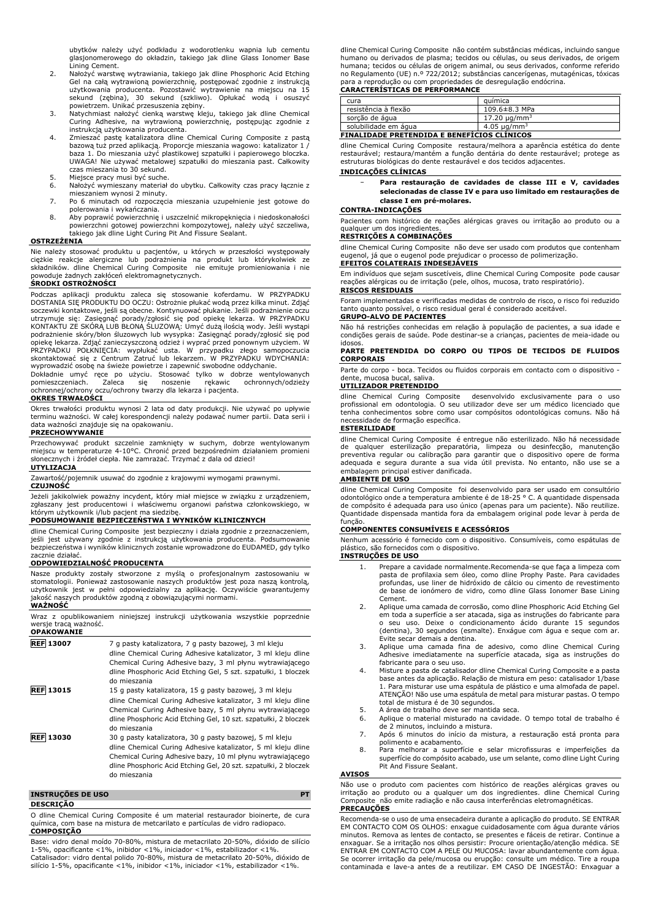ubytków należy użyć podkładu z wodorotlenku wapnia lub cementu glasjonomerowego do okładzin, takiego jak dline Glass Ionomer Base Lining Cement.

- 2. Nałożyć warstwę wytrawiania, takiego jak dline Phosphoric Acid Etching Gel na całą wytrawioną powierzchnię, postępować zgodnie z instrukcją<br>użytkowania producenta. Pozostawić wytrawienie na miejscu na 15<br>sekund (zębina), 30 sekund (szkliwo). Opłukać wodą i osuszyć<br>powietrzem. Unikać przesusze
- Curing Adhesive, na wytrawioną powierzchnię, postępując zgodnie z instrukcją użytkowania producenta.
- 4. Zmieszać pastę katalizatora dline Chemical Curing Composite z pastą bazową tuż przed aplikacją. Proporcje mieszania wagowo: katalizator 1 / baza 1. Do mieszania użyć plastikowej szpatułki i papierowego bloczka. UWAGA! Nie używać metalowej szpatułki do mieszania past. Całkowity czas mieszania to 30 sekund.
- 5. Miejsce pracy musi być suche.<br>6. Nałożyć wymieszany materiał
- 6. Nałożyć wymieszany materiał do ubytku. Całkowity czas pracy łącznie z mieszaniem wynosi 2 minuty.
- 7. Po 6 minutach od rozpoczęcia mieszania uzupełnienie jest gotowe do polerowania i wykańczania.
- 8. Aby poprawić powierzchnię i uszczelnić mikropęknięcia i niedoskonałości powierzchni gotowej powierzchni kompozytowej, należy użyć szczeliwa, takiego jak dline Light Curing Pit And Fissure Sealant.

#### **OSTRZEŻENIA**

Nie należy stosować produktu u pacjentów, u których w przeszłości występowały<br>ciężkie reakcje alergiczne lub podrażnienia na produkt lub którykolwiek ze<br>składników. dline Chemical Curing Composite nie emituje promieniowani powoduje żadnych zakłóceń elektromagnetycznych. **ŚRODKI OSTROŻNOŚCI**

Podczas aplikacji produktu zaleca się stosowanie koferdamu. W PRZYPADKU<br>DOSTANIA SIĘPRODUKTU DO OCZU: Ostrożnie płukać wodąprzez kilka minut. Zdjąć<br>soczewki kontaktowe, jeśli-są-obecne. Kontynuować-płukanie. Jeśli-podrażni utrzymuje się: Zasięgnąć porady/zgłosić się pod opiekę lekarza. W PRZYPADKU<br>KONTAKTU ZE SKÓRĄ LUB BŁONĄ SLUZOWĄ: Umyć dużą ilością wody. Jeśli wystąpi<br>podrażnienie skóry/błon śluzowych lub wysypka: Zasięgnąć porady/zgłosić opiekę lekarza. Zdjąć zanieczyszczoną odzież i wyprać przed ponownym użyciem. W<br>PRZYPADKU POŁKNIĘCIA: wypłukać usta. W przypadku złego samopoczucia<br>skontaktować się z Centrum Zatruć lub lekarzem. W

wyprowadzić osobę na świeże powietrze i zapewnić swobodne oddychanie.<br>Dokładnie umyć ręce po użyciu. Stosować tylko w dobrze wentylowanych<br>pomieszczeniach. Zaleca się noszenie rękawic ochronnych/odzieży<br> **OKRES TRWAŁOŚCI**

Okres trwałości produktu wynosi 2 lata od daty produkcji. Nie używać po upływie terminu ważności. W całej korespondencji należy podawać numer partii. Data serii i data ważności znajduje się na opakowaniu.

# **PRZECHOWYWANIE**

Przechowywać produkt szczelnie zamknięty w suchym, dobrze wentylowanym miejscu w temperaturze 4-10°C. Chronić przed bezpośrednim działaniem promieni słonecznych i źródeł ciepła. Nie zamrażać. Trzymać z dala od dzieci! **UTYLIZACJA**

Zawartość/pojemnik usuwać do zgodnie z krajowymi wymogami prawnymi.

# **CZUJNOŚĆ**

Jeżeli jakikolwiek poważny incydent, który miał miejsce w związku z urządzeniem, zgłaszany jest producentowi i właściwemu organowi państwa członkowskiego, w którym użytkownik i/lub pacjent ma siedzibę.

# **PODSUMOWANIE BEZPIECZEŃSTWA I WYNIKÓW KLINICZNYCH**

dline Chemical Curing Composite jest bezpieczny i działa zgodnie z przeznaczeniem,<br>jeśli jest używany zgodnie z instrukcja użytkowania producenta. Podsumowanie jeśli jest używany zgodnie z instrukcją użytkowania producenta bezpieczeństwa i wyników klinicznych zostanie wprowadzone do EUDAMED, gdy tylko zacznie działać.

# **ODPOWIEDZIALNOŚĆ PRODUCENTA**

Nasze produkty zostały stworzone z myślą o profesjonalnym zastosowaniu w stomatologii. Ponieważ zastosowanie naszych produktów jest poza naszą kontrolą,<br>użytkownik jest w pełni odpowiedzialny za aplikację. Oczywiście gwarantujemy<br>jakość naszych produktów zgodną z obowiązującymi normami.<br>**WAŻNOŚ** 

Wraz z opublikowaniem niniejszej instrukcji użytkowania wszystkie poprzednie

wersje tracą ważność. **OPAKOWANIE**

| <b>REF 13007</b>         | 7 g pasty katalizatora, 7 g pasty bazowej, 3 ml kleju<br>dline Chemical Curing Adhesive katalizator, 3 ml kleju dline<br>Chemical Curing Adhesive bazy, 3 ml płynu wytrawiającego<br>dline Phosphoric Acid Etching Gel, 5 szt. szpatułki, 1 bloczek<br>do mieszania     |
|--------------------------|-------------------------------------------------------------------------------------------------------------------------------------------------------------------------------------------------------------------------------------------------------------------------|
| <b>REF 13015</b>         | 15 g pasty katalizatora, 15 g pasty bazowej, 3 ml kleju<br>dline Chemical Curing Adhesive katalizator, 3 ml kleju dline<br>Chemical Curing Adhesive bazy, 5 ml płynu wytrawiającego<br>dline Phosphoric Acid Etching Gel, 10 szt. szpatułki, 2 bloczek<br>do mieszania  |
| <b>REF 13030</b>         | 30 g pasty katalizatora, 30 g pasty bazowej, 5 ml kleju<br>dline Chemical Curing Adhesive katalizator, 5 ml kleju dline<br>Chemical Curing Adhesive bazy, 10 ml płynu wytrawiającego<br>dline Phosphoric Acid Etching Gel, 20 szt. szpatułki, 2 bloczek<br>do mieszania |
| <b>INSTRUCÕES DE USO</b> | PТ                                                                                                                                                                                                                                                                      |

# **DESCRIÇÃO**

O dline Chemical Curing Composite é um material restaurador bioinerte, de cura química, com base na mistura de metcarilato e partículas de vidro radiopaco. **COMPOSIÇÃO**

Base: vidro denal moído 70-80%, mistura de metacrilato 20-50%, dióxido de silício 1-5%, opacificante <1%, inibidor <1%, iniciador <1%, estabilizador <1%. Catalisador: vidro dental polido 70-80%, mistura de metacrilato 20-50%, dióxido de silício 1-5%, opacificante <1%, inibidor <1%, iniciador <1%, estabilizador <1%.

dline Chemical Curing Composite não contém substâncias médicas, incluindo sangue humano ou derivados de plasma; tecidos ou células, ou seus derivados, de origem humana; tecidos ou células de origem animal, ou seus derivados, conforme referido no Regulamento (UE) n.º 722/2012; substâncias cancerígenas, mutagénicas, tóxicas para a reprodução ou com propriedades de desregulação endócrina.

# **CARACTERÍSTICAS DE PERFORMANCE**

| cura                                               | auímica                       |  |
|----------------------------------------------------|-------------------------------|--|
| resistência à flexão                               | 109.6±8.3 MPa                 |  |
| sorcão de água                                     | 17.20 $\mu$ g/mm <sup>3</sup> |  |
| solubilidade em água                               | 4.05 $\mu$ g/mm <sup>3</sup>  |  |
| <b>FINALIDADE PRETENDIDA E BENEFÍCIOS CLÍNICOS</b> |                               |  |

dline Chemical Curing Composite restaura/melhora a aparência estética do dente restaurável; restaura/mantém a função dentária do dente restaurável; protege as estruturas biológicas do dente restaurável e dos tecidos adjacentes.

# **INDICAÇÕES CLÍNICAS**

− **Para restauração de cavidades de classe III e V, cavidades selecionadas de classe IV e para uso limitado em restaurações de classe I em pré-molares.**

# **CONTRA-INDICAÇÕES**

Pacientes com histórico de reações alérgicas graves ou irritação ao produto ou a qualquer um dos ingrediente

# **RESTRIÇÕES A COMBINAÇÕES**

dline Chemical Curing Composite não deve ser usado com produtos que contenham eugenol, já que o eugenol pode prejudicar o processo de polimerização. **EFEITOS COLATERAIS INDESEJÁVEIS**

Em indivíduos que sejam suscetíveis, dline Chemical Curing Composite pode causar reações alérgicas ou de irritação (pele, olhos, mucosa, trato respiratório).

# **RISCOS RESIDUAIS**

Foram implementadas e verificadas medidas de controlo de risco, o risco foi reduzido tanto quanto possível, o risco residual geral é considerado aceitável. **GRUPO-ALVO DE PACIENTES**

Não há restrições conhecidas em relação à população de pacientes, a sua idade e condições gerais de saúde. Pode destinar-se a crianças, pacientes de meia-idade ou idosos.

#### **PARTE PRETENDIDA DO CORPO OU TIPOS DE TECIDOS DE FLUIDOS CORPORAIS**

Parte do corpo - boca. Tecidos ou fluidos corporais em contacto com o dispositivo - dente, mucosa bucal, saliva.

# **UTILIZADOR PRETENDIDO**

dline Chemical Curing Composite desenvolvido exclusivamente para o uso profissional em odontologia. O seu utilizador deve ser um médico licenciado que tenha conhecimentos sobre como usar compósitos odontológicas comuns. Não há necessidade de formação específica.

# **ESTERILIDADE**

dline Chemical Curing Composite é entregue não esterilizado. Não há necessidade<br>de qualquer esterilização preparatória, limpeza ou desinfecção, manutenção<br>preventiva regular ou calibração para garantir que o dispos adequada e segura durante a sua vida útil prevista. No entanto, não use se a embalagem principal estiver danificada.

### **AMBIENTE DE USO**

dline Chemical Curing Composite foi desenvolvido para ser usado em consultório odontológico onde a temperatura ambiente é de 18-25 ° C. A quantidade dispensada de compósito é adequada para uso único (apenas para um paciente). Não reutilize. Quantidade dispensada mantida fora da embalagem original pode levar à perda de

# função. **COMPONENTES CONSUMÍVEIS E ACESSÓRIOS**

Nenhum acessório é fornecido com o dispositivo. Consumíveis, como espátulas de plástico, são fornecidos com o dispositivo. **INSTRUÇÕES DE USO**

# 1. Prepare a cavidade normalmente.Recomenda-se que faça a limpeza com pasta de profilaxia sem óleo, como dline Prophy Paste. Para cavidades profundas, use liner de hidróxido de cálcio ou cimento de revestimento de base de ionómero de vidro, como dline Glass Ionomer Base Lining Cement.

- 2. Aplique uma camada de corrosão, como dline Phosphoric Acid Etching Gel em toda a superfície a ser atacada, siga as instruções do fabricante para o seu uso. Deixe o condicionamento ácido durante 15 segundos (dentina), 30 segundos (esmalte). Enxágue com água e seque com ar. Evite secar demais a dentina.
- 3. Aplique uma camada fina de adesivo, como dline Chemical Curing Adhesive imediatamente na superfície atacada, siga as instruções do fabricante para o seu uso.
- 4. Misture a pasta de catalisador dline Chemical Curing Composite e a pasta base antes da aplicação. Relação de mistura em peso: catalisador 1/base 1. Para misturar use uma espátula de plástico e uma almofada de papel. ATENÇÃO! Não use uma espátula de metal para misturar pastas. O tempo total de mistura é de 30 segundos.
- 
- 5. A área de trabalho deve ser mantida seca. 6. Aplique o material misturado na cavidade. O tempo total de trabalho é de 2 minutos, incluindo a mistura.
- 7. Após 6 minutos do início da mistura, a restauração está pronta para polimento e acabamento.
- 8. Para melhorar a superfície e selar microfissuras e imperfeições da superfície do compósito acabado, use um selante, como dline Light Curing Pit And Fissure Sealant.

#### **AVISOS**

Não use o produto com pacientes com histórico de reações alérgicas graves ou irritação ao produto ou a qualquer um dos ingredientes. dline Chemical Curing Composite não emite radiação e não causa interferências eletromagnéticas. **PRECAUÇÕES**

Recomenda-se o uso de uma ensecadeira durante a aplicação do produto. SE ENTRAR EM CONTACTO COM OS OLHOS: enxague cuidadosamente com água durante vários minutos. Remova as lentes de contacto, se presentes e fáceis de retirar. Continue a enxaguar. Se a irritação nos olhos persistir: Procure orientação/atenção médica. SE ENTRAR EM CONTACTO COM A PELE OU MUCOSA: lavar abundantemente com água. Se ocorrer irritação da pele/mucosa ou erupção: consulte um médico. Tire a roupa contaminada e lave-a antes de a reutilizar. EM CASO DE INGESTÃO: Enxaguar a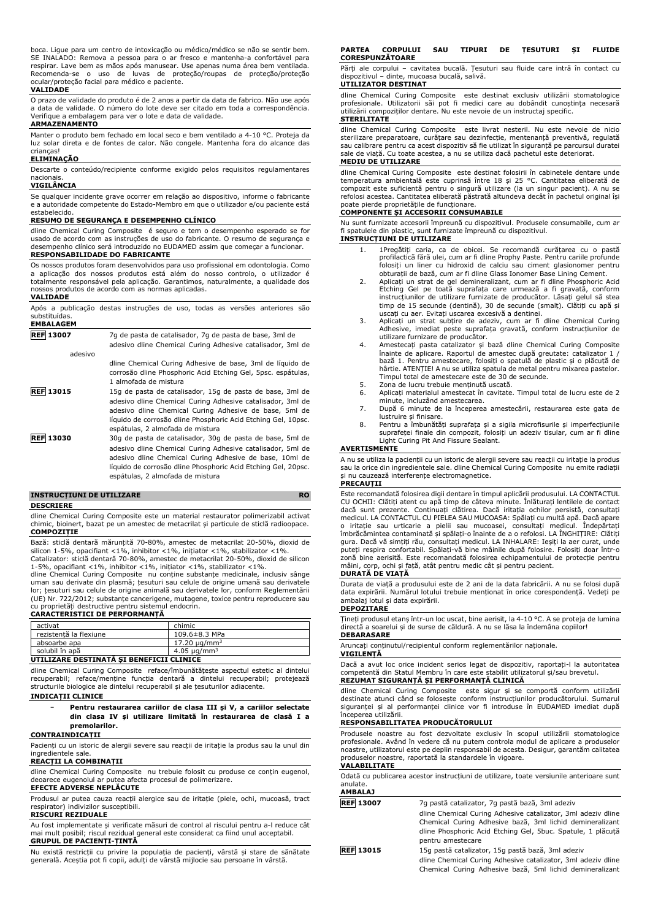boca. Ligue para um centro de intoxicação ou médico/médico se não se sentir bem. SE INALADO: Remova a pessoa para o ar fresco e mantenha-a confortável para respirar. Lave bem as mãos após manusear. Use apenas numa área bem ventilada. Recomenda-se o uso de luvas de proteção/roupas de proteção/proteção ocular/proteção facial para médico e paciente.

#### **VALIDADE**

O prazo de validade do produto é de 2 anos a partir da data de fabrico. Não use após a data de validade. O número do lote deve ser citado em toda a correspondência. Verifique a embalagem para ver o lote e data de validade.

# **ARMAZENAMENTO**

Manter o produto bem fechado em local seco e bem ventilado a 4-10 °C. Proteja da luz solar direta e de fontes de calor. Não congele. Mantenha fora do alcance das crianças!

### **ELIMINAÇÃO**

Descarte o conteúdo/recipiente conforme exigido pelos requisitos regulamentares nacionais.

# **VIGILÂNCIA**

Se qualquer incidente grave ocorrer em relação ao dispositivo, informe o fabricante e a autoridade competente do Estado-Membro em que o utilizador e/ou paciente está estabelecido.

# **RESUMO DE SEGURANÇA E DESEMPENHO CLÍNICO**

dline Chemical Curing Composite é seguro e tem o desempenho esperado se for usado de acordo com as instruções de uso do fabricante. O resumo de segurança e desempenho clínico será introduzido no EUDAMED assim que começar a funcionar. **RESPONSABILIDADE DO FABRICANTE**

Os nossos produtos foram desenvolvidos para uso profissional em odontologia. Como a aplicação dos nossos produtos está além do nosso controlo, o utilizador é totalmente responsável pela aplicação. Garantimos, naturalmente, a qualidade dos nossos produtos de acordo com as normas aplicadas. **VALIDADE**

# Após a publicação destas instruções de uso, todas as versões anteriores são substituídas. **EMBALAGEM**

| 7q de pasta de catalisador, 7q de pasta de base, 3ml de<br>adesivo dline Chemical Curing Adhesive catalisador, 3ml de                                                                                                                                                                   |
|-----------------------------------------------------------------------------------------------------------------------------------------------------------------------------------------------------------------------------------------------------------------------------------------|
|                                                                                                                                                                                                                                                                                         |
| dline Chemical Curing Adhesive de base, 3ml de líquido de<br>corrosão dline Phosphoric Acid Etching Gel, 5psc. espátulas,<br>1 almofada de mistura                                                                                                                                      |
| 15g de pasta de catalisador, 15g de pasta de base, 3ml de<br>adesivo dline Chemical Curing Adhesive catalisador, 3ml de<br>adesivo dline Chemical Curing Adhesive de base, 5ml de<br>líquido de corrosão dline Phosphoric Acid Etching Gel, 10psc.<br>espátulas, 2 almofada de mistura  |
| 30g de pasta de catalisador, 30g de pasta de base, 5ml de<br>adesivo dline Chemical Curing Adhesive catalisador, 5ml de<br>adesivo dline Chemical Curing Adhesive de base, 10ml de<br>líquido de corrosão dline Phosphoric Acid Etching Gel, 20psc.<br>espátulas, 2 almofada de mistura |
|                                                                                                                                                                                                                                                                                         |

# **INSTRUCȚIUNI DE UTILIZARE RO**

#### **DESCRIERE**

dline Chemical Curing Composite este un material restaurator polimerizabil activat chimic, bioinert, bazat pe un amestec de metacrilat și particule de sticlă radioopace. **COMPOZIȚIE**

Bază: sticlă dentară mărunțită 70-80%, amestec de metacrilat 20-50%, dioxid de<br>silicon 1-5%, opacifiant <1%, inhibitor <1%, inițiator <1%, stabilizator <1%.<br>Catalizator: sticlă dentară 70-80%, amestec de metacrilat 20-50%,

1-5%, opacifiant <1%, inhibitor <1%, inițiator <1%, stabilizator <1%. dline Chemical Curing Composite nu conține substanțe medicinale, inclusiv sânge uman sau derivate din plasmă; țesuturi sau celule de origine umană sau derivatel lor; țesuturi sau celule de origine animală sau derivatele lor, conform Reglementării (UE) Nr. 722/2012; substanțe cancerigene, mutagene, toxice pentru reproducere sau cu proprietăți destructive pentru sistemul endocrin. **CARACTERISTICI DE PERFORMANȚĂ**

| activat                                  | chimic                       |  |
|------------------------------------------|------------------------------|--|
| rezistentă la flexiune                   | 109.6±8.3 MPa                |  |
| absoarbe apa                             | 17.20 ug/mm <sup>3</sup>     |  |
| solubil în apă                           | 4.05 $\mu$ g/mm <sup>3</sup> |  |
| UTILIZADE DECTINATĂ CI DENEEICII CLINICE |                              |  |

#### **UTILIZARE DESTINATĂ ȘI BENEFICII CLINICE** dline Chemical Curing Composite reface/îmbunătățește aspectul estetic al dintelui recuperabil; reface/menține funcția dentară a dintelui recuperabil; protejează

structurile biologice ale dintelui recuperabil și ale țesuturilor adiacente. **INDICAȚII CLINICE**

## − **Pentru restaurarea cariilor de clasa III și V, a cariilor selectate din clasa IV și utilizare limitată în restaurarea de clasă I a premolarilor.**

# **CONTRAINDICAȚII**

Pacienți cu un istoric de alergii severe sau reacții de iritație la produs sau la unul din ingredientele sale.

# **REACȚII LA COMBINAȚII**

dline Chemical Curing Composite nu trebuie folosit cu produse ce conțin eugenol, deoarece eugenolul ar putea afecta procesul de polimerizare.

# **EFECTE ADVERSE NEPLĂCUTE**

Produsul ar putea cauza reacții alergice sau de iritație (piele, ochi, mucoasă, tract respirator) indivizilor susceptibili. **RISCURI REZIDUALE**

Au fost implementate și verificate măsuri de control al riscului pentru a-l reduce cât mai mult posibil; riscul rezidual general este considerat ca fiind unul acceptabil. **GRUPUL DE PACIENȚI-ȚINTĂ**

Nu există restricții cu privire la populația de pacienți, vârstă și stare de sănătate generală. Aceștia pot fi copii, adulți de vârstă mijlocie sau persoane în vârstă.

#### **PARTEA CORPULUI SAU TIPURI DE ȚESUTURI ȘI FLUIDE CORESPUNZĂTOARE**

Părți ale corpului – cavitatea bucală. Țesuturi sau fluide care intră în contact cu dispozitivul – dinte, mucoasa bucală, salivă. **UTILIZATOR DESTINAT**

dline Chemical Curing Composite este destinat exclusiv utilizării stomatologice profesionale. Utilizatorii săi pot fi medici care au dobândit cunoștința necesară utilizării compoziților dentare. Nu este nevoie de un instructaj specific. **STERILITATE**

dline Chemical Curing Composite este livrat nesteril. Nu este nevoie de nicio sterilizare preparatoare, curățare sau dezinfecție, mentenanță preventivă, regulată sau calibrare pentru ca acest dispozitiv să fie utilizat în siguranță pe parcursul duratei sale de viață. Cu toate acestea, a nu se utiliza dacă pachetul este deteriorat. **MEDIU DE UTILIZARE**

dline Chemical Curing Composite este destinat folosirii în cabinetele dentare unde<br>temperatura ambientală este cuprinsă între 18 și 25 °C. Cantitatea eliberată de<br>compozit este suficientă pentru o singură utilizare (la un refolosi acestea. Cantitatea eliberată păstrată altundeva decât în pachetul original își

# poate pierde proprietățile de funcționare. **COMPONENTE ȘI ACCESORII CONSUMABILE**

Nu sunt furnizate accesorii împreună cu dispozitivul. Produsele consumabile, cum ar fi spatulele din plastic, sunt furnizate împreună cu dispozitivul.

# **INSTRUCȚIUNI DE UTILIZARE**

- 1. 1Pregătiți caria, ca de obicei. Se recomandă curățarea cu o pastă profilactică fără ulei, cum ar fi dline Prophy Paste. Pentru cariile profunde folosiți un liner cu hidroxid de calciu sau ciment glasionomer pentru obturații de bază, cum ar fi dline Glass Ionomer Base Lining Cement.
- 2. Aplicați un strat de gel demineralizant, cum ar fi dline Phosphoric Acid Etching Gel pe toată suprafața care urmează a fi gravată, conform instrucțiunilor de utilizare furnizate de producător. Lăsați gelul să stea timp de 15 secunde (dentină), 30 de secunde (smalț). Clătiți cu apă și uscați cu aer. Evitați uscarea excesivă a dentinei. 3. Aplicați un strat subțire de adeziv, cum ar fi dline Chemical Curing
- Adhesive, imediat peste suprafața gravată, conform instrucțiunilor de
- utilizare furnizare de producător. 4. Amestecați pasta catalizator și bază dline Chemical Curing Composite înainte de aplicare. Raportul de amestec după greutate: catalizator 1 / bază 1. Pentru amestecare, folosiți o spatulă de plastic și o plăcuță de hârtie. ATENȚIE! A nu se utiliza spatula de metal pentru mixarea pastelor. Timpul total de amestecare este de 30 de secunde.
- 5. Zona de lucru trebuie menținută uscată.<br>6. Aplicati materialul amestecat în cavitate.
- 6. Aplicați materialul amestecat în cavitate. Timpul total de lucru este de 2 minute, incluzând amestecarea. 7. După 6 minute de la începerea amestecării, restaurarea este gata de
- lustruire și finisare.
- 8. Pentru a îmbunătăți suprafața și a sigila microfisurile și imperfecțiunile suprafeței finale din compozit, folosiți un adeziv tisular, cum ar fi dline Light Curing Pit And Fissure Sealant.

#### **AVERTISMENTE**

A nu se utiliza la pacienții cu un istoric de alergii severe sau reacții cu iritație la produs sau la orice din ingredientele sale. dline Chemical Curing Composite nu emite radiații și nu cauzează interferențe electromagnetice.

### **PRECAUȚII**

Este recomandată folosirea digii dentare în timpul aplicării produsului. LA CONTACTUL CU OCHII: Clătiți atent cu apă timp de câteva minute. Înlăturați lentilele de contact dacă sunt prezente. Continuați clătirea. Dacă iritația ochilor persistă, consultați medicul. LA CONTACTUL CU PIELEA SAU MUCOASA: Spălați cu multă apă. Dacă apare<br>o iritație sau urticarie a pielii sau mucoasei, consultați medicul. Îndepărtați<br>îmbrăcămintea contaminată și spălați-o înainte de a o gura. Dacă vă simțiți rău, consultați medicul. LA INHALARE: Ieșiți la aer curat, unde puteți respira confortabil. Spălați-vă bine mâinile după folosire. Folosiți doar într-o zonă bine aerisită. Este recomandată folosirea echipamentului de protecție pentru mâini, corp, ochi și față, atât pentru medic cât și pentru pacient. **DURATĂ DE VIAȚĂ**

Durata de viață a produsului este de 2 ani de la data fabricării. A nu se folosi după data expirării. Numărul lotului trebuie menționat în orice corespondență. Vedeți pe ambalaj lotul și data expirării.

#### **DEPOZITARE**

Țineți produsul etanș într-un loc uscat, bine aerisit, la 4-10 °C. A se proteja de lumina directă a soarelui și de surse de căldură. A nu se lăsa la îndemâna copiilor! **DEBARASARE**

# Aruncați conținutul/recipientul conform reglementărilor naționale.

#### **VIGILENȚĂ**

Dacă a avut loc orice incident serios legat de dispozitiv, raportați-l la autoritatea competentă din Statul Membru în care este stabilit utilizatorul și/sau brevetul. **REZUMAT SIGURANȚĂ ȘI PERFORMANȚĂ CLINICĂ**

dline Chemical Curing Composite este sigur și se comportă conform utilizării destinate atunci când se folosește conform instrucțiunilor producătorului. Sumarul siguranței și al performanței clinice vor fi introduse în EUDAMED imediat după începerea utilizării.

# **RESPONSABILITATEA PRODUCĂTORULUI**

Produsele noastre au fost dezvoltate exclusiv în scopul utilizării stomatologice profesionale. Având în vedere că nu putem controla modul de aplicare a produselor noastre, utilizatorul este pe deplin responsabil de acesta. Desigur, garantăm calitatea produselor noastre, raportată la standardele în vigoare. **VALABILITATE**

#### Odată cu publicarea acestor instrucțiuni de utilizare, toate versiunile anterioare sunt anulate.

### **AMBALAJ**

| <b>REF</b> 13007 | 7q pastă catalizator, 7q pastă bază, 3ml adeziv              |  |
|------------------|--------------------------------------------------------------|--|
|                  | dline Chemical Curing Adhesive catalizator, 3ml adeziv dline |  |
|                  | Chemical Curing Adhesive bază, 3ml lichid demineralizant     |  |
|                  | dline Phosphoric Acid Etching Gel, 5buc. Spatule, 1 plăcută  |  |
|                  | pentru amestecare                                            |  |
| <b>REF 13015</b> | 15g pastă catalizator, 15g pastă bază, 3ml adeziv            |  |
|                  | dline Chemical Curing Adhesive catalizator, 3ml adeziv dline |  |
|                  | Chemical Curing Adhesive bază, 5ml lichid demineralizant     |  |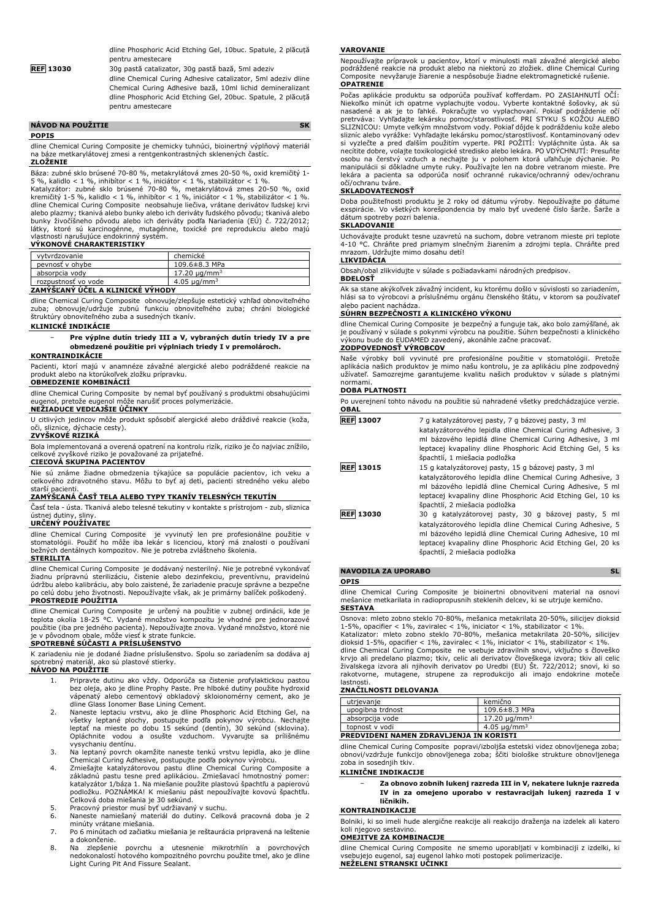dline Phosphoric Acid Etching Gel, 10buc. Spatule, 2 plăcuță pentru amestecare

**REF 13030** 30g pastă catalizator, 30g pastă bază, 5ml adeziv

dline Chemical Curing Adhesive catalizator, 5ml adeziv dline Chemical Curing Adhesive bază, 10ml lichid demineralizant dline Phosphoric Acid Etching Gel, 20buc. Spatule, 2 plăcuță pentru amestecare

| <b>NAVOD NA POUŽITIE</b> |  |
|--------------------------|--|
| <b>POPIS</b>             |  |

dline Chemical Curing Composite je chemicky tuhnúci, bioinertný výplňový materiál na báze metkarylátovej zmesi a rentgenkontrastných sklenených častíc. **ZLOŽENIE**

Báza: zubné sklo brúsené 70-80 %, metakrylátová zmes 20-50 %, oxid kremičitý 1- 5 %, kalidlo < 1 %, inhibítor < 1 %, iniciátor < 1 %, stabilizátor < 1 %.

Katalyzátor: zubné sklo brúsené 70-80 %, metakrylátová zmes 20-50 %, oxid kremičitý 1-5 %, kalidlo < 1 %, inhibítor < 1 %, iniciátor < 1 %, stabilizátor < 1 %. dline Chemical Curing Composite neobsahuje liečiva, vrátane derivátov ľudskej krvi alebo plazmy; tkanivá alebo bunky alebo ich deriváty ľudského pôvodu; tkanivá alebo<br>bunky živočíšneho pôvodu alebo ich deriváty podľa Nariadenia (EÚ) č. 722/2012;<br>látky, ktoré sú karcinogénne, mutagénne, toxické pre reprod

# **VÝKONOVÉ CHARAKTERISTIKY**

| vytvrdzovanie                                                            | chemické                      |
|--------------------------------------------------------------------------|-------------------------------|
| pevnosť v ohybe                                                          | 109.6±8.3 MPa                 |
| absorpcia vodv                                                           | 17.20 $\mu$ a/mm <sup>3</sup> |
| rozpustnosť vo vode                                                      | 4.05 $\mu$ g/mm <sup>3</sup>  |
| $100 - 200 = 200 = 200 = 200 = 200$<br>_ _ _ _ _ _ _ _ _ _ _ _ _ _ _ _ _ |                               |

#### **ZAMÝŠĽANÝ ÚČEL A KLINICKÉ VÝHODY**

dline Chemical Curing Composite obnovuje/zlepšuje estetický vzhľad obnoviteľného zuba; obnovuje/udržuje zubnú funkciu obnoviteľného zuba; chráni biologické štruktúry obnoviteľného zuba a susedných tkanív.

#### **KLINICKÉ INDIKÁCIE**

− **Pre výplne dutín triedy III a V, vybraných dutín triedy IV a pre obmedzené použitie pri výplniach triedy I v premolároch.**

# **KONTRAINDIKÁCIE**

Pacienti, ktorí majú v anamnéze závažné alergické alebo podráždené reakcie na produkt alebo na ktorúkoľvek zložku prípravku.

**OBMEDZENIE KOMBINÁCIÍ**

dline Chemical Curing Composite by nemal byť používaný s produktmi obsahujúcimi eugenol, pretože eugenol môže narušiť proces polymerizácie. **NEŽIADUCE VEDĽAJŠIE ÚČINKY**

U citlivých jedincov môže produkt spôsobiť alergické alebo dráždivé reakcie (koža, oči, sliznice, dýchacie cesty).

### **ZVYŠKOVÉ RIZIKÁ**

Bola implementovaná a overená opatrení na kontrolu rizík, riziko je čo najviac znížilo, zvyškové riziko je považované za prijateľné.

# **CIEĽOVÁ SKUPINA PACIENTOV**

Nie sú známe žiadne obmedzenia týkajúce sa populácie pacientov, ich veku a celkového zdravotného stavu. Môžu to byť aj deti, pacienti stredného veku alebo starší pacienti.

#### **ZAMÝŠĽANÁ ČASŤ TELA ALEBO TYPY TKANÍV TELESNÝCH TEKUTÍN**

Časť tela - ústa. Tkanivá alebo telesné tekutiny v kontakte s prístrojom - zub, sliznica ústnej dutiny, sliny. **URČENÝ POUŽÍVATEĽ**

dline Chemical Curing Composite je vyvinutý len pre profesionálne použitie v stomatológii. Použiť ho môže iba lekár s licenciou, ktorý má znalosti o používaní bežných dentálnych kompozitov. Nie je potreba zvláštneho školenia.

# **STERILITA**

dline Chemical Curing Composite je dodávaný nesterilný. Nie je potrebné vykonávať žiadnu prípravnú sterilizáciu, čistenie alebo dezinfekciu, preventívnu, pravidelnú údržbu alebo kalibráciu, aby bolo zaistené, že zariadenie pracuje správne a bezpečne po celú dobu jeho životnosti. Nepoužívajte však, ak je primárny balíček poškodený. **PROSTREDIE POUŽITIA**

dline Chemical Curing Composite je určený na použitie v zubnej ordinácii, kde je teplota okolia 18-25 °C. Vydané množstvo kompozitu je vhodné pre jednorazové použitie (iba pre jedného pacienta). Nepoužívajte znova. Vydané množstvo, ktoré nie je v pôvodnom obale, môže viesť k strate funkcie. **SPOTREBNÉ SÚČASTI A PRÍSLUŠENSTVO**

K zariadeniu nie je dodané žiadne príslušenstvo. Spolu so zariadením sa dodáva aj spotrebný materiál, ako sú plastové stierky.

#### **NÁVOD NA POUŽITIE**

- 1. Pripravte dutinu ako vždy. Odporúča sa čistenie profylaktickou pastou bez oleja, ako je dline Prophy Paste. Pre hlboké dutiny použite hydroxid vápenatý alebo cementový obkladový skloionomérny cement, ako je dline Glass Ionomer Base Lining Cement.
- 2. Naneste leptaciu vrstvu, ako je dline Phosphoric Acid Etching Gel, na všetky leptané plochy, postupujte podľa pokynov výrobcu. Nechajte<br>leptať na mieste po dobu 15 sekúnd (dentín), 30 sekúnd (sklovina).<br>Opláchnite vodou a osušte vzduchom. Vyvarujte sa prílišnému
- vysychaniu dentínu. 3. Na leptaný povrch okamžite naneste tenkú vrstvu lepidla, ako je dline Chemical Curing Adhesive, postupujte podľa pokynov výrobcu.
- 4. Zmiešajte katalyzátorovou pastu dline Chemical Curing Composite a<br>základnú pastu tesne pred aplikáciou. Zmiešavací hmotnostný pomer:<br>katalyzátor 1/báza 1. Na miešanie použite plastovú špachtlu a papierovú<br>podložku. POZN Celková doba miešania je 30 sekúnd.
- 
- 5. Pracovný priestor musí byť udržiavaný v suchu. 6. Naneste namiešaný materiál do dutiny. Celková pracovná doba je 2 minúty vrátane miešania.
- 7. Po 6 minútach od začiatku miešania je reštaurácia pripravená na leštenie a dokončenie. 8. Na zlepšenie povrchu a utesnenie mikrotrhlín a povrchových
- nedokonalostí hotového kompozitného povrchu použite tmel, ako je dline Light Curing Pit And Fissure Sealant.

#### **VAROVANIE**

Nepoužívajte prípravok u pacientov, ktorí v minulosti mali závažné alergické alebo podráždené reakcie na produkt alebo na niektorú zo zložiek. dline Chemical Curing Composite nevyžaruje žiarenie a nespôsobuje žiadne elektromagnetické rušenie. **OPATRENIE**

Počas aplikácie produktu sa odporúča používať kofferdam. PO ZASIAHNUTÍ OČÍ: Niekoľko minút ich opatrne vyplachujte vodou. Vyberte kontaktné šošovky, ak sú<br>nasadené a ak je to ľahké. Pokračujte vo vyplachovaní. Pokiaľ podráždenie očí<br>pretrváva: Vyhľadajte lekársku pomoc/starostlivosť. PRI STYKU S K si vyzlečte a pred ďalším použitím vyperte. PRI POZITI: Vypláchnite ústa. Ak sa<br>necítite dobre, volajte toxikologické stredisko alebo lekára. PO VDÝCHNUTÍ: Presuňte osobu na čerstvý vzduch a nechajte ju v polohem ktorá uľahčuje dýchanie. Po<br>manipulácii si dôkladne umyte ruky. Používajte len na dobre vetranom mieste. Pre<br>lekára a pacienta sa odporúča nosiť ochranné rukavice/ochranný od očí/ochranu tváre.

# **SKLADOVATEĽNOSŤ**

Doba použiteľnosti produktu je 2 roky od dátumu výroby. Nepoužívajte po dátume exspirácie. Vo všetkých korešpondencia by malo byť uvedené číslo šarže. Šarže a dátum spotreby pozri balenia.

#### **SKLADOVANIE**

Uchovávajte produkt tesne uzavretú na suchom, dobre vetranom mieste pri teplote 4-10 °C. Chráňte pred priamym slnečným žiarením a zdrojmi tepla. Chráňte pred mrazom. Udržujte mimo dosahu detí!

# **LIKVIDÁCIA**

Obsah/obal zlikvidujte v súlade s požiadavkami národných predpisov. **BDELOSŤ**

Ak sa stane akýkoľvek závažný incident, ku ktorému došlo v súvislosti so zariadením, hlási sa to výrobcovi a príslušnému orgánu členského štátu, v ktorom sa používateľ alebo pacient nachádza.

#### **SÚHRN BEZPEČNOSTI A KLINICKÉHO VÝKONU**

dline Chemical Curing Composite je bezpečný a funguje tak, ako bolo zamýšľané, ak je používaný v súlade s pokynmi výrobcu na použitie. Súhrn bezpečnosti a klinického výkonu bude do EUDAMED zavedený, akonáhle začne pracovať.

# **ZODPOVEDNOSŤ VÝROBCOV**

Naše výrobky boli vyvinuté pre profesionálne použitie v stomatológii. Pretože aplikácia našich produktov je mimo našu kontrolu, je za aplikáciu plne zodpovedný užívateľ. Samozrejme garantujeme kvalitu našich produktov v súlade s platnými normami.

#### **DOBA PLATNOSTI**

| Po uverejnení tohto návodu na použitie sú nahradené všetky predchádzajúce verzie.<br><b>OBAL</b> |                                                                                                                                                                                                                                                                                 |  |
|--------------------------------------------------------------------------------------------------|---------------------------------------------------------------------------------------------------------------------------------------------------------------------------------------------------------------------------------------------------------------------------------|--|
| <b>REF 13007</b>                                                                                 | 7 g katalyzátorovej pasty, 7 g bázovej pasty, 3 ml<br>katalyzátorového lepidla dline Chemical Curing Adhesive, 3<br>ml bázového lepidlá dline Chemical Curing Adhesive, 3 ml<br>leptacej kvapaliny dline Phosphoric Acid Etching Gel, 5 ks<br>špachtlí, 1 miešacia podložka     |  |
| <b>REF 13015</b>                                                                                 | 15 g katalyzátorovej pasty, 15 g bázovej pasty, 3 ml<br>katalyzátorového lepidla dline Chemical Curing Adhesive, 3<br>ml bázového lepidlá dline Chemical Curing Adhesive, 5 ml<br>leptacej kvapaliny dline Phosphoric Acid Etching Gel, 10 ks<br>špachtlí, 2 miešacia podložka  |  |
| <b>REF 13030</b>                                                                                 | 30 g katalyzátorovej pasty, 30 g bázovej pasty, 5 ml<br>katalyzátorového lepidla dline Chemical Curing Adhesive, 5<br>ml bázového lepidlá dline Chemical Curing Adhesive, 10 ml<br>leptacej kvapaliny dline Phosphoric Acid Etching Gel, 20 ks<br>špachtlí, 2 miešacia podložka |  |

# **NAVODILA ZA UPORABO** SL

**OPIS**

dline Chemical Curing Composite je bioinertni obnovitveni material na osnovi mešanice metkarilata in radiopropusnih steklenih delcev, ki se utrjuje kemično. **SESTAVA**

Osnova: mleto zobno steklo 70-80%, mešanica metakrilata 20-50%, silicijev dioksid 1-5%, opacifier < 1%, zaviralec < 1%, iniciator < 1%, stabilizator < 1%.

Katalizator: mleto zobno steklo 70-80%, mešanica metakrilata 20-50%, silicijev<br>dioksid 1-5%, opacifier < 1%, zaviralec < 1%, iniciator < 1%, stabilizator < 1%.<br>dline Chemical Curing Composite ne vsebuje zdravilnih snovi, v krvjo ali predelano plazmo; tkiv, celic ali derivatov človeškega izvora; tkiv ali celic<br>živalskega izvora ali njihovih derivatov po Uredbi (EU) Št. 722/2012; snovi, ki so<br>rakotvorne, mutagene, strupene za reprodukcijo lastnosti.

#### **ZNAČILNOSTI DELOVANJA**

| utrievanie       | kemično                       |
|------------------|-------------------------------|
| upogibna trdnost | $109.6 \pm 8.3$ MPa           |
| absorpcija vode  | 17.20 $\mu$ g/mm <sup>3</sup> |
| topnost v vodi   | $4.05 \mu$ g/mm <sup>3</sup>  |

# **PREDVIDENI NAMEN ZDRAVLJENJA IN KORISTI**

dline Chemical Curing Composite popravi/izboljša estetski videz obnovljenega zoba; obnovi/vzdržuje funkcijo obnovljenega zoba; ščiti biološke strukture obnovljenega zoba in sosednjih tkiv.

#### **KLINIČNE INDIKACIJE**

− **Za obnovo zobnih lukenj razreda III in V, nekatere luknje razreda IV in za omejeno uporabo v restavracijah lukenj razreda I v ličnikih.**

#### **KONTRAINDIKACIJE**

Bolniki, ki so imeli hude alergične reakcije ali reakcijo draženja na izdelek ali katero koli njegovo sestavino. **OMEJITVE ZA KOMBINACIJE**

dline Chemical Curing Composite ne smemo uporabljati v kombinaciji z izdelki, ki vsebujejo eugenol, saj eugenol lahko moti postopek polimerizacije. **NEŽELENI STRANSKI UČINKI**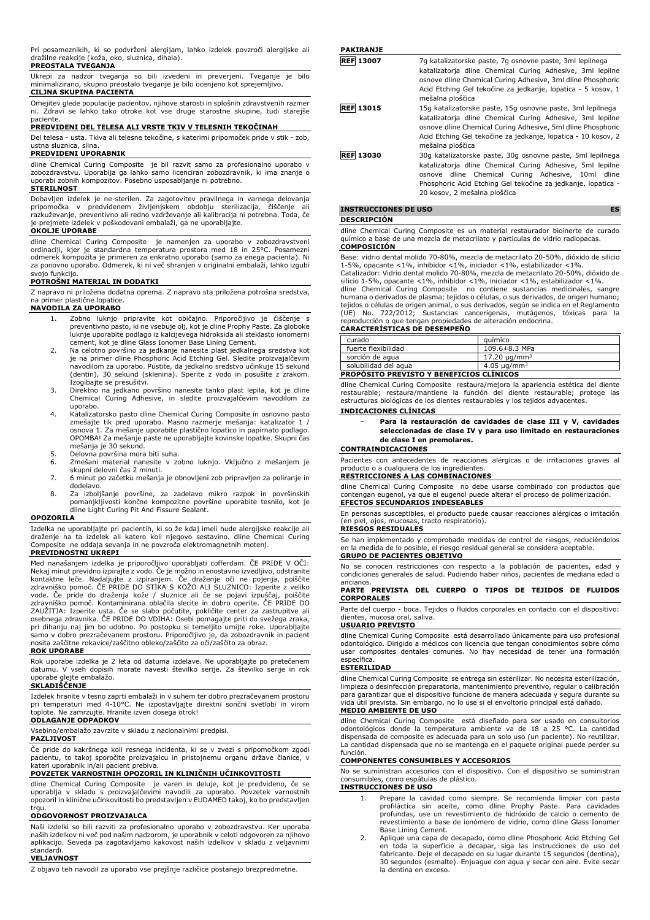Pri posameznikih, ki so podvrženi alergijam, lahko izdelek povzroči alergijske ali dražilne reakcije (koža, oko, sluznica, dihala). **PREOSTALA TVEGANJA**

Ukrepi za nadzor tveganja so bili izvedeni in preverjeni. Tveganje je bilo minimalizirano, skupno preostalo tveganje je bilo ocenjeno kot sprejemljivo. **CILJNA SKUPINA PACIENTA**

Omejitev glede populacije pacientov, njihove starosti in splošnih zdravstvenih razmer ni. Zdravi se lahko tako otroke kot vse druge starostne skupine, tudi starejše

# paciente. **PREDVIDENI DEL TELESA ALI VRSTE TKIV V TELESNIH TEKOČINAH**

Del telesa - usta. Tkiva ali telesne tekočine, s katerimi pripomoček pride v stik - zob, ustna sluznica, slina.

# **PREDVIDENI UPORABNIK**

dline Chemical Curing Composite je bil razvit samo za profesionalno uporabo v<br>zobozdravstvu. Uporablja ga lahko samo licenciran zobozdravnik, ki ima znanje o<br>uporabi zobnih kompozitov. Posebno usposabljanje ni potrebno.

#### **STERILNOST**

Dobavljen izdelek je ne-sterilen. Za zagotovitev pravilnega in varnega delovanja pripomočka v predvidenem življenjskem obdobju sterilizacija, čiščenje ali razkuževanje, preventivno ali redno vzdrževanje ali kalibracija ni potrebna. Toda, če je prejmete izdelek v poškodovani embalaži, ga ne uporabljajte.

# **OKOLJE UPORABE**

dline Chemical Curing Composite - je namenjen za uporabo v zobozdravstveni<br>ordinaciji, kjer je standardna temperatura prostora med 18 in 25°C. Posamezni<br>odmerek kompozita je primeren za enkratno uporabo (samo za enega paci za ponovno uporabo. Odmerek, ki ni več shranjen v originalni embalaži, lahko izgubi svojo funkcijo.

# **POTROŠNI MATERIAL IN DODATKI**

Z napravo ni priložena dodatna oprema. Z napravo sta priložena potrošna sredstva,

# na primer plastične lopatice. **NAVODILA ZA UPORABO**

- 1. Zobno luknjo pripravite kot običajno. Priporočljivo je čiščenje s preventivno pasto, ki ne vsebuje olj, kot je dline Prophy Paste. Za globoke luknje uporabite podlago iz kalcijevega hidroksida ali steklasto ionomerni cement, kot je dline Glass Ionomer Base Lining Cement.
- 2. Na celotno površino za jedkanje nanesite plast jedkalnega sredstva kot je na primer dline Phosphoric Acid Etching Gel. Sledite proizvajalčevim navodilom za uporabo. Pustite, da jedkalno sredstvo učinkuje 15 sekund (dentin), 30 sekund (sklenina). Sperite z vodo in posušite z zrakom. Izogibajte se presušitvi.
- 3. Direktno na jedkano površino nanesite tanko plast lepila, kot je dline Chemical Curing Adhesive, in sledite proizvajalčevim navodilom za uporabo.
- 4. Katalizatorsko pasto dline Chemical Curing Composite in osnovno pasto zmešajte tik pred uporabo. Masno razmerje mešanja: katalizator 1 / osnova 1. Za mešanje uporabite plastično lopatico in papirnato podlago. OPOMBA! Za mešanje paste ne uporabljajte kovinske lopatke. Skupni čas
- mešanja je 30 sekund. 5. Delovna površina mora biti suha.
- 6. Zmešani material nanesite v zobno luknjo. Vključno z mešanjem je skupni delovni čas 2 minuti.
- 7. 6 minut po začetku mešanja je obnovljeni zob pripravljen za poliranje in dodelavo.
- 8. Za izboljšanje površine, za zadelavo mikro razpok in površinskih pomanjkljivosti končne kompozitne površine uporabite tesnilo, kot je dline Light Curing Pit And Fissure Sealant.

#### **OPOZORILA**

Izdelka ne uporabljajte pri pacientih, ki so že kdaj imeli hude alergijske reakcije ali draženje na ta izdelek ali katero koli njegovo sestavino. dline Chemical Curing Composite ne oddaja sevanja in ne povzroča elektromagnetnih motenj.

# **PREVIDNOSTNI UKREPI**

Med nanašanjem izdelka je priporočljivo uporabljati cofferdam. ČE PRIDE V OČI: Nekaj minut previdno izpirajte z vodo. Če je možno in enostavno izvedljivo, odstranite kontaktne leče. Nadaljujte z izpiranjem. Ce draženje oči ne pojenja, poiščite<br>zdravniško pomoč. ČE PRIDE DO STIKA S KOŽO ALI SLUZNICO: Izperite z veliko<br>vode. Če pride do draženja kože / sluznice ali če se pojavi izpuščaj, osebnega zdravnika. ČE PRIDE DO VDIHA: Osebi pomagajte priti do svežega zraka, pri dihanju naj jim bo udobno. Po postopku si temeljito umijte roke. Uporabljajte samo v dobro prezračevanem prostoru. Priporočljivo je, da zobozdravnik in pacient nosita zaščitne rokavice/zaščitno obleko/zaščito za oči/zaščito za obraz. **ROK UPORABE**

Rok uporabe izdelka je 2 leta od datuma izdelave. Ne uporabljajte po pretečenem datumu. V vseh dopisih morate navesti številko serije. Za številko serije in rok uporabe glejte embalažo.

# **SKLADIŠČENJE**

Izdelek hranite v tesno zaprti embalaži in v suhem ter dobro prezračevanem prostoru pri temperaturi med 4-10°C. Ne izpostavljajte direktni sončni svetlobi in virom toplote. Ne zamrzujte. Hranite izven dosega otrok!

# **ODLAGANJE ODPADKOV**

Vsebino/embalažo zavrzite v skladu z nacionalnimi predpisi.

# **PAZLJIVOST**

Če pride do kakršnega koli resnega incidenta, ki se v zvezi s pripomočkom zgodi pacientu, to takoj sporočite proizvajalcu in pristojnemu organu države članice, v kateri uporabnik in/ali pacient prebiva.

# **POVZETEK VARNOSTNIH OPOZORIL IN KLINIČNIH UČINKOVITOSTI**

dline Chemical Curing Composite je varen in deluje, kot je predvideno, če se uporablja v skladu s proizvajalčevimi navodili za uporabo. Povzetek varnostnih opozoril in klinične učinkovitosti bo predstavljen v EUDAMED takoj, ko bo predstavljen trau.

#### **ODGOVORNOST PROIZVAJALCA**

Naši izdelki so bili razviti za profesionalno uporabo v zobozdravstvu. Ker uporaba naših izdelkov ni več pod našim nadzorom, je uporabnik v celoti odgovoren za njihovo aplikacijo. Seveda pa zagotavljamo kakovost naših izdelkov v skladu z veljavnimi standardi.

# **VELJAVNOST**

Z objavo teh navodil za uporabo vse prejšnje različice postanejo brezpredmetne.

**PAKIRANJE**

| <b>REF 13007</b> | 7g katalizatorske paste, 7g osnovne paste, 3ml lepilnega<br>katalizatorja dline Chemical Curing Adhesive, 3ml lepilne<br>osnove dline Chemical Curing Adhesive, 3ml dline Phosphoric<br>Acid Etching Gel tekočine za jedkanje, lopatica - 5 kosov, 1<br>mešalna ploščica     |
|------------------|------------------------------------------------------------------------------------------------------------------------------------------------------------------------------------------------------------------------------------------------------------------------------|
| <b>REF 13015</b> | 15g katalizatorske paste, 15g osnovne paste, 3ml lepilnega<br>katalizatorja dline Chemical Curing Adhesive, 3ml lepilne<br>osnove dline Chemical Curing Adhesive, 5ml dline Phosphoric<br>Acid Etching Gel tekočine za jedkanje, lopatica - 10 kosov, 2<br>mešalna ploščica  |
| <b>REF 13030</b> | 30g katalizatorske paste, 30g osnovne paste, 5ml lepilnega<br>katalizatorja dline Chemical Curing Adhesive, 5ml lepilne<br>osnove dline Chemical Curing Adhesive, 10ml dline<br>Phosphoric Acid Etching Gel tekočine za jedkanje, lopatica -<br>20 kosov, 2 mešalna ploščica |

# **INSTRUCCIONES DE USO ES**

#### **DESCRIPCIÓN**

dline Chemical Curing Composite es un material restaurador bioinerte de curado químico a base de una mezcla de metacrilato y partículas de vidrio radiopacas. **COMPOSICIÓN**

Base: vidrio dental molido 70-80%, mezcla de metacrilato 20-50%, dióxido de silicio 1-5%, opacante <1%, inhibidor <1%, iniciador <1%, estabilizador <1%. Catalizador: Vidrio dental molido 70-80%, mezcla de metacrilato 20-50%, dióxido de

silicio 1-5%, opacante <1%, inhibidor <1%, iniciador <1%, estabilizador <1%. dline Chemical Curing Composite no contiene sustancias medicinales, sangre humana o derivados de plasma; tejidos o células, o sus derivados, de origen humano;

tejidos o células de origen animal, o sus derivados, según se indica en el Reglamento<br>(UE) No. 722/2012; Sustancias cancerígenas, mutágenos, tóxicas para la<br>reproducción o que tengan propiedades de altera

# **CARACTERÍSTICAS DE DESEMPEÑO**

| <b>PROPOSITO PREVISTO Y BENEFICIOS CLÍNICOS</b> |                              |  |
|-------------------------------------------------|------------------------------|--|
| solubilidad del agua                            | 4.05 $\mu$ g/mm <sup>3</sup> |  |
| sorción de agua                                 | 17.20 ug/mm <sup>3</sup>     |  |
| fuerte flexibilidad                             | 109.6±8.3 MPa                |  |
| curado                                          | auímico                      |  |

dline Chemical Curing Composite restaura/mejora la apariencia estética del diente restaurable; restaura/mantiene la función del diente restaurable; protege las estructuras biológicas de los dientes restaurables y los tejidos adyacentes.

# **INDICACIONES CLÍNICAS**

− **Para la restauración de cavidades de clase III y V, cavidades seleccionadas de clase IV y para uso limitado en restauraciones de clase I en premolares.**

### **CONTRAINDICACIONES**

Pacientes con antecedentes de reacciones alérgicas o de irritaciones graves al producto o a cualquiera de los ingredientes.

# **RESTRICCIONES A LAS COMBINACIONES**

dline Chemical Curing Composite no debe usarse combinado con productos que contengan eugenol, ya que el eugenol puede alterar el proceso de polimerización. **EFECTOS SECUNDARIOS INDESEABLES**

En personas susceptibles, el producto puede causar reacciones alérgicas o irritación piel, ojos, mucosas, tracto respiratorio).

# **RIESGOS RESIDUALES**

Se han implementado y comprobado medidas de control de riesgos, reduciéndolos en la medida de lo posible, el riesgo residual general se considera aceptable.

# **GRUPO DE PACIENTES OBJETIVO**

No se conocen restricciones con respecto a la población de pacientes, edad y condiciones generales de salud. Pudiendo haber niños, pacientes de mediana edad o ancianos.

#### **PARTE PREVISTA DEL CUERPO O TIPOS DE TEJIDOS DE FLUIDOS CORPORALES**

Parte del cuerpo - boca. Tejidos o fluidos corporales en contacto con el dispositivo: dientes, mucosa oral, saliva.

# **USUARIO PREVISTO**

dline Chemical Curing Composite está desarrollado únicamente para uso profesional odontológico. Dirigido a médicos con licencia que tengan conocimientos sobre cómo usar composites dentales comunes. No hay necesidad de tener una formación específica.

#### **ESTERILIDAD**

dline Chemical Curing Composite se entrega sin esterilizar. No necesita esterilización, limpieza o desinfección preparatoria, mantenimiento preventivo, regular o calibración para garantizar que el dispositivo funcione de manera adecuada y segura durante su vida útil prevista. Sin embargo, no lo use si el envoltorio principal está dañado. **MEDIO AMBIENTE DE USO**

dline Chemical Curing Composite está diseñado para ser usado en consultorios odontológicos donde la temperatura ambiente va de 18 a 25 °C. La cantidad dispensada de composite es adecuada para un solo uso (un paciente). No reutilizar. La cantidad dispensada que no se mantenga en el paquete original puede perder su función.

#### **COMPONENTES CONSUMIBLES Y ACCESORIOS**

No se suministran accesorios con el dispositivo. Con el dispositivo se suministran consumibles, como espátulas de plástico.

**INSTRUCCIONES DE USO**

- 1. Prepare la cavidad como siempre. Se recomienda limpiar con pasta profiláctica sin aceite, como dline Prophy Paste. Para cavidades profundas, use un revestimiento de hidróxido de calcio o cemento de revestimiento a base de ionómero de vidrio, como dline Glass Ionomer Base Lining Cement.
- 2. Aplique una capa de decapado, como dline Phosphoric Acid Etching Gel en toda la superficie a decapar, siga las instrucciones de uso del fabricante. Deje el decapado en su lugar durante 15 segundos (dentina), 30 segundos (esmalte). Enjuague con agua y secar con aire. Evite secar la dentina en exceso.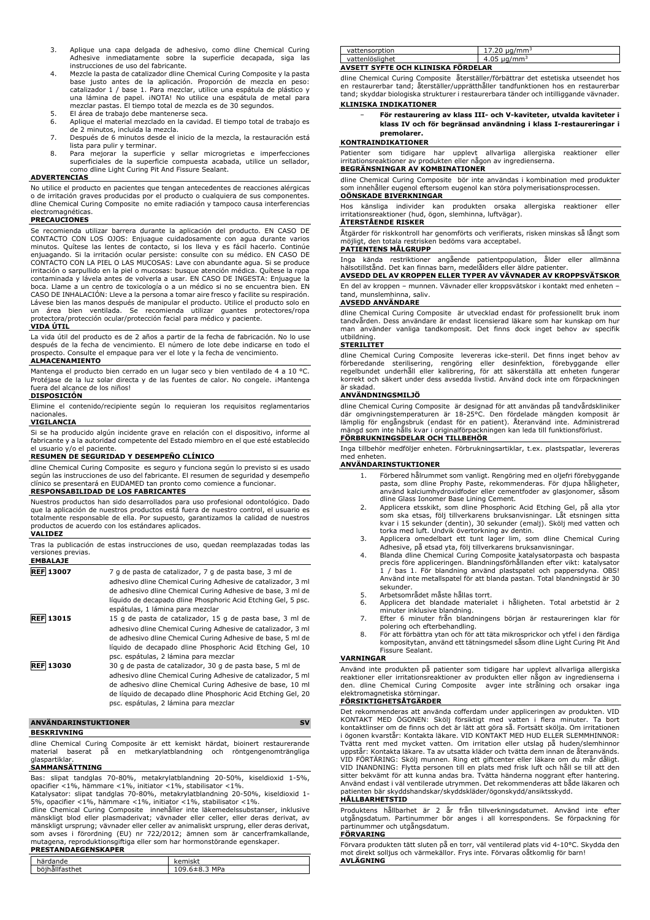- 3. Aplique una capa delgada de adhesivo, como dline Chemical Curing Adhesive inmediatamente sobre la superficie decapada, siga las instrucciones de uso del fabricante.
- 4. Mezcle la pasta de catalizador dline Chemical Curing Composite y la pasta base justo antes de la aplicación. Proporción de mezcla en peso: catalizador 1 / base 1. Para mezclar, utilice una espátula de plástico y una lámina de papel. ¡NOTA! No utilice una espátula de metal para mezclar pastas. El tiempo total de mezcla es de 30 segundos.
- 5. El área de trabajo debe mantenerse seca.<br>6. Aplique el material mezclado en la cavida
- 6. Aplique el material mezclado en la cavidad. El tiempo total de trabajo es de 2 minutos, incluida la mezcla.
- 7. Después de 6 minutos desde el inicio de la mezcla, la restauración está
- lista para pulir y terminar. 8. Para mejorar la superficie y sellar microgrietas e imperfecciones superficiales de la superficie compuesta acabada, utilice un sellador, como dline Light Curing Pit And Fissure Sealant.

# **ADVERTENCIAS**

No utilice el producto en pacientes que tengan antecedentes de reacciones alérgicas o de irritación graves producidas por el producto o cualquiera de sus componentes. dline Chemical Curing Composite no emite radiación y tampoco causa interferencias electromagnéticas.

#### **PRECAUCIONES**

Se recomienda utilizar barrera durante la aplicación del producto. EN CASO DE<br>CONTACTO CON LOS OJOS: Enjuague cuidadosamente con agua durante varios<br>minutos. Quítese las lentes de contacto, si los lleva y es fácil hacerlo. CONTACTO CON LA PIEL O LAS MUCOSAS: Lave con abundante agua. Si se produce irritación o sarpullido en la piel o mucosas: busque atención médica. Quítese la ropa contaminada y lávela antes de volverla a usar. EN CASO DE INGESTA: Enjuague la boca. Llame a un centro de toxicología o a un médico si no se encuentra bien. EN CASO DE INHALACIÓN: Lleve a la persona a tomar aire fresco y facilite su respiración. Lávese bien las manos después de manipular el producto. Utilice el producto solo en un área bien ventilada. Se recomienda utilizar guantes protectores/ropa protectora/protección ocular/protección facial para médico y paciente. **VIDA ÚTIL**

#### La vida útil del producto es de 2 años a partir de la fecha de fabricación. No lo use después de la fecha de vencimiento. El número de lote debe indicarse en todo el prospecto. Consulte el empaque para ver el lote y la fecha de vencimiento.

#### **ALMACENAMIENTO**

Mantenga el producto bien cerrado en un lugar seco y bien ventilado de 4 a 10 °C. Protéjase de la luz solar directa y de las fuentes de calor. No congele. ¡Mantenga fuera del alcance de los niños!

# **DISPOSICIÓN**

Elimine el contenido/recipiente según lo requieran los requisitos reglamentarios nacionales.

# **VIGILANCIA**

Si se ha producido algún incidente grave en relación con el dispositivo, informe al fabricante y a la autoridad competente del Estado miembro en el que esté establecido el usuario y/o el paciente.

#### **RESUMEN DE SEGURIDAD Y DESEMPEÑO CLÍNICO**

dline Chemical Curing Composite es seguro y funciona según lo previsto si es usado según las instrucciones de uso del fabricante. El resumen de seguridad y desempeño clínico se presentará en EUDAMED tan pronto como comience a funcionar. **RESPONSABILIDAD DE LOS FABRICANTES**

# Nuestros productos han sido desarrollados para uso profesional odontológico. Dado que la aplicación de nuestros productos está fuera de nuestro control, el usuario es totalmente responsable de ella. Por supuesto, garantizamos la calidad de nuestros productos de acuerdo con los estándares aplicados.

#### **VALIDEZ**

Tras la publicación de estas instrucciones de uso, quedan reemplazadas todas las versiones previas. **EMBALAJE**

| 7 g de pasta de catalizador, 7 g de pasta base, 3 ml de<br>adhesivo dline Chemical Curing Adhesive de catalizador, 3 ml<br>de adhesivo dline Chemical Curing Adhesive de base, 3 ml de<br>líquido de decapado dline Phosphoric Acid Etching Gel, 5 psc.<br>espátulas, 1 lámina para mezclar     |
|-------------------------------------------------------------------------------------------------------------------------------------------------------------------------------------------------------------------------------------------------------------------------------------------------|
| 15 g de pasta de catalizador, 15 g de pasta base, 3 ml de<br>adhesivo dline Chemical Curing Adhesive de catalizador, 3 ml<br>de adhesivo dline Chemical Curing Adhesive de base, 5 ml de<br>líquido de decapado dline Phosphoric Acid Etching Gel, 10<br>psc. espátulas, 2 lámina para mezclar  |
| 30 g de pasta de catalizador, 30 g de pasta base, 5 ml de<br>adhesivo dline Chemical Curing Adhesive de catalizador, 5 ml<br>de adhesivo dline Chemical Curing Adhesive de base, 10 ml<br>de líquido de decapado dline Phosphoric Acid Etching Gel, 20<br>psc. espátulas, 2 lámina para mezclar |
|                                                                                                                                                                                                                                                                                                 |

# **ANVÄNDARINSTUKTIONER** SV

# **BESKRIVNING**

dline Chemical Curing Composite är ett kemiskt härdat, bioinert restaurerande material baserat på en metkarylatblandning och röntgengenomträngliga glaspartiklar.

#### **SAMMANSÄTTNING**

Bas: slipat tandglas 70-80%, metakrylatblandning 20-50%, kiseldioxid 1-5%, opacifier <1%, hämmare <1%, initiator <1%, stabilisator <1%. Katalysator: slipat tandglas 70-80%, metakrylatblandning 20-50%, kiseldioxid 1-

5%, opacifier <1%, hämmare <1%, initiator <1%, stabilisator <1%.<br>dline Chemical Curing Composite innehåller inte läkemedelssubstanser, inklusive<br>mänskligt blod eller plasmaderivat; vävnader eller celler, eller deras deriva som avses i förordning (EU) nr 722/2012; ämnen som är cancerframkallande, mutagena, reproduktionsgiftiga eller som har hormonstörande egenskaper. **PRESTANDAEGENSKAPER**

| härdande       | kemiskt       |
|----------------|---------------|
| böihållfasthet | 109.6±8.3 MPa |

| vattensorption                     | 17.20 $\mu$ g/mm <sup>3</sup> |
|------------------------------------|-------------------------------|
| vattenlöslighet                    | 4.05 $\mu$ g/mm <sup>3</sup>  |
| AVSETT SYFTE OCH KLINISKA FORDELAR |                               |

dline Chemical Curing Composite återställer/förbättrar det estetiska utseendet hos en restaurerbar tand; återställer/upprätthåller tandfunktionen hos en restaurerbar tand; skyddar biologiska strukturer i restaurerbara tänder och intilliggande vävnader.

### **KLINISKA INDIKATIONER**

− **För restaurering av klass III- och V-kaviteter, utvalda kaviteter i klass IV och för begränsad användning i klass I-restaureringar i premolarer.**

#### **KONTRAINDIKATIONER**

Patienter som tidigare har upplevt allvarliga allergiska reaktioner eller irritationsreaktioner av produkten eller någon av ingredienserna.

# **BEGRÄNSNINGAR AV KOMBINATIONER**

dline Chemical Curing Composite bör inte användas i kombination med produkter som innehåller eugenol eftersom eugenol kan störa polymerisationsprocessen. **OÖNSKADE BIVERKNINGAR**

# Hos känsliga individer kan produkten orsaka allergiska reaktioner eller irritationsreaktioner (hud, ögon, slemhinna, luftvägar). **ÅTERSTÅENDE RISKER**

Åtgärder för riskkontroll har genomförts och verifierats, risken minskas så långt som möjligt, den totala restrisken bedöms vara acceptabel.

# **PATIENTENS MÅLGRUPP**

Inga kända restriktioner angående patientpopulation, ålder eller allmänna hälsotillstånd. Det kan finnas barn, medelålders eller äldre patienter.

**AVSEDD DEL AV KROPPEN ELLER TYPER AV VÄVNADER AV KROPPSVÄTSKOR** En del av kroppen – munnen. Vävnader eller kroppsvätskor i kontakt med enheten –

# tand, munslemhinna, saliv.

# **AVSEDD ANVÄNDARE**

dline Chemical Curing Composite är utvecklad endast för professionellt bruk inom tandvården. Dess användare är endast licensierad läkare som har kunskap om hur man använder vanliga tandkomposit. Det finns dock inget behov av specifik utbildning.

#### **STERILITET**

dline Chemical Curing Composite levereras icke-steril. Det finns inget behov av förberedande sterilisering, rengöring eller desinfektion, förebyggande eller regelbundet underhåll eller kalibrering, för att säkerställa att enheten fungerar korrekt och säkert under dess avsedda livstid. Använd dock inte om förpackningen är skadad.

### **ANVÄNDNINGSMILJÖ**

dline Chemical Curing Composite är designad för att användas på tandvårdskliniker där omgivningstemperaturen är 18-25°C. Den fördelade mängden komposit är lämplig för engångsbruk (endast för en patient). Återanvänd inte. Administrerad mängd som inte hålls kvar i originalförpackningen kan leda till funktionsförlust.

# **FÖRBRUKNINGSDELAR OCH TILLBEHÖR**

Inga tillbehör medföljer enheten. Förbrukningsartiklar, t.ex. plastspatlar, levereras med enheter

# **ANVÄNDARINSTUKTIONER**

- 1. Förbered hålrummet som vanligt. Rengöring med en oljefri förebyggande pasta, som dline Prophy Paste, rekommenderas. För djupa håligheter, använd kalciumhydroxidfoder eller cementfoder av glasjonomer, såsom
- dline Glass Ionomer Base Lining Cement. 2. Applicera etsskikt, som dline Phosphoric Acid Etching Gel, på alla ytor som ska etsas, följ tillverkarens bruksanvisningar. Låt etsningen sitta kvar i 15 sekunder (dentin), 30 sekunder (emalj). Skölj med vatten och torka med luft. Undvik övertorkning av dentin.
- 3. Applicera omedelbart ett tunt lager lim, som dline Chemical Curing
- Adhesive, på etsad yta, följ tillverkarens bruksanvisningar.<br>4. Blanda dline Chemical Curing Composite katalysatorpasta och baspasta<br>precis före appliceringen. Blandningsförhållanden efter vikt: katalysator<br>1 / bas 1. För Använd inte metallspatel för att blanda pastan. Total blandningstid är 30 sekunder.
- 5. Arbetsområdet måste hållas torrt.<br>6. Applicera det blandade materiale
- 6. Applicera det blandade materialet i håligheten. Total arbetstid är 2
- minuter inklusive blandning. 7. Efter 6 minuter från blandningens början är restaureringen klar för polering och efterbehandling. 8. För att förbättra ytan och för att täta mikrosprickor och ytfel i den färdiga
- kompositytan, använd ett tätningsmedel såsom dline Light Curing Pit And Fissure Sealant.

#### **VARNINGAR**

Använd inte produkten på patienter som tidigare har upplevt allvarliga allergiska reaktioner eller irritationsreaktioner av produkten eller någon av ingredienserna i den. dline Chemical Curing Composite avger inte strålning och orsakar inga elektromagnetiska störningar.

**FÖRSIKTIGHETSÅTGÄRDER**

Det rekommenderas att använda cofferdam under appliceringen av produkten. VID KONTAKT MED ÖGONEN: Skölj försiktigt med vatten i flera minuter. Ta bort kontaktlinser om de finns och det är lätt att göra så. Fortsätt skölja. Om irritationen i ögonen kvarstår: Kontakta läkare. VID KONTAKT MED HUD ELLER SLEMMHINNOR: Tvätta rent med mycket vatten. Om irritation eller utslag på huden/slemhinnor uppstår: Kontakta läkare. Ta av utsatta kläder och tvätta dem innan de återanvänds. VID FÖRTÄRING: Skölj munnen. Ring ett giftcenter eller läkare om du mår dåligt. VID INANDNING: Flytta personen till en plats med frisk luft och håll se till att den sitter bekvämt för att kunna andas bra. Tvätta händerna noggrant efter hantering. Använd endast i väl ventilerade utrymmen. Det rekommenderas att både läkaren och patienten bär skyddshandskar/skyddskläder/ögonskydd/ansiktsskydd.

### **HÅLLBARHETSTID**

Produktens hållbarhet är 2 år från tillverkningsdatumet. Använd inte efter utgångsdatum. Partinummer bör anges i all korrespondens. Se förpackning för partinummer och utgångsdatum. **FÖRVARING**

Förvara produkten tätt sluten på en torr, väl ventilerad plats vid 4-10°C. Skydda den mot direkt solljus och värmekällor. Frys inte. Förvaras oåtkomlig för barn! **AVLÄGNING**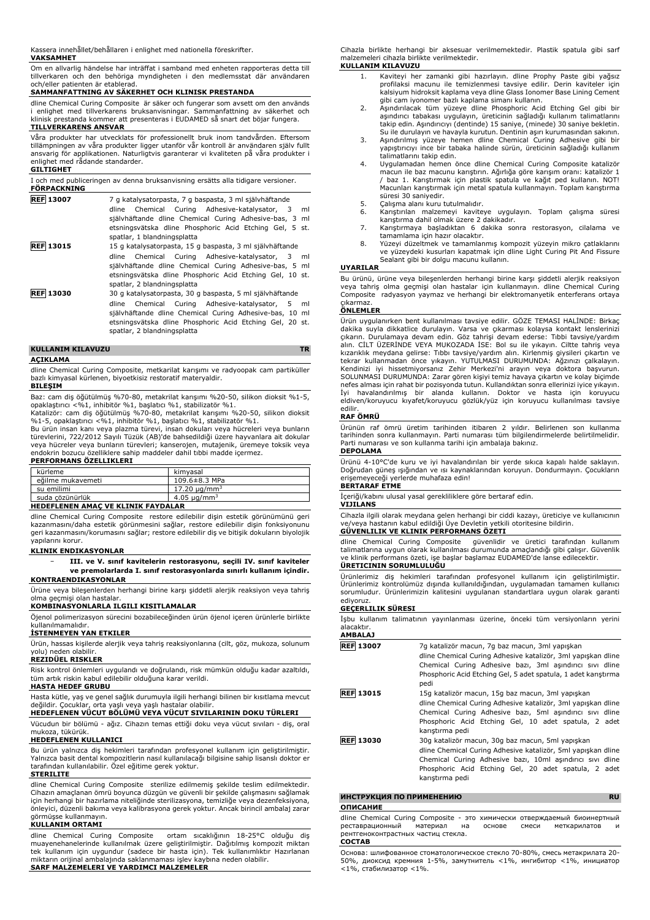Kassera innehållet/behållaren i enlighet med nationella föreskrifter.

# **VAKSAMHET**

Om en allvarlig händelse har inträffat i samband med enheten rapporteras detta till tillverkaren och den behöriga myndigheten i den medlemsstat där användaren och/eller patienten är etablerad.

# **SAMMANFATTNING AV SÄKERHET OCH KLINISK PRESTANDA**

dline Chemical Curing Composite är säker och fungerar som avsett om den används i enlighet med tillverkarens bruksanvisningar. Sammanfattning av säkerhet och k<br>I prestanda kommer att presenteras i EUDAMED så snart det böjar fungera.

# **TILLVERKARENS ANSVAR**

Våra produkter har utvecklats för professionellt bruk inom tandvården. Eftersom tillämpningen av våra produkter ligger utanför vår kontroll är användaren själv fullt ansvarig för applikationen. Naturligtvis garanterar vi kvaliteten på våra produkter i enlighet med rådande standarder.

# **GILTIGHET**

| I och med publiceringen av denna bruksanvisning ersätts alla tidigare versioner.<br><b>FÖRPACKNING</b> |                                                                                         |  |
|--------------------------------------------------------------------------------------------------------|-----------------------------------------------------------------------------------------|--|
| <b>REF 13007</b>                                                                                       | 7 g katalysatorpasta, 7 g baspasta, 3 ml självhäftande                                  |  |
|                                                                                                        | Chemical Curing Adhesive-katalysator, 3 ml<br>dline                                     |  |
|                                                                                                        | självhäftande dline Chemical Curing Adhesive-bas, 3 ml                                  |  |
|                                                                                                        | etsningsvätska dline Phosphoric Acid Etching Gel, 5 st.                                 |  |
|                                                                                                        | spatlar, 1 blandningsplatta                                                             |  |
| <b>REF 13015</b>                                                                                       | 15 g katalysatorpasta, 15 g baspasta, 3 ml självhäftande                                |  |
|                                                                                                        | Chemical Curing Adhesive-katalysator, 3 ml<br>dline                                     |  |
|                                                                                                        | självhäftande dline Chemical Curing Adhesive-bas, 5 ml                                  |  |
|                                                                                                        | etsningsvätska dline Phosphoric Acid Etching Gel, 10 st.                                |  |
|                                                                                                        | spatlar, 2 blandningsplatta                                                             |  |
| <b>REF 13030</b>                                                                                       | 30 g katalysatorpasta, 30 g baspasta, 5 ml självhäftande                                |  |
|                                                                                                        | Chemical Curing Adhesive-katalysator, 5 ml<br>dline                                     |  |
|                                                                                                        | självhäftande dline Chemical Curing Adhesive-bas, 10 ml                                 |  |
|                                                                                                        | etsningsvätska dline Phosphoric Acid Etching Gel, 20 st.<br>spatlar, 2 blandningsplatta |  |
|                                                                                                        |                                                                                         |  |

# **KULLANIM KILAVUZU TR AÇIKLAMA**

dline Chemical Curing Composite, metkarilat karışımı ve radyoopak cam partiküller bazlı kimyasal kürlenen, biyoetkisiz restoratif materyaldir.

#### **BILEŞIM**

Baz: cam diş öğütülmüş %70-80, metakrilat karışımı %20-50, silikon dioksit %1-5,<br>opaklaştırıcı <%1, inhibitör %1, başlatıcı %1, stabilizatör %1.

Katalizör: cam diş öğütülmüş %70-80, metakrilat karışımı %20-50, silikon dioksit<br>%1-5, opaklaştırıcı <%1, inhibitör %1, başlatıcı %1, stabilizatör %1.<br>Bu ürün insan kanı veya plazma türevi, insan dokuları veya hücreleri ve

türevlerini, 722/2012 Sayılı Tüzük (AB)'de bahsedildiği üzere hayvanlara ait dokular veya hücreler veya bunların türevleri; kanserojen, mutajenik, üremeye toksik veya endokrin bozucu özelliklere sahip maddeler dahil tıbbi madde içermez. **PERFORMANS ÖZELLIKLERI**

| kürleme           | kimvasal                      |
|-------------------|-------------------------------|
| eğilme mukavemeti | 109.6±8.3 MPa                 |
| su emilimi        | 17.20 $\mu$ g/mm <sup>3</sup> |
| suda cözünürlük   | $4.05 \mu s/mm^3$             |

# **HEDEFLENEN AMAÇ VE KLINIK FAYDALAR**

dline Chemical Curing Composite restore edilebilir dişin estetik görünümünü geri kazanmasını/daha estetik görünmesini sağlar, restore edilebilir dişin fonksiyonunu geri kazanmasını/korumasını sağlar; restore edilebilir diş ve bitişik dokuların biyolojik yapılarını korur.

#### **KLINIK ENDIKASYONLAR**

− **III. ve V. sınıf kavitelerin restorasyonu, seçili IV. sınıf kaviteler ve premolarlarda I. sınıf restorasyonlarda sınırlı kullanım içindir. KONTRAENDIKASYONLAR**

Ürüne veya bileşenlerden herhangi birine karşı şiddetli alerjik reaksiyon veya tahriş olma geçmişi olan hastalar.

# **KOMBINASYONLARLA ILGILI KISITLAMALAR**

Öjenol polimerizasyon sürecini bozabileceğinden ürün öjenol içeren ürünlerle birlikte kullanılmamalıdır.

#### **İSTENMEYEN YAN ETKILER**

Ürün, hassas kişilerde alerjik veya tahriş reaksiyonlarına (cilt, göz, mukoza, solunum yolu) neden olabilir. **REZIDÜEL RISKLER**

Risk kontrol önlemleri uygulandı ve doğrulandı, risk mümkün olduğu kadar azaltıldı, tüm artık riskin kabul edilebilir olduğuna karar verildi.

#### **HASTA HEDEF GRUBU**

Hasta kütle, yaş ve genel sağlık durumuyla ilgili herhangi bilinen bir kısıtlama mevcut değildir. Çocuklar, orta yaşlı veya yaşlı hastalar olabilir. **HEDEFLENEN VÜCUT BÖLÜMÜ VEYA VÜCUT SIVILARININ DOKU TÜRLERI**

Vücudun bir bölümü - ağız. Cihazın temas ettiği doku veya vücut sıvıları - diş, oral mukoza, tükürük. **HEDEFLENEN KULLANICI**

Bu ürün yalnızca diş hekimleri tarafından profesyonel kullanım için geliştirilmiştir. Yalnızca basit dental kompozitlerin nasıl kullanılacağı bilgisine sahip lisanslı doktor er tarafından kullanılabilir. Özel eğitime gerek yoktur.

# **STERILITE**

dline Chemical Curing Composite sterilize edilmemiş şekilde teslim edilmektedir. Cihazın amaçlanan ömrü boyunca düzgün ve güvenli bir şekilde çalışmasını sağlamak için herhangi bir hazırlama niteliğinde sterilizasyona, temizliğe veya dezenfeksiyona, önleyici, düzenli bakıma veya kalibrasyona gerek yoktur. Ancak birincil ambalaj zarar görmüşse kullanmayın.

# **KULLANIM ORTAMI**

dline Chemical Curing Composite ortam sıcaklığının 18-25°C olduğu diş<br>muayenehanelerinde-kullanılmak üzere geliştirilmiştir. Dağıtılmış kompozit miktarı<br>tek kullanım için uygundur (sadece bir hasta için). Tek kullanımlıktı **SARF MALZEMELERI VE YARDIMCI MALZEMELER**

Cihazla birlikte herhangi bir aksesuar verilmemektedir. Plastik spatula gibi sarf malzemeleri cihazla birlikte verilmektedir. **KULLANIM KILAVUZU**

# 1. Kaviteyi her zamanki gibi hazırlayın. dline Prophy Paste gibi yağsız profilaksi macunu ile temizlenmesi tavsiye edilir. Derin kaviteler için kalsiyum hidroksit kaplama veya dline Glass Ionomer Base Lining Cement

- gibi cam iyonomer bazlı kaplama simanı kullanın. 2. Aşındırılacak tüm yüzeye dline Phosphoric Acid Etching Gel gibi bir aşındırıcı tabakası uygulayın, üreticinin sağladığı kullanım talimatlarını takip edin. Aşındırıcıyı (dentinde) 15 saniye, (minede) 30 saniye bekletin.
- Su ile durulayın ve havayla kurutun. Dentinin aşırı kurumasından sakının.<br>3. Aşındırılmış yüzeye hemen dline Chemical Curing Adhesive gibi bir<br>1. yapıştırıcıyı ince bir tabaka halinde sürün, üretic talimatlarını takip edin.
- 4. Uygulamadan hemen önce dline Chemical Curing Composite katalizör macun ile baz macunu karıştırın. Ağırlığa göre karışım oranı: katalizör 1 / baz 1. Karıştırmak için plastik spatula ve kağıt ped kullanın. NOT! Macunları karıştırmak için metal spatula kullanmayın. Toplam karıştırma süresi 30 saniyedir.
- 5. Çalışma alanı kuru tutulmalıdır.<br>6. Karıstırılan malzemevi kavite
- 6. Karıştırılan malzemeyi kaviteye uygulayın. Toplam çalışma süresi karıştırma dahil olmak üzere 2 dakikadır. 7. Karıştırmaya başladıktan 6 dakika sonra restorasyon, cilalama ve
- tamamlama için hazır olacaktır.
- 8. Yüzeyi düzeltmek ve tamamlanmış kompozit yüzeyin mikro çatlaklarını ve yüzeydeki kusurları kapatmak için dline Light Curing Pit And Fissure Sealant gibi bir dolgu macunu kullanın.

#### **UYARILAR**

Bu ürünü, ürüne veya bileşenlerden herhangi birine karşı şiddetli alerjik reaksiyon veya tahriş olma geçmişi olan hastalar için kullanmayın. dline Chemical Curing Composite radyasyon yaymaz ve herhangi bir elektromanyetik enterferans ortaya

# çıkarmaz. **ÖNLEMLER**

Ürün uygulanırken bent kullanılması tavsiye edilir. GÖZE TEMASI HALİNDE: Birkaç dakika suyla dikkatlice durulayın. Varsa ve çıkarması kolaysa kontakt lenslerinizi<br>çıkarın. Durulamaya devam edin. Göz tahrişi devam ederse: Tıbbi tavsiye/yardım<br>alın. CİLT ÜZERİNDE VEYA MUKOZADA İSE: Bol su ile yıkayın. C tekrar kullanmadan önce yıkayın. YUTULMASI DURUMUNDA: Ağzınızı çalkalayın. Kendinizi iyi hissetmiyorsanız Zehir Merkezi'ni arayın veya doktora başvurun. SOLUNMASI DURUMUNDA: Zarar gören kişiyi temiz havaya çıkartın ve kolay biçimde nefes alması için rahat bir pozisyonda tutun. Kullandıktan sonra ellerinizi iyice yıkayın.<br>İyi havalandırılmış bir alanda kullanın. Doktor ve hasta için koruyucu<br>eldiven/koruyucu kıyafet/koruyucu göz edilir.

### **RAF ÖMRÜ**

Ürünün raf ömrü üretim tarihinden itibaren 2 yıldır. Belirlenen son kullanma tarihinden sonra kullanmayın. Parti numarası tüm bilgilendirmelerde belirtilmelidir. Parti numarası ve son kullanma tarihi için ambalaja bakınız.

# **DEPOLAMA**

Ürünü 4-10°C'de kuru ve iyi havalandırılan bir yerde sıkıca kapalı halde saklayın. Doğrudan güneş ışığından ve ısı kaynaklarından koruyun. Dondurmayın. Çocukların erişemeyeceği yerlerde muhafaza edin!

# **BERTARAF ETME**

İçeriği/kabını ulusal yasal gerekliliklere göre bertaraf edin.

# **VIJILANS**

Cihazla ilgili olarak meydana gelen herhangi bir ciddi kazayı, üreticiye ve kullanıcının ve/veya hastanın kabul edildiği Üye Devletin yetkili otoritesine bildirin. **GÜVENLILIK VE KLINIK PERFORMANS ÖZETI**

dline Chemical Curing Composite güvenlidir ve üretici tarafından kullanım talimatlarına uygun olarak kullanılması durumunda amaçlandığı gibi çalışır. Güvenlik ve klinik performans özeti, işe başlar başlamaz EUDAMED'de lanse edilecektir. **ÜRETICININ SORUMLULUĞU**

Urünlerimiz diş hekimleri tarafından profesyonel kullanım için geliştirilmiştir.<br>Ürünlerimiz kontrolümüz dışında kullanıldığından, uygulamadan tamamen kullanıcı<br>sorumludur. Ürünlerimizin kalitesini uygulanan standartlara u ediyoruz.

#### **GEÇERLILIK SÜRESI**

İşbu kullanım talimatının yayınlanması üzerine, önceki tüm versiyonların yerini alacaktır. **AMBALAJ**

| 8008683          |                                                                                                                                                                                                                                                          |
|------------------|----------------------------------------------------------------------------------------------------------------------------------------------------------------------------------------------------------------------------------------------------------|
| <b>REF 13007</b> | 7g katalizör macun, 7g baz macun, 3ml yapışkan<br>dline Chemical Curing Adhesive katalizör, 3ml yapışkan dline<br>Chemical Curing Adhesive bazi, 3ml asindirici sivi dline<br>Phosphoric Acid Etching Gel, 5 adet spatula, 1 adet karistirma<br>pedi     |
| <b>REF 13015</b> | 15g katalizör macun, 15g baz macun, 3ml yapışkan<br>dline Chemical Curing Adhesive katalizör, 3ml yapışkan dline<br>Chemical Curing Adhesive bazi, 5ml asindirici sivi dline<br>Phosphoric Acid Etching Gel, 10 adet spatula, 2 adet<br>karıştırma pedi  |
| <b>REF 13030</b> | 30g katalizör macun, 30g baz macun, 5ml yapışkan<br>dline Chemical Curing Adhesive katalizör, 5ml yapışkan dline<br>Chemical Curing Adhesive bazi, 10ml asindirici sivi dline<br>Phosphoric Acid Etching Gel, 20 adet spatula, 2 adet<br>karıştırma pedi |

# **ИНСТРУКЦИЯ ПО ПРИМЕНЕНИЮ RU**

**ОПИСАНИЕ**

dline Chemical Curing Composite - это химически отверждаемый биоинертный реставрационный материал на основе смеси меткарилатов и рентгеноконтрастных частиц стекла. **СОСТАВ**

Основа: шлифованное стоматологическое стекло 70-80%, смесь метакрилата 20- 50%, диоксид кремния 1-5%, замутнитель <1%, ингибитор <1%, инициатор <1%, стабилизатор <1%.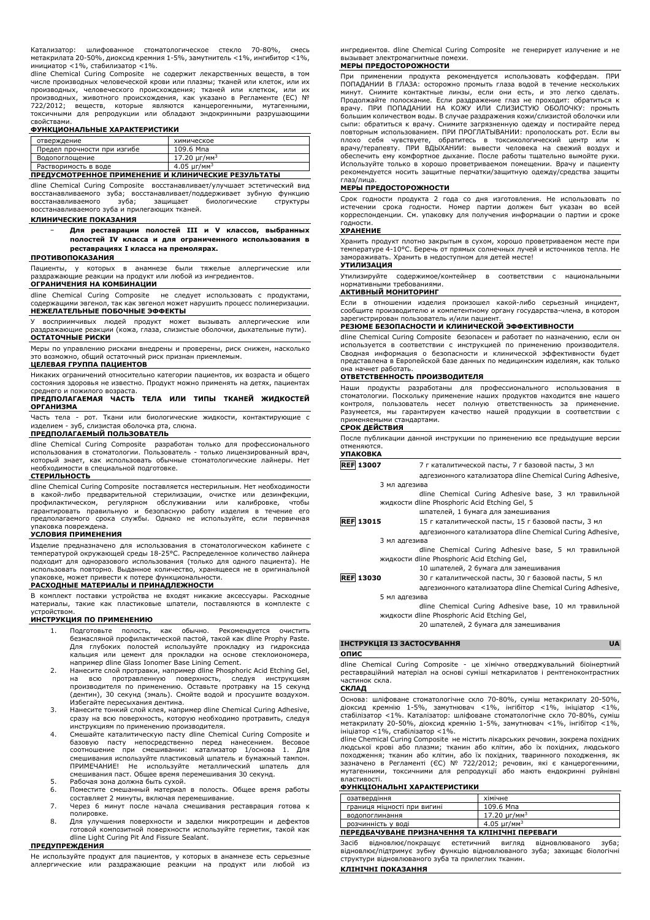Катализатор: шлифованное стоматологическое стекло 70-80%, смесь метакрилата 20-50%, диоксид кремния 1-5%, замутнитель <1%, ингибитор <1%, инициатор <1%, стабилизатор <1%.

dline Chemical Curing Composite не содержит лекарственных веществ, в том числе производных человеческой крови или плазмы; тканей или клеток, или их производных, человеческого происхождения; тканей или клеткок, или их производных, животного происхождения, как указано в Регламенте (ЕС) № 722/2012; веществ, которые являются канцерогенными, мутагенными, токсичными для репродукции или обладают эндокринными разрушающими

# свойствами. **ФУНКЦИОНАЛЬНЫЕ ХАРАКТЕРИСТИКИ**

| отверждение                                         | химическое                   |
|-----------------------------------------------------|------------------------------|
| Предел прочности при изгибе                         | 109.6 Мпа                    |
| Водопоглощение                                      | $17.20 \text{ yr/mm}^3$      |
| Растворимость в воде                                | $4.05 \mu$ r/мм <sup>3</sup> |
| ПРЕДУСМОТРЕННОЕ ПРИМЕНЕНИЕ И КЛИНИЧЕСКИЕ РЕЗУЛЬТАТЫ |                              |

dline Chemical Curing Composite восстанавливает/улучшает эстетический вид восстанавливаемого зуба; восстанавливает/поддерживает зубную функцию восстанавливаемого зуба; защищает биологические структуры восстанавливаемого зуба и прилегающих тканей.

# **КЛИНИЧЕСКИЕ ПОКАЗАНИЯ**

− **Для реставрации полостей III и V классов, выбранных полостей IV класса и для ограниченного использования в реставрациях I класса на премолярах.**

# **ПРОТИВОПОКАЗАНИЯ**

Пациенты, у которых в анамнезе были тяжелые аллергические или раздражающие реакции на продукт или любой из ингредиентов. **ОГРАНИЧЕНИЯ НА КОМБИНАЦИИ**

dline Chemical Curing Composite не следует использовать с продуктами, содержащими эвгенол, так как эвгенол может нарушить процесс полимеризации. **НЕЖЕЛАТЕЛЬНЫЕ ПОБОЧНЫЕ ЭФФЕКТЫ**

У восприимчивых людей продукт может вызывать аллергические или раздражающие реакции (кожа, глаза, слизистые оболочки, дыхательные пути). **ОСТАТОЧНЫЕ РИСКИ**

Меры по управлению рисками внедрены и проверены, риск снижен, насколько это возможно, общий остаточный риск признан приемлемым. **ЦЕЛЕВАЯ ГРУППА ПАЦИЕНТОВ**

Никаких ограничений относительно категории пациентов, их возраста и общего состояния здоровья не известно. Продукт можно применять на детях, пациентах среднего и пожилого возраста.

**ПРЕДПОЛАГАЕМАЯ ЧАСТЬ ТЕЛА ИЛИ ТИПЫ ТКАНЕЙ ЖИДКОСТЕЙ ОРГАНИЗМА**

Часть тела - рот. Ткани или биологические жидкости, контактирующие с<br>изделием - зуб, слизистая оболочка рта. слюна. слизистая оболочка рта, слюна. **ПРЕДПОЛАГАЕМЫЙ ПОЛЬЗОВАТЕЛЬ**

dline Chemical Curing Composite разработан только для профессионального использования в стоматологии. Пользователь - только лицензированный врач, который знает, как использовать обычные стоматологические лайнеры. Нет необходимости в специальной подготовке. **СТЕРИЛЬНОСТЬ**

dline Chemical Curing Composite поставляется нестерильным. Нет необходимости в какой-либо предварительной стерилизации, очистке или дезинфекции, профилактическом, регулярном обслуживании или калибровке, чтобы гарантировать правильную и безопасную работу изделия в течение его предполагаемого срока службы. Однако не используйте, если первичная .<br>паковка повреждена.

# **УСЛОВИЯ ПРИМЕНЕНИЯ**

Изделие предназначено для использования в стоматологическом кабинете с температурой окружающей среды 18-25°C. Распределенное количество лайнера подходит для одноразового использования (только для одного пациента). Не использовать повторно. Выданное количество, хранящееся не в оригинальной упаковке, может привести к потере функциональности.

# **РАСХОДНЫЕ МАТЕРИАЛЫ И ПРИНАДЛЕЖНОСТИ**

В комплект поставки устройства не входят никакие аксессуары. Расходные материалы, такие как пластиковые шпатели, поставляются в комплекте с устройством.

#### **ИНСТРУКЦИЯ ПО ПРИМЕНЕНИЮ**

- 1. Подготовьте полость, как обычно. Рекомендуется очистить безмасляной профилактической пастой, такой как dline Prophy Paste. Для глубоких полостей используйте прокладку из гидроксида кальция или цемент для прокладки на основе стеклоиономера, например dline Glass Ionomer Base Lining Cement.
- 2. Нанесите слой протравки, например dline Phosphoric Acid Etching Gel, на всю протравленную поверхность, следуя инструкциям производителя по применению. Оставьте протравку на 15 секунд (дентин), 30 секунд (эмаль). Смойте водой и просушите воздухом. Избегайте пересыхания дентина.
- 3. Нанесите тонкий слой клея, например dline Chemical Curing Adhesive, сразу на всю поверхность, которую необходимо протравить, следуя инструкциям по применению производителя.
- 4. Смешайте каталитическую пасту dline Chemical Curing Composite и базовую пасту непосредственно перед нанесением. Весовое<br>соотношение при смешивании: катализатор 1/основа 1. Для<br>смешивания используйте пластиковый шпатель и бумажный тампон. ПРИМЕЧАНИЕ! Не используйте металлический шпатель для смешивания паст. Общее время перемешивания 30 секунд.
- 5. Рабочая зона должна быть сухой.
- 6. Поместите смешанный материал в полость. Общее время работы составляет 2 минуты, включая перемешивание.
- 7. Через 6 минут после начала смешивания реставрация готова к полировке.
- 8. Для улучшения поверхности и заделки микротрещин и дефектов готовой композитной поверхности используйте герметик, такой как dline Light Curing Pit And Fissure Sealant.

# **ПРЕДУПРЕЖДЕНИЯ**

Не используйте продукт для пациентов, у которых в анамнезе есть серьезные аллергические или раздражающие реакции на продукт или любой из ингредиентов. dline Chemical Curing Composite не генерирует излучение и не вызывает электромагнитные помехи.

# **МЕРЫ ПРЕДОСТОРОЖНОСТИ**

При применении продукта рекомендуется использовать коффердам. ПРИ ПОПАДАНИИ В ГЛАЗА: осторожно промыть глаза водой в течение нескольких минут. Снимите контактные линзы, если они есть, и это легко сделать. Продолжайте полоскание. Если раздражение глаз не проходит: обратиться к врачу. ПРИ ПОПАДАНИИ НА КОЖУ ИЛИ СЛИЗИСТУЮ ОБОЛОЧКУ: промыть большим количеством воды. В случае раздражения кожи/слизистой оболочки или сыпи: обратиться к врачу. Снимите загрязненную одежду и постирайте перед повторным использованием. ПРИ ПРОГЛАТЫВАНИИ: прополоскать рот. Если вы себя чувствуете, обратитесь в токсикологический центр или к врачу/терапевту. ПРИ ВДЫХАНИИ: вывести человека на свежий воздух и обеспечить ему комфортное дыхание. После работы тщательно вымойте руки. Используйте только в хорошо проветриваемом помещении. Врачу и пациенту рекомендуется носить защитные перчатки/защитную одежду/средства защиты глаз/лица.

#### **МЕРЫ ПРЕДОСТОРОЖНОСТИ**

Срок годности продукта 2 года со дня изготовления. Не использовать по истечении срока годности. Номер партии должен быт указан во всей корреспонденции. См. упаковку для получения информации о партии и сроке годности.

# **ХРАНЕНИЕ**

Хранить продукт плотно закрытым в сухом, хорошо проветриваемом месте при температуре 4-10°C. Беречь от прямых солнечных лучей и источников тепла. Не замораживать. Хранить в недоступном для детей месте!

# **УТИЛИЗАЦИЯ**

Утилизируйте содержимое/контейнер в соответствии с национальными нормативными требованиями.

# **АКТИВНЫЙ МОНИТОРИНГ**

Если в отношении изделия произошел какой-либо серьезный инцидент, сообщите производителю и компетентному органу государства-члена, в котором зарегистрирован пользователь и/или пациент.

# **РЕЗЮМЕ БЕЗОПАСНОСТИ И КЛИНИЧЕСКОЙ ЭФФЕКТИВНОСТИ**

dline Chemical Curing Composite безопасен и работает по назначению, если он используется в соответствии с инструкцией по применению производителя. Сводная информация о безопасности и клинической эффективности будет представлена в Европейской базе данных по медицинским изделиям, как только она начнет работать.

# **ОТВЕТСТВЕННОСТЬ ПРОИЗВОДИТЕЛЯ**

Наши продукты разработаны для профессионального использования в стоматологии. Поскольку применение наших продуктов находится вне нашего контроля, пользователь несет полную ответственность за применение. Разумеется, мы гарантируем качество нашей продукции в соответствии с применяемыми стандартами.

### **СРОК ДЕЙСТВИЯ**

После публикации данной инструкции по применению все предыдущие версии отменяются. **УПАКОВКА**

| <b>REF 13007</b> | 7 г каталитической пасты, 7 г базовой пасты, 3 мл         |
|------------------|-----------------------------------------------------------|
|                  | адгезионного катализатора dline Chemical Curing Adhesive, |
| 3 мл адгезива    |                                                           |
|                  | dline Chemical Curing Adhesive base, 3 мл травильной      |
|                  | жидкости dline Phosphoric Acid Etching Gel, 5             |
|                  | шпателей, 1 бумага для замешивания                        |
| <b>REF 13015</b> | 15 г каталитической пасты, 15 г базовой пасты, 3 мл       |
|                  | адгезионного катализатора dline Chemical Curing Adhesive, |
| 3 мл адгезива    |                                                           |
|                  | dline Chemical Curing Adhesive base, 5 мл травильной      |
|                  | жидкости dline Phosphoric Acid Etching Gel,               |
|                  | 10 шпателей, 2 бумага для замешивания                     |
| <b>REF 13030</b> | 30 г каталитической пасты, 30 г базовой пасты, 5 мл       |
|                  | адгезионного катализатора dline Chemical Curing Adhesive, |
| 5 мл адгезива    |                                                           |
|                  | dline Chemical Curing Adhesive base, 10 мл травильной     |
|                  | жидкости dline Phosphoric Acid Etching Gel,               |

20 шпателей, 2 бумага для замешивания

# **ІНСТРУКЦІЯ ІЗ ЗАСТОСУВАННЯ UA**

# **ОПИС**

dline Chemical Curing Composite - це хімічно отверджувальний біоінертний реставраційний матеріал на основі суміші меткарилатов і рентгеноконтрастних .<br>частинок скла.

**СКЛАД**

Основа: шліфоване стоматологічне скло 70-80%, суміш метакрилату 20-50%, діоксид кремнію 1-5%, замутнювач <1%, інгібітор <1%, ініціатор <1%, стабілізатор <1%. Каталізатор: шліфоване стоматологічне скло 70-80%, суміш метакрилату 20-50%, діоксид кремнію 1-5%, замутнювач <1%, інгібітор <1%,

ініціатор <1%, стабілізатор <1%. dline Chemical Curing Composite не містить лікарських речовин, зокрема похідних людської крові або плазми; тканин або клітин, або їх похідних, людського походження; тканин або клітин, або їх похідних, тваринного походження, як<br>зазначено в Регламенті (ЄС) № 722/2012; речовин, які є канцерогенними,<br>мутагенними, токсичними для репродукції або мають ендокринні руйнівні властивості.

### **ФУНКЦІОНАЛЬНІ ХАРАКТЕРИСТИКИ**

| озатвердіння                                   | хімічне                       |  |
|------------------------------------------------|-------------------------------|--|
| границя міцності при вигині                    | 109.6 Мпа                     |  |
| водопоглинання                                 | $17.20 \mu$ r/mm <sup>3</sup> |  |
| розчинність у воді                             | $4.05 \text{ yr/m}^3$         |  |
| ПЕРЕДБАЧУВАНЕ ПРИЗНАЧЕННЯ ТА КЛІНІЧНІ ПЕРЕВАГИ |                               |  |

Засіб відновлює/покращує естетичний вигляд відновлюваного зуба; відновлює/підтримує зубну функцію відновлюваного зуба; захищає біологічні структури відновлюваного зуба та прилеглих тканин.

#### **КЛІНІЧНІ ПОКАЗАННЯ**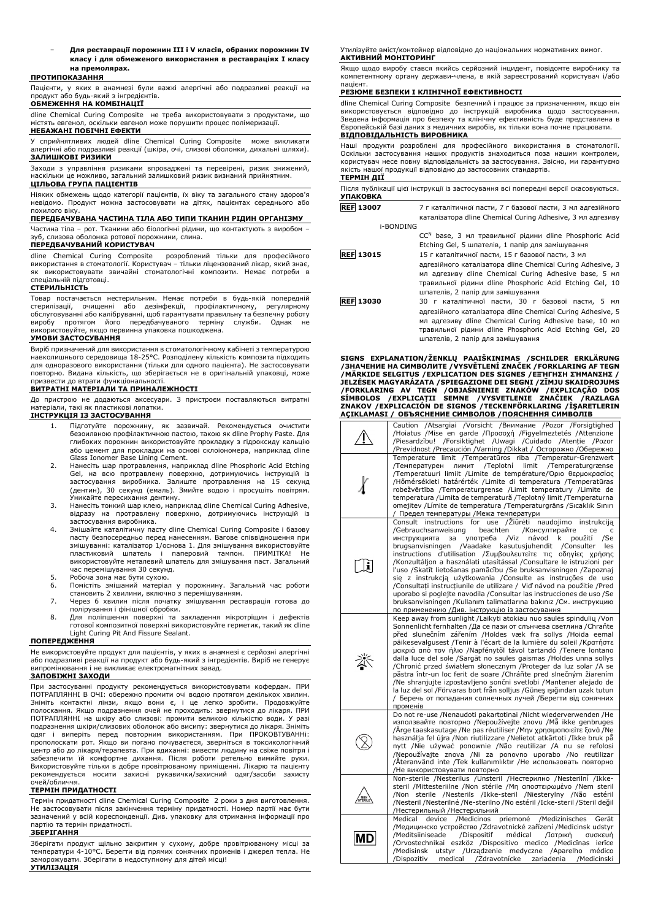− **Для реставрації порожнин III і V класів, обраних порожнин IV класу і для обмеженого використання в реставраціях I класу на премолярах.**

# **ПРОТИПОКАЗАННЯ**

Пацієнти, у яких в анамнезі були важкі алергічні або подразливі реакції на продукт або будь-який з інгредієнтів.

# **ОБМЕЖЕННЯ НА КОМБІНАЦІЇ**

dline Chemical Curing Composite не треба використовувати з продуктами, що містять евгенол, оскільки евгенол може порушити процес полімеризації.

# **НЕБАЖАНІ ПОБІЧНІ ЕФЕКТИ**

У сприйнятливих людей dline Chemical Curing Composite може викликати алергічні або подразливі реакції (шкіра, очі, слизові оболонки, дихальні шляхи). **ЗАЛИШКОВІ РИЗИКИ**

Заходи з управління ризиками впроваджені та перевірені, ризик знижений, наскільки це можливо, загальний залишковий ризик визнаний прийнятним.

# **ЦІЛЬОВА ГРУПА ПАЦІЄНТІВ**

Ніяких обмежень щодо категорії пацієнтів, їх віку та загального стану здоров'я невідомо. Продукт можна застосовувати на дітях, пацієнтах середнього або похилого віку.

# **ПЕРЕДБАЧУВАНА ЧАСТИНА ТІЛА АБО ТИПИ ТКАНИН РІДИН ОРГАНІЗМУ**

Частина тіла – рот. Тканини або біологічні рідини, що контактують з виробом – зуб, слизова оболонка ротової порожнини, слина.

# **ПЕРЕДБАЧУВАНИЙ КОРИСТУВАЧ**

dline Chemical Curing Composite розроблений тільки для професійного використання в стоматології. Користувач – тільки ліцензований лікар, який знає, як використовувати звичайні стоматологічні композити. Немає потреби в спеціальній підготовці.

### **СТЕРИЛЬНІСТЬ**

Товар постачається нестерильним. Немає потреби в будь-якій попередній<br>стерилізації, очищенні або дезінфекції, профілактичному, регулярному ствел пестерильники петае потреси в суде ли обслуговуванні або калібруванні, щоб гарантувати правильну та безпечну роботу<br>виробу протягом його передбачуваного терміну служби. Однак не виробу протягом його передбачуваного терміну служби. Однак не використовуйте, якщо первинна упаковка пошкоджена.

#### **УМОВИ ЗАСТОСУВАННЯ**

Виріб призначений для використання в стоматологічному кабінеті з температурою навколишнього середовища 18-25°C. Розподілену кількість композита підходить для одноразового використання (тільки для одного пацієнта). Не застосовувати повторно. Видана кількість, що зберігається не в оригінальній упаковці, може призвести до втрати функціональності.

# **ВИТРАТНІ МАТЕРІАЛИ ТА ПРИНАЛЕЖНОСТІ**

До пристрою не додаються аксесуари. З пристроєм поставляються витратні матеріали, такі як пластикові лопатки.

# **ІНСТРУКЦІЯ ІЗ ЗАСТОСУВАННЯ**

- 1. Підготуйте порожнину, як зазвичай. Рекомендується очистити безоилвною профілактичною пастою, такою як dline Prophy Paste. Для глибоких порожнин використовуйте прокладку з гідроксиду кальцію або цемент для прокладки на основі склоіономера, наприклад dline Glass Ionomer Base Lining Cement.
- 2. Нанесіть шар протравлення, наприклад dline Phosphoric Acid Etching Gel, на всю протравлену поверхню, дотримуючись інструкцій із застосування виробника. Залиште протравлення на 15 секунд (дентин), 30 секунд (емаль). Змийте водою і просушіть повітрям. Уникайте пересихання дентину.
- 3. Нанесіть тонкий шар клею, наприклад dline Chemical Curing Adhesive, відразу на протравлену поверхню, дотримуючись інструкцій із застосування виробника.
- 4. Змішайте каталітичну пасту dline Chemical Curing Composite і базову пасту безпосередньо перед нанесенням. Вагове співвідношення при змішуванні: каталізатор 1/основа 1. Для змішування використовуйте пластиковий шпатель і паперовий тампон. ПРИМІТКА! Не використовуйте металевий шпатель для змішування паст. Загальний час перемішування 30 секунд.
- 5. Робоча зона має бути сухою.<br>6. Помістіть змішаний матеріал
- 6. Помістіть змішаний матеріал у порожнину. Загальний час роботи становить 2 хвилини, включно з перемішуванням.
- 7. Через 6 хвилин після початку змішування реставрація готова до полірування і фінішної обробки.
- 8. Для поліпшення поверхні та закладення мікротріщин і дефектів готової композитної поверхні використовуйте герметик, такий як dline Light Curing Pit And Fissure Sealant.

### **ПОПЕРЕДЖЕННЯ**

Не використовуйте продукт для пацієнтів, у яких в анамнезі є серйозні алергічні або подразливі реакції на продукт або будь-який з інгредієнтів. Виріб не генерує випромінювання і не викликає електромагнітних завад.

# **ЗАПОБІЖНІ ЗАХОДИ**

При застосуванні продукту рекомендується використовувати кофердам. ПРИ ПОТРАПЛЯННІ В ОЧІ: обережно промити очі водою протягом декількох хвилин. Зніміть контактні лінзи, якщо вони є, і це легко зробити. Продовжуйте полоскання. Якщо подразнення очей не проходить: звернутися до лікаря. ПРИ ПОТРАПЛЯННІ на шкіру або слизові: промити великою кількістю води. У разі подразнення шкіри/слизових оболонок або висипу: звернутися до лікаря. Зніміть одяг і виперіть перед повторним використанням. При ПРОКОВТУВАННі: прополоскати рот. Якщо ви погано почуваєтеся, зверніться в токсикологічний центр або до лікаря/терапевта. При вдиханні: вивести людину на свіже повітря і забезпечити їй комфортне дихання. Після роботи ретельно вимийте руки. Використовуйте тільки в добре провітрюваному приміщенні. Лікарю та пацієнту рекомендується носити захисні рукавички/захисний одяг/засоби захисту очей/обличчя.

#### **ТЕРМІН ПРИДАТНОСТІ**

Термін придатності dline Chemical Curing Composite 2 роки з дня виготовлення. Не застосовувати після закінчення терміну придатності. Номер партії має бути зазначений у всій кореспонденції. Див. упаковку для отримання інформації про партію та термін придатності.

# **ЗБЕРІГАННЯ**

Зберігати продукт щільно закритим у сухому, добре провітрюваному місці за температури 4-10°C. Берегти від прямих сонячних променів і джерел тепла. Не заморожувати. Зберігати в недоступному для дітей місці! **УТИЛІЗАЦІЯ**

Утилізуйте вміст/контейнер відповідно до національних нормативних вимог. **АКТИВНИЙ МОНІТОРИНГ**

Якщо щодо виробу стався якийсь серйозний інцидент, повідомте виробнику та компетентному органу держави-члена, в якій зареєстрований користувач і/або пацієнт.

### **РЕЗЮМЕ БЕЗПЕКИ І КЛІНІЧНОЇ ЕФЕКТИВНОСТІ**

dline Chemical Curing Composite безпечний і працює за призначенням, якщо він використовується відповідно до інструкцій виробника щодо застосування. Зведена інформація про безпеку та клінічну ефективність буде представлена в Європейській базі даних з медичних виробів, як тільки вона почне працювати. **ВІДПОВІДАЛЬНІСТЬ ВИРОБНИКА**

Наші продукти розроблені для професійного використання в стоматології. Оскільки застосування наших продуктів знаходиться поза нашим контролем, користувач несе повну відповідальність за застосування. Звісно, ми гарантуємо якість нашої продукції відповідно до застосовних стандартів.

# **ТЕРМІН ДІЇ**

Після публікації цієї інструкції із застосування всі попередні версії скасовуються. **УПАКОВКА REF** 1300

| 107            | 7 г каталітичної пасти, 7 г базової пасти, 3 мл адгезійного |
|----------------|-------------------------------------------------------------|
|                | каталізатора dline Chemical Curing Adhesive, 3 мл адгезиву  |
| $F_{\text{D}}$ |                                                             |

| <b>FDUNDING</b>  |                                                                                                                        |
|------------------|------------------------------------------------------------------------------------------------------------------------|
|                  | CC <sup>N</sup> base, 3 мл травильної рідини dline Phosphoric Acid<br>Etching Gel, 5 шпателів, 1 папір для замішування |
| <b>REF 13015</b> | 15 г каталітичної пасти, 15 г базової пасти, 3 мл                                                                      |
|                  | адгезійного каталізатора dline Chemical Curing Adhesive, 3<br>мл адгезиву dline Chemical Curing Adhesive base, 5 мл    |
|                  | травильної рідини dline Phosphoric Acid Etching Gel, 10<br>шпателів, 2 папір для замішування                           |
| <b>REF 13030</b> | 30 г каталітичної пасти, 30 г базової пасти, 5 мл                                                                      |
|                  | адгезійного каталізатора dline Chemical Curing Adhesive, 5<br>мл адгезиву dline Chemical Curing Adhesive base, 10 мл   |

травильної рідини dline Phosphoric Acid Etching Gel, 20 шпателів, 2 папір для замішування **SIGNS EXPLANATION/ŽENKLŲ PAAIŠKINIMAS /SCHILDER ERKLÄRUNG /ЗНАЧЕНИЕ НА СИМВОЛИТЕ /VYSVĚTLENÍ ZNAČEK /FORKLARING AF TEGN /MÄRKIDE SELGITUS /EXPLICATION DES SIGNES /ΕΞΉΓΗΣΗ ΣΉΜΑΝΣΗΣ /** JELZESEK MAGYARAZATA /SPIEGAZIONE DEI SEGNI /ZIMJU SKAIDROJUMS<br>/FORKLARING AV TEGN /OBJAŚNIENIE ZNAKÓW /EXPLICAÇÃO DOS<br>SÍMBOLOS /EXPLICAȚII SEMNE /VYSVETLENIE ZNAČIEK /RAZLAGA<br>ZNAKOV /EXPLICACIÓN DE S

| <b>AÇIKLAMASI / ОБЪЯСНЕНИЕ СИМВОЛОВ /ПОЯСНЕННЯ СИМВОЛІВ</b> |                                                                                                                                                                                                                                                                                                                                                                                                                                                                                                                                                                                                                                                                                                                                                                                                                                       |  |
|-------------------------------------------------------------|---------------------------------------------------------------------------------------------------------------------------------------------------------------------------------------------------------------------------------------------------------------------------------------------------------------------------------------------------------------------------------------------------------------------------------------------------------------------------------------------------------------------------------------------------------------------------------------------------------------------------------------------------------------------------------------------------------------------------------------------------------------------------------------------------------------------------------------|--|
|                                                             | Caution /Atsargiai /Vorsicht /Внимание /Pozor /Forsigtighed<br>/Hoiatus /Mise en garde /Προσοχή /Figyelmeztetés /Attenzione<br>/Piesardzību! /Forsiktighet /Uwagi /Cuidado /Atenție /Pozor<br>/Previdnost /Precaución /Varning /Dikkat / Осторожно /Обережно                                                                                                                                                                                                                                                                                                                                                                                                                                                                                                                                                                          |  |
|                                                             | Temperature limit /Temperatūros riba /Temperatur-Grenzwert<br>/Teplotní limit /Temperaturgrænse<br>/Температурен<br>ЛИМИТ<br>/Temperatuuri limiit /Limite de température/Όριο θερμοκρασίας<br>/Hőmérsékleti határérték /Limite di temperatura /Temperatūras<br>robežvērtība /Temperaturgrense /Limit temperatury /Limite de<br>temperatura / Limita de temperatură / Teplotný limit / Temperaturna<br>omejitev / Límite de temperatura / Temperaturgräns / Sıcaklık Sınırı<br>/ Предел температуры /Межа температури                                                                                                                                                                                                                                                                                                                  |  |
| $ \mathbf{i} $                                              | Consult instructions for use / Ziūrėti<br>naudojimo instrukciją<br>/Gebrauchsanweisung<br>beachten<br>/Консултирайте<br>ce<br>c<br>употреба<br>/Viz<br>návod<br>použití<br>инструкцията<br>за<br>k<br>/Se<br>/Vaadake kasutusjuhendit<br>brugsanvisningen<br>/Consulter<br>les<br>instructions d'utilisation /Συμβουλευτείτε τις οδηγίες χρήσης<br>/Konzultáljon a használati utasítással /Consultare le istruzioni per<br>l'uso /Skatīt lietošanas pamācību /Se bruksanvisningen /Zapoznaj<br>się z instrukcją użytkowania / Consulte as instruções de uso<br>/Consultați instrucțiunile de utilizare / Vid' návod na použitie /Pred<br>uporabo si poglejte navodila / Consultar las instrucciones de uso / Se<br>bruksanvisningen /Kullanım talimatlarına bakınız /См. инструкцию<br>по применению /Див. інструкцію із застосування |  |
| 氼                                                           | Keep away from sunlight /Laikyti atokiau nuo saulės spindulių /Von<br>Sonnenlicht fernhalten /Да се пази от слънчева светлина /Chrañte<br>před slunečním zářením /Holdes væk fra sollys /Hoida eemal<br>päikesevalgusest /Tenir à l'écart de la lumière du soleil /Kparnore<br>μακριά από τον ήλιο /Napfénytől távol tartandó /Tenere lontano<br>dalla luce del sole /Sargāt no saules gaismas /Holdes unna sollys<br>/Chronić przed światłem słonecznym /Proteger da luz solar /A se<br>păstra într-un loc ferit de soare /Chráňte pred slnečným žiarením<br>/Ne shranjujte izpostavljeno sončni svetlobi /Mantener alejado de<br>la luz del sol /Förvaras bort från solljus /Günes ışığından uzak tutun<br>/ Беречь от попадания солнечных лучей /Берегти від сонячних<br>променів                                                  |  |
|                                                             | Do not re-use /Nenaudoti pakartotinai /Nicht wiederverwenden /He<br>използвайте повторно /Nepoužívejte znovu /Må ikke genbruges<br>/Arge taaskasutage /Ne pas réutiliser /Mŋv χρησιμοποιείτε ξανά /Ne<br>használja fel újra /Non riutilizzare /Nelietot atkārtoti /Ikke bruk på<br>nytt /Nie używać ponownie /Não reutilizar /A nu se refolosi<br>/Nepoužívajte znova /Ni za ponovno uporabo /No reutilizar<br>/Äteranvänd inte /Tek kullanımlıktır /Не использовать повторно<br>/Не використовувати повторно                                                                                                                                                                                                                                                                                                                         |  |
| NON                                                         | Non-sterile /Nesterilus /Unsteril /Нестерилно /Nesterilní /Ikke-<br>steril /Mittesteriilne /Non stérile /Μη αποστειρωμένο /Nem steril<br>/Non sterile /Nesterils /Ikke-steril /Niesterylny /Não estéril<br>/Nesteril /Nesterilné /Ne-sterilno /No estéril /Icke-steril /Steril değil<br>/Нестерильный /Нестерильний                                                                                                                                                                                                                                                                                                                                                                                                                                                                                                                   |  |
| MD                                                          | /Medicinos priemonė<br>Medical device<br>/Medizinisches<br>Gerät<br>/Медицинско устройство /Zdravotnické zařízení /Medicinsk udstyr<br>/Meditsiiniseade<br>/Dispositif<br>médical<br>/Ιατρική<br>συσκευή<br>/Orvostechnikai eszköz /Dispositivo medico /Medicinas ierice<br>/Medisinsk utstyr /Urządzenie medyczne /Aparelho<br>médico<br>medical /Zdravotnícke<br>zariadenia / Medicinski<br>/Dispozitiv                                                                                                                                                                                                                                                                                                                                                                                                                             |  |